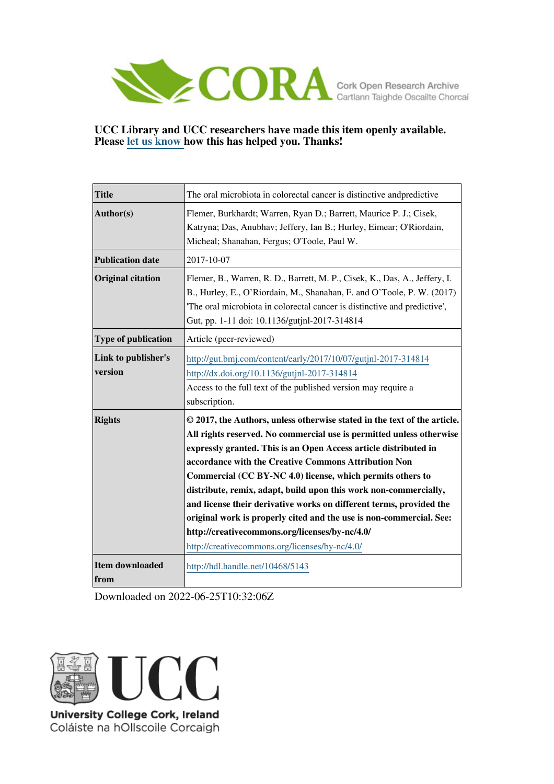

## **UCC Library and UCC researchers have made this item openly available. Please [let us know h](https://libguides.ucc.ie/openaccess/impact?suffix=5143&title=The oral microbiota in colorectal cancer is distinctive andpredictive)ow this has helped you. Thanks!**

| <b>Title</b>                   | The oral microbiota in colorectal cancer is distinctive and predictive                                                                                                                                                                                                                                                                                                                                                                                                                                                                                                                                                                                           |
|--------------------------------|------------------------------------------------------------------------------------------------------------------------------------------------------------------------------------------------------------------------------------------------------------------------------------------------------------------------------------------------------------------------------------------------------------------------------------------------------------------------------------------------------------------------------------------------------------------------------------------------------------------------------------------------------------------|
| Author(s)                      | Flemer, Burkhardt; Warren, Ryan D.; Barrett, Maurice P. J.; Cisek,<br>Katryna; Das, Anubhav; Jeffery, Ian B.; Hurley, Eimear; O'Riordain,<br>Micheal; Shanahan, Fergus; O'Toole, Paul W.                                                                                                                                                                                                                                                                                                                                                                                                                                                                         |
| <b>Publication date</b>        | 2017-10-07                                                                                                                                                                                                                                                                                                                                                                                                                                                                                                                                                                                                                                                       |
| <b>Original citation</b>       | Flemer, B., Warren, R. D., Barrett, M. P., Cisek, K., Das, A., Jeffery, I.<br>B., Hurley, E., O'Riordain, M., Shanahan, F. and O'Toole, P. W. (2017)<br>The oral microbiota in colorectal cancer is distinctive and predictive',<br>Gut, pp. 1-11 doi: 10.1136/gutjnl-2017-314814                                                                                                                                                                                                                                                                                                                                                                                |
| Type of publication            | Article (peer-reviewed)                                                                                                                                                                                                                                                                                                                                                                                                                                                                                                                                                                                                                                          |
| Link to publisher's<br>version | http://gut.bmj.com/content/early/2017/10/07/gutjnl-2017-314814<br>http://dx.doi.org/10.1136/gutjnl-2017-314814<br>Access to the full text of the published version may require a<br>subscription.                                                                                                                                                                                                                                                                                                                                                                                                                                                                |
| <b>Rights</b>                  | © 2017, the Authors, unless otherwise stated in the text of the article.<br>All rights reserved. No commercial use is permitted unless otherwise<br>expressly granted. This is an Open Access article distributed in<br>accordance with the Creative Commons Attribution Non<br>Commercial (CC BY-NC 4.0) license, which permits others to<br>distribute, remix, adapt, build upon this work non-commercially,<br>and license their derivative works on different terms, provided the<br>original work is properly cited and the use is non-commercial. See:<br>http://creativecommons.org/licenses/by-nc/4.0/<br>http://creativecommons.org/licenses/by-nc/4.0/ |
| Item downloaded<br>from        | http://hdl.handle.net/10468/5143                                                                                                                                                                                                                                                                                                                                                                                                                                                                                                                                                                                                                                 |

Downloaded on 2022-06-25T10:32:06Z



Coláiste na hOllscoile Corcaigh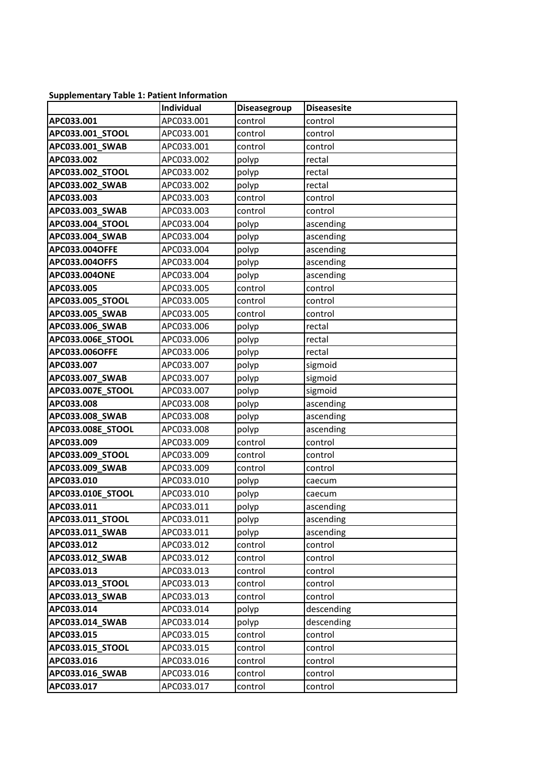## **Supplementary Table 1: Patient Information**

|                        | Individual | Diseasegroup | <b>Diseasesite</b> |
|------------------------|------------|--------------|--------------------|
| APC033.001             | APC033.001 | control      | control            |
| APC033.001_STOOL       | APC033.001 | control      | control            |
| APC033.001_SWAB        | APC033.001 | control      | control            |
| APC033.002             | APC033.002 | polyp        | rectal             |
| APC033.002_STOOL       | APC033.002 | polyp        | rectal             |
| APC033.002_SWAB        | APC033.002 | polyp        | rectal             |
| APC033.003             | APC033.003 | control      | control            |
| APC033.003_SWAB        | APC033.003 | control      | control            |
| APC033.004 STOOL       | APC033.004 | polyp        | ascending          |
| APC033.004 SWAB        | APC033.004 | polyp        | ascending          |
| APC033.004OFFE         | APC033.004 | polyp        | ascending          |
| APC033.004OFFS         | APC033.004 | polyp        | ascending          |
| APC033.004ONE          | APC033.004 | polyp        | ascending          |
| APC033.005             | APC033.005 | control      | control            |
| APC033.005_STOOL       | APC033.005 | control      | control            |
| APC033.005 SWAB        | APC033.005 | control      | control            |
| APC033.006 SWAB        | APC033.006 | polyp        | rectal             |
| APC033.006E_STOOL      | APC033.006 | polyp        | rectal             |
| APC033.006OFFE         | APC033.006 | polyp        | rectal             |
| APC033.007             | APC033.007 | polyp        | sigmoid            |
| APC033.007_SWAB        | APC033.007 | polyp        | sigmoid            |
| APC033.007E_STOOL      | APC033.007 | polyp        | sigmoid            |
| APC033.008             | APC033.008 | polyp        | ascending          |
| APC033.008_SWAB        | APC033.008 | polyp        | ascending          |
| APC033.008E_STOOL      | APC033.008 | polyp        | ascending          |
| APC033.009             | APC033.009 | control      | control            |
| APC033.009_STOOL       | APC033.009 | control      | control            |
| APC033.009_SWAB        | APC033.009 | control      | control            |
| APC033.010             | APC033.010 | polyp        | caecum             |
| APC033.010E_STOOL      | APC033.010 | polyp        | caecum             |
| APC033.011             | APC033.011 | polyp        | ascending          |
| APC033.011_STOOL       | APC033.011 | polyp        | ascending          |
| <b>APC033.011 SWAB</b> | APC033.011 | polyp        | ascending          |
| APC033.012             | APC033.012 | control      | control            |
| APC033.012_SWAB        | APC033.012 | control      | control            |
| APC033.013             | APC033.013 | control      | control            |
| APC033.013_STOOL       | APC033.013 | control      | control            |
| APC033.013_SWAB        | APC033.013 | control      | control            |
| APC033.014             | APC033.014 | polyp        | descending         |
| APC033.014 SWAB        | APC033.014 | polyp        | descending         |
| APC033.015             | APC033.015 | control      | control            |
| APC033.015_STOOL       | APC033.015 | control      | control            |
| APC033.016             | APC033.016 | control      | control            |
| APC033.016_SWAB        | APC033.016 | control      | control            |
| APC033.017             | APC033.017 | control      | control            |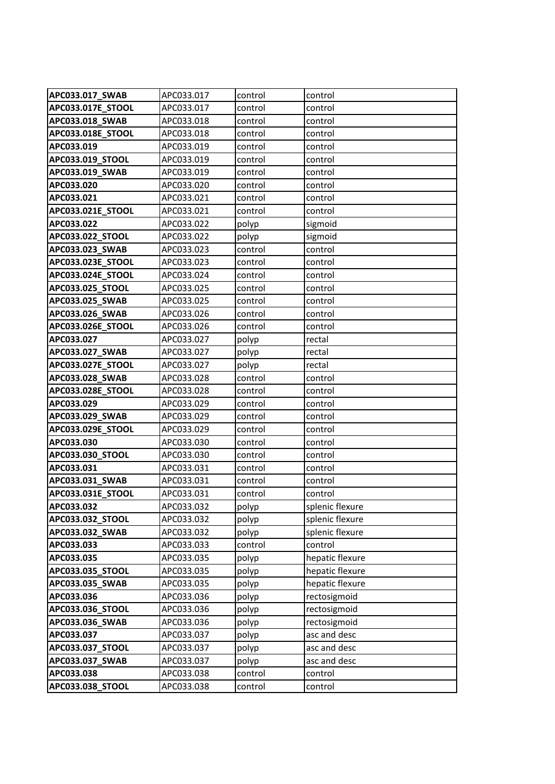| APC033.017_SWAB               | APC033.017               | control            | control            |
|-------------------------------|--------------------------|--------------------|--------------------|
| APC033.017E_STOOL             | APC033.017               | control            | control            |
| APC033.018_SWAB               | APC033.018               | control            | control            |
| APC033.018E_STOOL             | APC033.018               | control            | control            |
| APC033.019                    | APC033.019               | control            | control            |
| APC033.019_STOOL              | APC033.019               | control            | control            |
| APC033.019_SWAB               | APC033.019               | control            | control            |
| APC033.020                    | APC033.020               | control            | control            |
| APC033.021                    | APC033.021               | control            | control            |
| APC033.021E_STOOL             | APC033.021               | control            | control            |
| APC033.022                    | APC033.022               | polyp              | sigmoid            |
| APC033.022_STOOL              | APC033.022               | polyp              | sigmoid            |
| APC033.023_SWAB               | APC033.023               | control            | control            |
| APC033.023E_STOOL             | APC033.023               | control            | control            |
| APC033.024E_STOOL             | APC033.024               | control            | control            |
| APC033.025_STOOL              | APC033.025               | control            | control            |
| APC033.025_SWAB               | APC033.025               | control            | control            |
| APC033.026_SWAB               | APC033.026               | control            | control            |
| APC033.026E_STOOL             | APC033.026               | control            | control            |
| APC033.027                    | APC033.027               | polyp              | rectal             |
| APC033.027_SWAB               | APC033.027               | polyp              | rectal             |
| APC033.027E_STOOL             | APC033.027               | polyp              | rectal             |
| APC033.028_SWAB               | APC033.028               | control            | control            |
| APC033.028E_STOOL             | APC033.028               | control            | control            |
| APC033.029                    | APC033.029               | control            | control            |
| APC033.029_SWAB               | APC033.029               | control            | control            |
| APC033.029E_STOOL             | APC033.029               | control            | control            |
| APC033.030                    | APC033.030               | control            | control            |
| APC033.030 STOOL              | APC033.030               | control            | control            |
| APC033.031<br>APC033.031_SWAB | APC033.031<br>APC033.031 | control<br>control | control<br>control |
| APC033.031E_STOOL             | APC033.031               | control            | control            |
| APC033.032                    | APC033.032               | polyp              | splenic flexure    |
| APC033.032 STOOL              | APC033.032               | polyp              | splenic flexure    |
| APC033.032_SWAB               | APC033.032               | polyp              | splenic flexure    |
| APC033.033                    | APC033.033               | control            | control            |
| APC033.035                    | APC033.035               | polyp              | hepatic flexure    |
| APC033.035_STOOL              | APC033.035               | polyp              | hepatic flexure    |
| APC033.035_SWAB               | APC033.035               | polyp              | hepatic flexure    |
| APC033.036                    | APC033.036               | polyp              | rectosigmoid       |
| APC033.036_STOOL              | APC033.036               | polyp              | rectosigmoid       |
| APC033.036_SWAB               | APC033.036               | polyp              | rectosigmoid       |
| APC033.037                    | APC033.037               | polyp              | asc and desc       |
| APC033.037_STOOL              | APC033.037               | polyp              | asc and desc       |
| APC033.037_SWAB               | APC033.037               | polyp              | asc and desc       |
| APC033.038                    | APC033.038               | control            | control            |
| APC033.038_STOOL              | APC033.038               | control            | control            |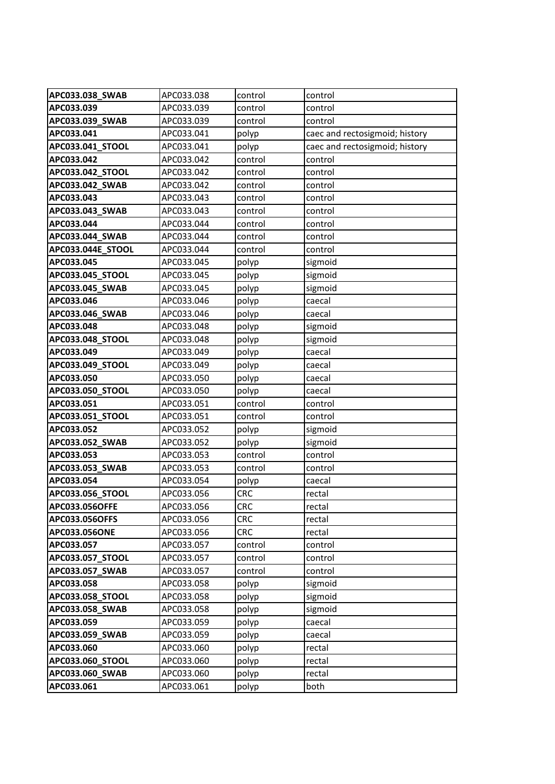| APC033.038_SWAB                        | APC033.038               | control                  | control                        |
|----------------------------------------|--------------------------|--------------------------|--------------------------------|
| APC033.039                             | APC033.039               | control                  | control                        |
| APC033.039_SWAB                        | APC033.039               | control                  | control                        |
| APC033.041                             | APC033.041               | polyp                    | caec and rectosigmoid; history |
| APC033.041 STOOL                       | APC033.041               | polyp                    | caec and rectosigmoid; history |
| APC033.042                             | APC033.042               | control                  | control                        |
| APC033.042_STOOL                       | APC033.042               | control                  | control                        |
| APC033.042_SWAB                        | APC033.042               | control                  | control                        |
| APC033.043                             | APC033.043               | control                  | control                        |
| APC033.043_SWAB                        | APC033.043               | control                  | control                        |
| APC033.044                             | APC033.044               | control                  | control                        |
| APC033.044_SWAB                        | APC033.044               | control                  | control                        |
| APC033.044E_STOOL                      | APC033.044               | control                  | control                        |
| APC033.045                             | APC033.045               | polyp                    | sigmoid                        |
| APC033.045_STOOL                       | APC033.045               | polyp                    | sigmoid                        |
| APC033.045 SWAB                        | APC033.045               | polyp                    | sigmoid                        |
| APC033.046                             | APC033.046               | polyp                    | caecal                         |
| APC033.046_SWAB                        | APC033.046               | polyp                    | caecal                         |
| APC033.048                             | APC033.048               | polyp                    | sigmoid                        |
| APC033.048_STOOL                       | APC033.048               | polyp                    | sigmoid                        |
| APC033.049                             | APC033.049               | polyp                    | caecal                         |
| APC033.049_STOOL                       | APC033.049               | polyp                    | caecal                         |
| APC033.050                             | APC033.050               | polyp                    | caecal                         |
| APC033.050_STOOL                       | APC033.050               | polyp                    | caecal                         |
| APC033.051                             | APC033.051               | control                  | control                        |
| APC033.051_STOOL                       | APC033.051               | control                  | control                        |
| APC033.052                             | APC033.052               | polyp                    | sigmoid                        |
| APC033.052_SWAB                        | APC033.052               | polyp                    | sigmoid                        |
| APC033.053                             | APC033.053               | control                  | control                        |
| APC033.053 SWAB                        | APC033.053               | control                  | control                        |
| APC033.054                             | APC033.054               | polyp                    | caecal                         |
| APC033.056_STOOL                       | APC033.056               | <b>CRC</b>               | rectal                         |
| <b>APC033.056OFFE</b>                  | APC033.056<br>APC033.056 | <b>CRC</b><br><b>CRC</b> | rectal                         |
| <b>APC033.056OFFS</b><br>APC033.056ONE | APC033.056               | <b>CRC</b>               | rectal<br>rectal               |
| APC033.057                             | APC033.057               | control                  | control                        |
| APC033.057_STOOL                       | APC033.057               | control                  | control                        |
| APC033.057_SWAB                        | APC033.057               | control                  | control                        |
| APC033.058                             | APC033.058               | polyp                    | sigmoid                        |
| APC033.058_STOOL                       | APC033.058               | polyp                    | sigmoid                        |
| APC033.058_SWAB                        | APC033.058               | polyp                    | sigmoid                        |
| APC033.059                             | APC033.059               | polyp                    | caecal                         |
| APC033.059_SWAB                        | APC033.059               | polyp                    | caecal                         |
| APC033.060                             | APC033.060               | polyp                    | rectal                         |
| APC033.060_STOOL                       | APC033.060               | polyp                    | rectal                         |
| APC033.060_SWAB                        | APC033.060               | polyp                    | rectal                         |
| APC033.061                             | APC033.061               | polyp                    | both                           |
|                                        |                          |                          |                                |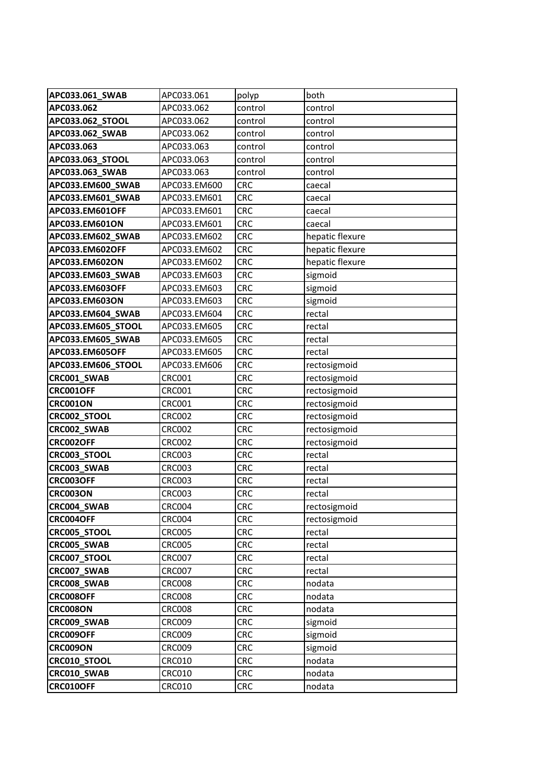| APC033.061_SWAB              | APC033.061                     | polyp                    | both                   |
|------------------------------|--------------------------------|--------------------------|------------------------|
| APC033.062                   | APC033.062                     | control                  | control                |
| APC033.062_STOOL             | APC033.062                     | control                  | control                |
| APC033.062_SWAB              | APC033.062                     | control                  | control                |
| APC033.063                   | APC033.063                     | control                  | control                |
| APC033.063_STOOL             | APC033.063                     | control                  | control                |
| APC033.063_SWAB              | APC033.063                     | control                  | control                |
| APC033.EM600_SWAB            | APC033.EM600                   | <b>CRC</b>               | caecal                 |
| APC033.EM601_SWAB            | APC033.EM601                   | <b>CRC</b>               | caecal                 |
| APC033.EM601OFF              | APC033.EM601                   | <b>CRC</b>               | caecal                 |
| APC033.EM601ON               | APC033.EM601                   | <b>CRC</b>               | caecal                 |
| APC033.EM602_SWAB            | APC033.EM602                   | <b>CRC</b>               | hepatic flexure        |
| APC033.EM602OFF              | APC033.EM602                   | <b>CRC</b>               | hepatic flexure        |
| APC033.EM602ON               | APC033.EM602                   | <b>CRC</b>               | hepatic flexure        |
| APC033.EM603_SWAB            | APC033.EM603                   | <b>CRC</b>               | sigmoid                |
| APC033.EM603OFF              | APC033.EM603                   | <b>CRC</b>               | sigmoid                |
| APC033.EM603ON               | APC033.EM603                   | <b>CRC</b>               | sigmoid                |
| APC033.EM604_SWAB            | APC033.EM604                   | <b>CRC</b>               | rectal                 |
| APC033.EM605_STOOL           | APC033.EM605                   | <b>CRC</b>               | rectal                 |
| APC033.EM605_SWAB            | APC033.EM605                   | <b>CRC</b>               | rectal                 |
| APC033.EM605OFF              | APC033.EM605                   | <b>CRC</b>               | rectal                 |
| APC033.EM606_STOOL           | APC033.EM606                   | <b>CRC</b>               | rectosigmoid           |
| CRC001_SWAB                  | <b>CRC001</b>                  | <b>CRC</b>               | rectosigmoid           |
| CRC001OFF                    | <b>CRC001</b>                  | <b>CRC</b>               | rectosigmoid           |
| <b>CRC001ON</b>              | <b>CRC001</b>                  | <b>CRC</b>               | rectosigmoid           |
| CRC002_STOOL                 | <b>CRC002</b>                  | <b>CRC</b>               | rectosigmoid           |
| CRC002_SWAB                  | <b>CRC002</b>                  | <b>CRC</b>               | rectosigmoid           |
| CRC002OFF                    | <b>CRC002</b>                  | <b>CRC</b>               | rectosigmoid           |
| CRC003_STOOL                 | CRC003                         | <b>CRC</b>               | rectal                 |
| CRC003_SWAB                  | <b>CRC003</b>                  | <b>CRC</b>               | rectal                 |
| CRC003OFF<br><b>CRC003ON</b> | <b>CRC003</b><br><b>CRC003</b> | <b>CRC</b><br><b>CRC</b> | rectal                 |
| CRC004_SWAB                  | <b>CRC004</b>                  | <b>CRC</b>               | rectal<br>rectosigmoid |
| <b>CRC004OFF</b>             | CRC004                         | <b>CRC</b>               | rectosigmoid           |
| CRC005_STOOL                 | <b>CRC005</b>                  | <b>CRC</b>               | rectal                 |
| CRC005_SWAB                  | <b>CRC005</b>                  | <b>CRC</b>               | rectal                 |
| CRC007_STOOL                 | <b>CRC007</b>                  | <b>CRC</b>               | rectal                 |
| CRC007_SWAB                  | <b>CRC007</b>                  | <b>CRC</b>               | rectal                 |
| CRC008_SWAB                  | <b>CRC008</b>                  | <b>CRC</b>               | nodata                 |
| CRC008OFF                    | <b>CRC008</b>                  | <b>CRC</b>               | nodata                 |
| <b>CRC008ON</b>              | <b>CRC008</b>                  | <b>CRC</b>               | nodata                 |
| CRC009_SWAB                  | <b>CRC009</b>                  | <b>CRC</b>               | sigmoid                |
| CRC009OFF                    | <b>CRC009</b>                  | <b>CRC</b>               | sigmoid                |
| CRC009ON                     | <b>CRC009</b>                  | <b>CRC</b>               | sigmoid                |
| CRC010_STOOL                 | <b>CRC010</b>                  | <b>CRC</b>               | nodata                 |
| CRC010_SWAB                  | <b>CRC010</b>                  | <b>CRC</b>               | nodata                 |
| CRC010OFF                    | <b>CRC010</b>                  | <b>CRC</b>               | nodata                 |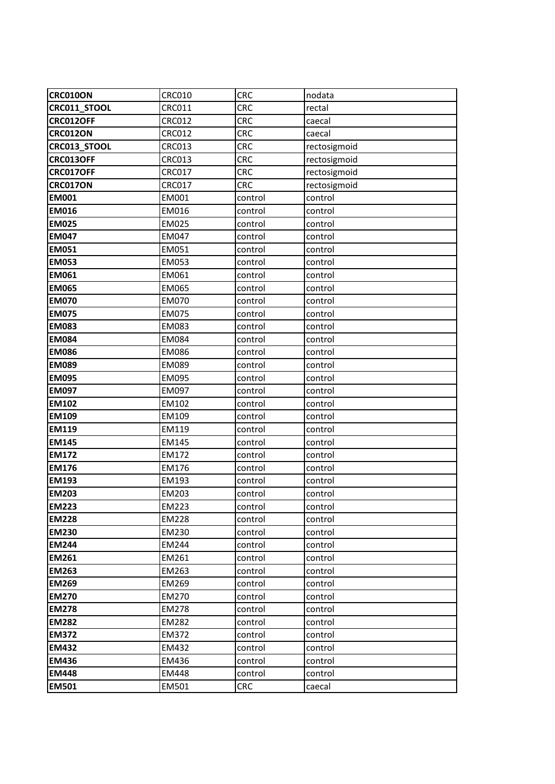| <b>CRC010ON</b>     | <b>CRC010</b> | <b>CRC</b> | nodata       |
|---------------------|---------------|------------|--------------|
| CRC011_STOOL        | <b>CRC011</b> | <b>CRC</b> | rectal       |
| CRC012OFF           | <b>CRC012</b> | <b>CRC</b> | caecal       |
| <b>CRC012ON</b>     | <b>CRC012</b> | <b>CRC</b> | caecal       |
| <b>CRC013 STOOL</b> | <b>CRC013</b> | <b>CRC</b> | rectosigmoid |
| CRC013OFF           | <b>CRC013</b> | <b>CRC</b> | rectosigmoid |
| CRC017OFF           | <b>CRC017</b> | <b>CRC</b> | rectosigmoid |
| <b>CRC017ON</b>     | <b>CRC017</b> | <b>CRC</b> | rectosigmoid |
| <b>EM001</b>        | EM001         | control    | control      |
| <b>EM016</b>        | EM016         | control    | control      |
| <b>EM025</b>        | <b>EM025</b>  | control    | control      |
| <b>EM047</b>        | EM047         | control    | control      |
| <b>EM051</b>        | EM051         | control    | control      |
| <b>EM053</b>        | EM053         | control    | control      |
| <b>EM061</b>        | EM061         | control    | control      |
| <b>EM065</b>        | <b>EM065</b>  | control    | control      |
| <b>EM070</b>        | <b>EM070</b>  | control    | control      |
| <b>EM075</b>        | <b>EM075</b>  | control    | control      |
| <b>EM083</b>        | EM083         | control    | control      |
| <b>EM084</b>        | <b>EM084</b>  | control    | control      |
| <b>EM086</b>        | <b>EM086</b>  | control    | control      |
| <b>EM089</b>        | EM089         | control    | control      |
| <b>EM095</b>        | EM095         | control    | control      |
| <b>EM097</b>        | EM097         | control    | control      |
| <b>EM102</b>        | EM102         | control    | control      |
| <b>EM109</b>        | EM109         | control    | control      |
| <b>EM119</b>        | EM119         | control    | control      |
| <b>EM145</b>        | EM145         | control    | control      |
| <b>EM172</b>        | EM172         | control    | control      |
| <b>EM176</b>        | EM176         | control    | control      |
| <b>EM193</b>        | EM193         | control    | control      |
| <b>EM203</b>        | EM203         | control    | control      |
| <b>EM223</b>        | EM223         | control    | control      |
| <b>EM228</b>        | EM228         | control    | control      |
| <b>EM230</b>        | EM230         | control    | control      |
| <b>EM244</b>        | EM244         | control    | control      |
| <b>EM261</b>        | EM261         | control    | control      |
| <b>EM263</b>        | EM263         | control    | control      |
| <b>EM269</b>        | EM269         | control    | control      |
| <b>EM270</b>        | EM270         | control    | control      |
| <b>EM278</b>        | EM278         | control    | control      |
| <b>EM282</b>        | EM282         | control    | control      |
| <b>EM372</b>        | EM372         | control    | control      |
| <b>EM432</b>        | EM432         | control    | control      |
| <b>EM436</b>        | EM436         | control    | control      |
| <b>EM448</b>        | EM448         | control    | control      |
| <b>EM501</b>        | EM501         | <b>CRC</b> | caecal       |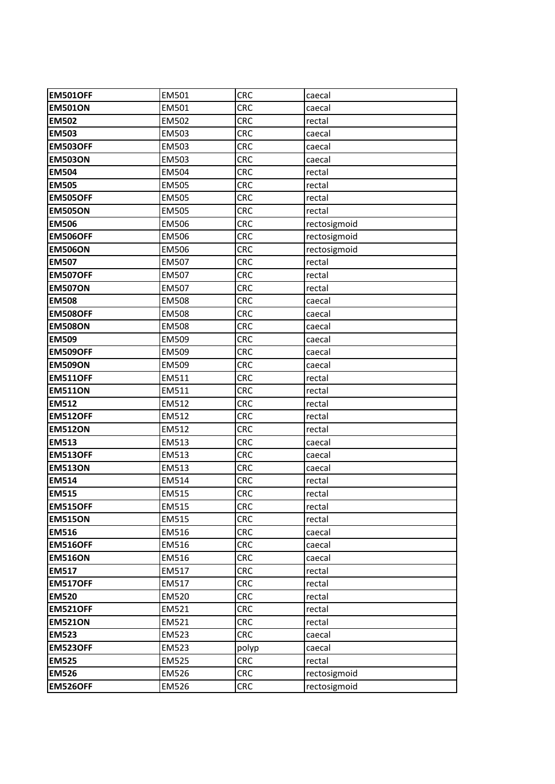| <b>EM501OFF</b> | EM501        | <b>CRC</b> | caecal       |
|-----------------|--------------|------------|--------------|
| <b>EM501ON</b>  | EM501        | <b>CRC</b> | caecal       |
| <b>EM502</b>    | EM502        | <b>CRC</b> | rectal       |
| <b>EM503</b>    | EM503        | <b>CRC</b> | caecal       |
| <b>EM503OFF</b> | EM503        | <b>CRC</b> | caecal       |
| <b>EM503ON</b>  | EM503        | <b>CRC</b> | caecal       |
| <b>EM504</b>    | EM504        | <b>CRC</b> | rectal       |
| <b>EM505</b>    | EM505        | <b>CRC</b> | rectal       |
| <b>EM505OFF</b> | <b>EM505</b> | <b>CRC</b> | rectal       |
| <b>EM505ON</b>  | <b>EM505</b> | <b>CRC</b> | rectal       |
| <b>EM506</b>    | <b>EM506</b> | <b>CRC</b> | rectosigmoid |
| <b>EM506OFF</b> | <b>EM506</b> | <b>CRC</b> | rectosigmoid |
| <b>EM506ON</b>  | EM506        | <b>CRC</b> | rectosigmoid |
| <b>EM507</b>    | EM507        | <b>CRC</b> | rectal       |
| <b>EM507OFF</b> | EM507        | <b>CRC</b> | rectal       |
| <b>EM507ON</b>  | EM507        | CRC        | rectal       |
| <b>EM508</b>    | <b>EM508</b> | <b>CRC</b> | caecal       |
| <b>EM508OFF</b> | <b>EM508</b> | <b>CRC</b> | caecal       |
| <b>EM508ON</b>  | <b>EM508</b> | <b>CRC</b> | caecal       |
| <b>EM509</b>    | EM509        | <b>CRC</b> | caecal       |
| <b>EM509OFF</b> | EM509        | <b>CRC</b> | caecal       |
| <b>EM509ON</b>  | EM509        | <b>CRC</b> | caecal       |
| <b>EM511OFF</b> | EM511        | <b>CRC</b> | rectal       |
| <b>EM511ON</b>  | EM511        | <b>CRC</b> | rectal       |
| <b>EM512</b>    | EM512        | <b>CRC</b> | rectal       |
| <b>EM512OFF</b> | EM512        | <b>CRC</b> | rectal       |
| <b>EM512ON</b>  | EM512        | <b>CRC</b> | rectal       |
| <b>EM513</b>    | EM513        | <b>CRC</b> | caecal       |
| <b>EM513OFF</b> | EM513        | <b>CRC</b> | caecal       |
| <b>EM513ON</b>  | EM513        | <b>CRC</b> | caecal       |
| <b>EM514</b>    | EM514        | <b>CRC</b> | rectal       |
| <b>EM515</b>    | EM515        | <b>CRC</b> | rectal       |
| <b>EM515OFF</b> | EM515        | <b>CRC</b> | rectal       |
| <b>EM515ON</b>  | EM515        | <b>CRC</b> | rectal       |
| <b>EM516</b>    | EM516        | <b>CRC</b> | caecal       |
| <b>EM516OFF</b> | EM516        | <b>CRC</b> | caecal       |
| <b>EM516ON</b>  | EM516        | <b>CRC</b> | caecal       |
| <b>EM517</b>    | EM517        | <b>CRC</b> | rectal       |
| <b>EM517OFF</b> | EM517        | <b>CRC</b> | rectal       |
| <b>EM520</b>    | EM520        | <b>CRC</b> | rectal       |
| <b>EM521OFF</b> | EM521        | <b>CRC</b> | rectal       |
| <b>EM521ON</b>  | EM521        | <b>CRC</b> | rectal       |
| <b>EM523</b>    | EM523        | <b>CRC</b> | caecal       |
| <b>EM523OFF</b> | EM523        | polyp      | caecal       |
| <b>EM525</b>    | <b>EM525</b> | <b>CRC</b> | rectal       |
| <b>EM526</b>    | EM526        | <b>CRC</b> | rectosigmoid |
| <b>EM526OFF</b> | EM526        | <b>CRC</b> | rectosigmoid |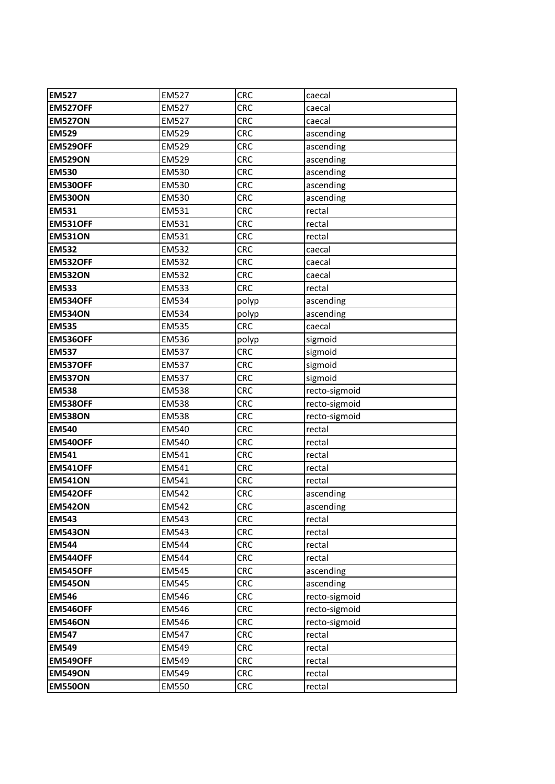| <b>EM527</b>    | <b>EM527</b> | <b>CRC</b> | caecal        |
|-----------------|--------------|------------|---------------|
| <b>EM527OFF</b> | <b>EM527</b> | <b>CRC</b> | caecal        |
| <b>EM527ON</b>  | <b>EM527</b> | <b>CRC</b> | caecal        |
| <b>EM529</b>    | <b>EM529</b> | <b>CRC</b> | ascending     |
| <b>EM529OFF</b> | <b>EM529</b> | <b>CRC</b> | ascending     |
| <b>EM529ON</b>  | <b>EM529</b> | CRC        | ascending     |
| <b>EM530</b>    | <b>EM530</b> | <b>CRC</b> | ascending     |
| <b>EM530OFF</b> | <b>EM530</b> | <b>CRC</b> | ascending     |
| <b>EM530ON</b>  | <b>EM530</b> | <b>CRC</b> | ascending     |
| <b>EM531</b>    | EM531        | <b>CRC</b> | rectal        |
| <b>EM531OFF</b> | EM531        | <b>CRC</b> | rectal        |
| <b>EM531ON</b>  | EM531        | <b>CRC</b> | rectal        |
| <b>EM532</b>    | EM532        | <b>CRC</b> | caecal        |
| <b>EM532OFF</b> | <b>EM532</b> | <b>CRC</b> | caecal        |
| <b>EM532ON</b>  | EM532        | <b>CRC</b> | caecal        |
| <b>EM533</b>    | <b>EM533</b> | CRC        | rectal        |
| <b>EM534OFF</b> | <b>EM534</b> | polyp      | ascending     |
| <b>EM534ON</b>  | <b>EM534</b> | polyp      | ascending     |
| <b>EM535</b>    | <b>EM535</b> | <b>CRC</b> | caecal        |
| <b>EM536OFF</b> | <b>EM536</b> | polyp      | sigmoid       |
| <b>EM537</b>    | <b>EM537</b> | <b>CRC</b> | sigmoid       |
| EM537OFF        | <b>EM537</b> | CRC        | sigmoid       |
| <b>EM537ON</b>  | <b>EM537</b> | <b>CRC</b> | sigmoid       |
| <b>EM538</b>    | <b>EM538</b> | <b>CRC</b> | recto-sigmoid |
| <b>EM538OFF</b> | <b>EM538</b> | <b>CRC</b> | recto-sigmoid |
| <b>EM538ON</b>  | <b>EM538</b> | CRC        | recto-sigmoid |
| <b>EM540</b>    | EM540        | <b>CRC</b> | rectal        |
| <b>EM540OFF</b> | EM540        | <b>CRC</b> | rectal        |
| <b>EM541</b>    | EM541        | CRC        | rectal        |
| <b>EM541OFF</b> | EM541        | <b>CRC</b> | rectal        |
| <b>EM541ON</b>  | EM541        | <b>CRC</b> | rectal        |
| <b>EM542OFF</b> | <b>EM542</b> | <b>CRC</b> | ascending     |
| <b>EM542ON</b>  | EM542        | <b>CRC</b> | ascending     |
| <b>EM543</b>    | EM543        | <b>CRC</b> | rectal        |
| <b>EM543ON</b>  | EM543        | <b>CRC</b> | rectal        |
| <b>EM544</b>    | EM544        | <b>CRC</b> | rectal        |
| <b>EM544OFF</b> | EM544        | <b>CRC</b> | rectal        |
| <b>EM545OFF</b> | <b>EM545</b> | <b>CRC</b> | ascending     |
| <b>EM545ON</b>  | EM545        | <b>CRC</b> | ascending     |
| <b>EM546</b>    | EM546        | <b>CRC</b> | recto-sigmoid |
| <b>EM546OFF</b> | <b>EM546</b> | <b>CRC</b> | recto-sigmoid |
| <b>EM546ON</b>  | EM546        | <b>CRC</b> | recto-sigmoid |
| <b>EM547</b>    | EM547        | <b>CRC</b> | rectal        |
| <b>EM549</b>    | EM549        | <b>CRC</b> | rectal        |
| <b>EM549OFF</b> | EM549        | <b>CRC</b> | rectal        |
| <b>EM549ON</b>  | EM549        | <b>CRC</b> | rectal        |
| <b>EM550ON</b>  | EM550        | <b>CRC</b> | rectal        |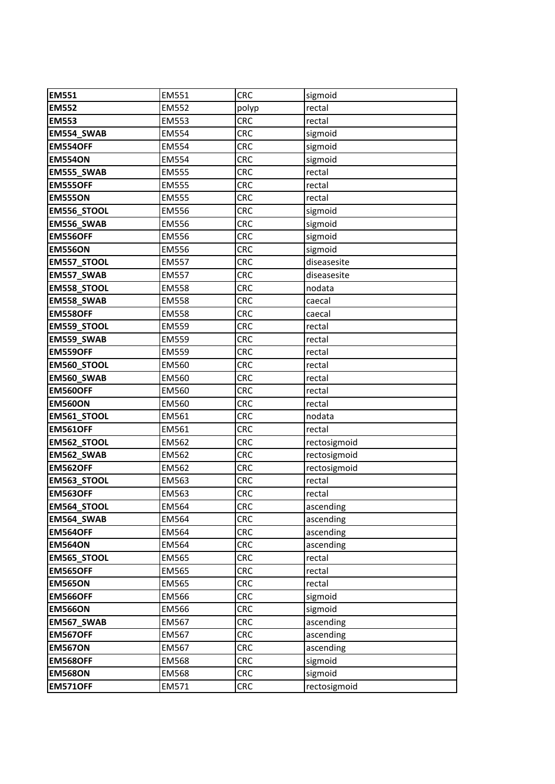| <b>EM551</b>       | <b>EM551</b> | <b>CRC</b> | sigmoid      |
|--------------------|--------------|------------|--------------|
| <b>EM552</b>       | <b>EM552</b> | polyp      | rectal       |
| <b>EM553</b>       | <b>EM553</b> | <b>CRC</b> | rectal       |
| <b>EM554 SWAB</b>  | EM554        | <b>CRC</b> | sigmoid      |
| <b>EM554OFF</b>    | EM554        | <b>CRC</b> | sigmoid      |
| <b>EM554ON</b>     | EM554        | <b>CRC</b> | sigmoid      |
| EM555_SWAB         | <b>EM555</b> | <b>CRC</b> | rectal       |
| <b>EM555OFF</b>    | <b>EM555</b> | <b>CRC</b> | rectal       |
| <b>EM555ON</b>     | <b>EM555</b> | <b>CRC</b> | rectal       |
| EM556_STOOL        | <b>EM556</b> | <b>CRC</b> | sigmoid      |
| EM556_SWAB         | <b>EM556</b> | <b>CRC</b> | sigmoid      |
| <b>EM556OFF</b>    | EM556        | <b>CRC</b> | sigmoid      |
| <b>EM556ON</b>     | <b>EM556</b> | <b>CRC</b> | sigmoid      |
| <b>EM557_STOOL</b> | <b>EM557</b> | <b>CRC</b> | diseasesite  |
| EM557_SWAB         | <b>EM557</b> | <b>CRC</b> | diseasesite  |
| EM558_STOOL        | <b>EM558</b> | <b>CRC</b> | nodata       |
| EM558_SWAB         | <b>EM558</b> | <b>CRC</b> | caecal       |
| <b>EM558OFF</b>    | <b>EM558</b> | <b>CRC</b> | caecal       |
| EM559_STOOL        | <b>EM559</b> | <b>CRC</b> | rectal       |
| EM559_SWAB         | <b>EM559</b> | <b>CRC</b> | rectal       |
| <b>EM559OFF</b>    | <b>EM559</b> | <b>CRC</b> | rectal       |
| EM560_STOOL        | <b>EM560</b> | <b>CRC</b> | rectal       |
| EM560_SWAB         | EM560        | <b>CRC</b> | rectal       |
| <b>EM560OFF</b>    | EM560        | <b>CRC</b> | rectal       |
| <b>EM560ON</b>     | EM560        | <b>CRC</b> | rectal       |
| EM561_STOOL        | EM561        | <b>CRC</b> | nodata       |
| <b>EM561OFF</b>    | EM561        | <b>CRC</b> | rectal       |
| EM562_STOOL        | EM562        | <b>CRC</b> | rectosigmoid |
| EM562_SWAB         | EM562        | <b>CRC</b> | rectosigmoid |
| <b>EM562OFF</b>    | EM562        | <b>CRC</b> | rectosigmoid |
| EM563_STOOL        | EM563        | <b>CRC</b> | rectal       |
| <b>EM563OFF</b>    | EM563        | <b>CRC</b> | rectal       |
| EM564_STOOL        | EM564        | <b>CRC</b> | ascending    |
| EM564_SWAB         | EM564        | <b>CRC</b> | ascending    |
| <b>EM564OFF</b>    | EM564        | <b>CRC</b> | ascending    |
| <b>EM564ON</b>     | EM564        | <b>CRC</b> | ascending    |
| EM565_STOOL        | EM565        | <b>CRC</b> | rectal       |
| <b>EM565OFF</b>    | EM565        | <b>CRC</b> | rectal       |
| <b>EM565ON</b>     | <b>EM565</b> | <b>CRC</b> | rectal       |
| <b>EM566OFF</b>    | EM566        | <b>CRC</b> | sigmoid      |
| <b>EM566ON</b>     | EM566        | <b>CRC</b> | sigmoid      |
| EM567_SWAB         | EM567        | <b>CRC</b> | ascending    |
| <b>EM567OFF</b>    | EM567        | <b>CRC</b> | ascending    |
| <b>EM567ON</b>     | EM567        | <b>CRC</b> | ascending    |
| <b>EM568OFF</b>    | <b>EM568</b> | <b>CRC</b> | sigmoid      |
| <b>EM568ON</b>     | <b>EM568</b> | <b>CRC</b> | sigmoid      |
| <b>EM571OFF</b>    | EM571        | <b>CRC</b> | rectosigmoid |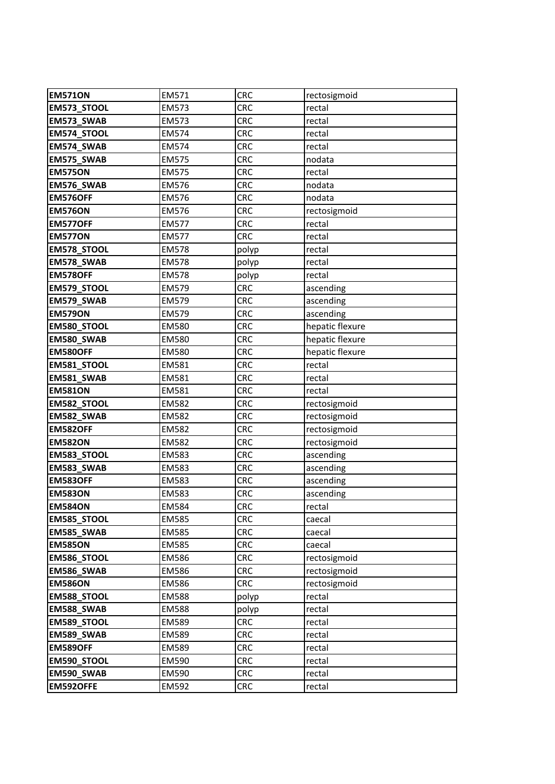| <b>EM571ON</b>     | EM571        | <b>CRC</b> | rectosigmoid    |
|--------------------|--------------|------------|-----------------|
| EM573_STOOL        | EM573        | <b>CRC</b> | rectal          |
| EM573_SWAB         | EM573        | <b>CRC</b> | rectal          |
| EM574_STOOL        | EM574        | <b>CRC</b> | rectal          |
| EM574_SWAB         | <b>EM574</b> | <b>CRC</b> | rectal          |
| EM575_SWAB         | <b>EM575</b> | <b>CRC</b> | nodata          |
| <b>EM575ON</b>     | <b>EM575</b> | <b>CRC</b> | rectal          |
| EM576_SWAB         | <b>EM576</b> | <b>CRC</b> | nodata          |
| <b>EM576OFF</b>    | <b>EM576</b> | <b>CRC</b> | nodata          |
| <b>EM576ON</b>     | <b>EM576</b> | <b>CRC</b> | rectosigmoid    |
| <b>EM577OFF</b>    | <b>EM577</b> | <b>CRC</b> | rectal          |
| <b>EM577ON</b>     | <b>EM577</b> | <b>CRC</b> | rectal          |
| <b>EM578_STOOL</b> | <b>EM578</b> | polyp      | rectal          |
| EM578_SWAB         | EM578        | polyp      | rectal          |
| <b>EM578OFF</b>    | <b>EM578</b> | polyp      | rectal          |
| EM579_STOOL        | EM579        | <b>CRC</b> | ascending       |
| <b>EM579 SWAB</b>  | EM579        | <b>CRC</b> | ascending       |
| <b>EM579ON</b>     | <b>EM579</b> | <b>CRC</b> | ascending       |
| EM580_STOOL        | <b>EM580</b> | <b>CRC</b> | hepatic flexure |
| EM580_SWAB         | <b>EM580</b> | <b>CRC</b> | hepatic flexure |
| <b>EM580OFF</b>    | <b>EM580</b> | <b>CRC</b> | hepatic flexure |
| <b>EM581_STOOL</b> | EM581        | <b>CRC</b> | rectal          |
| EM581_SWAB         | EM581        | <b>CRC</b> | rectal          |
| <b>EM581ON</b>     | EM581        | <b>CRC</b> | rectal          |
| EM582_STOOL        | EM582        | <b>CRC</b> | rectosigmoid    |
| EM582_SWAB         | EM582        | <b>CRC</b> | rectosigmoid    |
| <b>EM582OFF</b>    | EM582        | <b>CRC</b> | rectosigmoid    |
| <b>EM582ON</b>     | <b>EM582</b> | <b>CRC</b> | rectosigmoid    |
| EM583_STOOL        | EM583        | <b>CRC</b> | ascending       |
| EM583_SWAB         | <b>EM583</b> | <b>CRC</b> | ascending       |
| <b>EM583OFF</b>    | EM583        | <b>CRC</b> | ascending       |
| <b>EM583ON</b>     | EM583        | <b>CRC</b> | ascending       |
| <b>EM584ON</b>     | <b>EM584</b> | <b>CRC</b> | rectal          |
| <b>EM585_STOOL</b> | EM585        | <b>CRC</b> | caecal          |
| EM585_SWAB         | EM585        | <b>CRC</b> | caecal          |
| <b>EM585ON</b>     | EM585        | <b>CRC</b> | caecal          |
| EM586_STOOL        | EM586        | <b>CRC</b> | rectosigmoid    |
| <b>EM586 SWAB</b>  | EM586        | <b>CRC</b> | rectosigmoid    |
| <b>EM586ON</b>     | EM586        | <b>CRC</b> | rectosigmoid    |
| EM588_STOOL        | <b>EM588</b> | polyp      | rectal          |
| EM588_SWAB         | <b>EM588</b> | polyp      | rectal          |
| EM589_STOOL        | EM589        | <b>CRC</b> | rectal          |
| EM589_SWAB         | EM589        | <b>CRC</b> | rectal          |
| <b>EM589OFF</b>    | EM589        | <b>CRC</b> | rectal          |
| EM590_STOOL        | EM590        | <b>CRC</b> | rectal          |
| EM590_SWAB         | EM590        | <b>CRC</b> | rectal          |
| EM592OFFE          | EM592        | <b>CRC</b> | rectal          |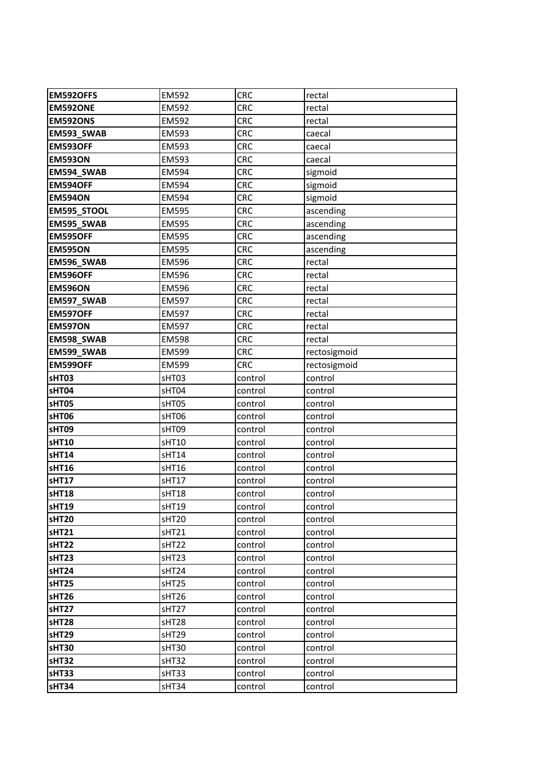| <b>EM592OFFS</b> | EM592        | <b>CRC</b> | rectal       |
|------------------|--------------|------------|--------------|
| EM592ONE         | <b>EM592</b> | <b>CRC</b> | rectal       |
| <b>EM592ONS</b>  | EM592        | <b>CRC</b> | rectal       |
| EM593_SWAB       | EM593        | <b>CRC</b> | caecal       |
| <b>EM593OFF</b>  | EM593        | <b>CRC</b> | caecal       |
| <b>EM593ON</b>   | EM593        | <b>CRC</b> | caecal       |
| EM594_SWAB       | EM594        | <b>CRC</b> | sigmoid      |
| <b>EM594OFF</b>  | EM594        | <b>CRC</b> | sigmoid      |
| <b>EM594ON</b>   | <b>EM594</b> | <b>CRC</b> | sigmoid      |
| EM595_STOOL      | <b>EM595</b> | <b>CRC</b> | ascending    |
| EM595_SWAB       | EM595        | <b>CRC</b> | ascending    |
| <b>EM595OFF</b>  | <b>EM595</b> | <b>CRC</b> | ascending    |
| <b>EM595ON</b>   | <b>EM595</b> | <b>CRC</b> | ascending    |
| EM596_SWAB       | <b>EM596</b> | <b>CRC</b> | rectal       |
| <b>EM596OFF</b>  | <b>EM596</b> | <b>CRC</b> | rectal       |
| <b>EM596ON</b>   | <b>EM596</b> | <b>CRC</b> | rectal       |
| EM597 SWAB       | EM597        | <b>CRC</b> | rectal       |
| <b>EM597OFF</b>  | EM597        | <b>CRC</b> | rectal       |
| <b>EM597ON</b>   | <b>EM597</b> | <b>CRC</b> | rectal       |
| EM598_SWAB       | <b>EM598</b> | <b>CRC</b> | rectal       |
| EM599_SWAB       | EM599        | <b>CRC</b> | rectosigmoid |
| <b>EM599OFF</b>  | <b>EM599</b> | <b>CRC</b> | rectosigmoid |
| sHT03            | sHT03        | control    | control      |
| sHT04            | sHT04        | control    | control      |
| sHT05            | sHT05        | control    | control      |
| sHT06            | sHT06        | control    | control      |
| sHT09            | sHT09        | control    | control      |
| <b>sHT10</b>     | sHT10        | control    | control      |
| <b>sHT14</b>     | sHT14        | control    | control      |
| <b>sHT16</b>     | sHT16        | control    | control      |
| sHT17            | sHT17        | control    | control      |
| <b>sHT18</b>     | sHT18        | control    | control      |
| sHT19            | sHT19        | control    | control      |
| sHT20            | sHT20        | control    | control      |
| sHT21            | sHT21        | control    | control      |
| sHT22            | sHT22        | control    | control      |
| sHT23            | sHT23        | control    | control      |
| sHT24            | sHT24        | control    | control      |
| sHT25            | sHT25        | control    | control      |
| sHT26            | sHT26        | control    | control      |
| sHT27            | sHT27        | control    | control      |
| sHT28            | sHT28        | control    | control      |
| sHT29            | sHT29        | control    | control      |
| sHT30            | sHT30        | control    | control      |
| sHT32            | sHT32        | control    | control      |
| sHT33            | sHT33        | control    | control      |
| sHT34            | sHT34        | control    | control      |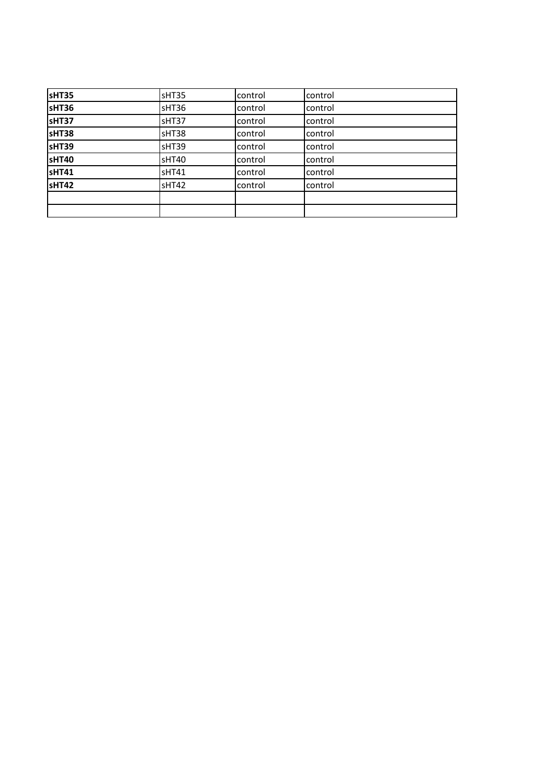| sHT35 | sHT35 | control | control |
|-------|-------|---------|---------|
| sHT36 | sHT36 | control | control |
| sHT37 | sHT37 | control | control |
| sHT38 | sHT38 | control | control |
| sHT39 | sHT39 | control | control |
| sHT40 | sHT40 | control | control |
| SHT41 | sHT41 | control | control |
| sHT42 | sHT42 | control | control |
|       |       |         |         |
|       |       |         |         |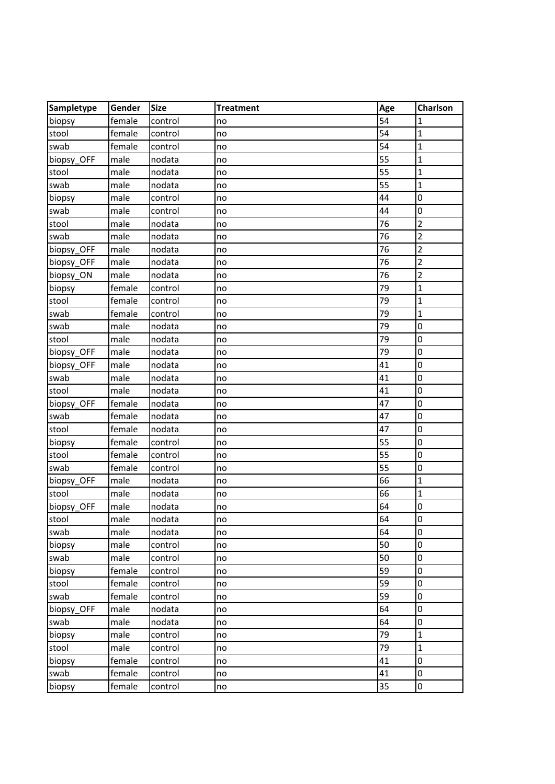| Sampletype | Gender | <b>Size</b> | <b>Treatment</b> | Age | <b>Charlson</b> |
|------------|--------|-------------|------------------|-----|-----------------|
| biopsy     | female | control     | no               | 54  | 1               |
| stool      | female | control     | no               | 54  | 1               |
| swab       | female | control     | no               | 54  | $\mathbf{1}$    |
| biopsy_OFF | male   | nodata      | no               | 55  | $\mathbf{1}$    |
| stool      | male   | nodata      | no               | 55  | $\mathbf{1}$    |
| swab       | male   | nodata      | no               | 55  | $\mathbf{1}$    |
| biopsy     | male   | control     | no               | 44  | 0               |
| swab       | male   | control     | no               | 44  | 0               |
| stool      | male   | nodata      | no               | 76  | $\overline{2}$  |
| swab       | male   | nodata      | no               | 76  | $\overline{2}$  |
| biopsy_OFF | male   | nodata      | no               | 76  | $\overline{2}$  |
| biopsy_OFF | male   | nodata      | no               | 76  | $\overline{2}$  |
| biopsy_ON  | male   | nodata      | no               | 76  | $\overline{2}$  |
| biopsy     | female | control     | no               | 79  | $\mathbf{1}$    |
| stool      | female | control     | no               | 79  | $\mathbf{1}$    |
| swab       | female | control     | no               | 79  | $\mathbf{1}$    |
| swab       | male   | nodata      | no               | 79  | 0               |
| stool      | male   | nodata      | no               | 79  | 0               |
| biopsy_OFF | male   | nodata      | no               | 79  | 0               |
| biopsy_OFF | male   | nodata      | no               | 41  | 0               |
| swab       | male   | nodata      | no               | 41  | 0               |
| stool      | male   | nodata      | no               | 41  | 0               |
| biopsy_OFF | female | nodata      | no               | 47  | 0               |
| swab       | female | nodata      | no               | 47  | 0               |
| stool      | female | nodata      | no               | 47  | 0               |
| biopsy     | female | control     | no               | 55  | 0               |
| stool      | female | control     | no               | 55  | 0               |
| swab       | female | control     | no               | 55  | 0               |
| biopsy_OFF | male   | nodata      | no               | 66  | $\mathbf{1}$    |
| stool      | male   | nodata      | no               | 66  | $\mathbf{1}$    |
| biopsy_OFF | male   | nodata      | no               | 64  | 0               |
| stool      | male   | nodata      | no               | 64  | 0               |
| swab       | male   | nodata      | no               | 64  | 0               |
| biopsy     | male   | control     | no               | 50  | 0               |
| swab       | male   | control     | no               | 50  | 0               |
| biopsy     | female | control     | no               | 59  | 0               |
| stool      | female | control     | no               | 59  | 0               |
| swab       | female | control     | no               | 59  | 0               |
| biopsy OFF | male   | nodata      | no               | 64  | 0               |
| swab       | male   | nodata      | no               | 64  | 0               |
| biopsy     | male   | control     | no               | 79  | $\mathbf{1}$    |
| stool      | male   | control     | no               | 79  | $\mathbf{1}$    |
| biopsy     | female | control     | no               | 41  | 0               |
| swab       | female | control     | no               | 41  | 0               |
| biopsy     | female | control     | no               | 35  | 0               |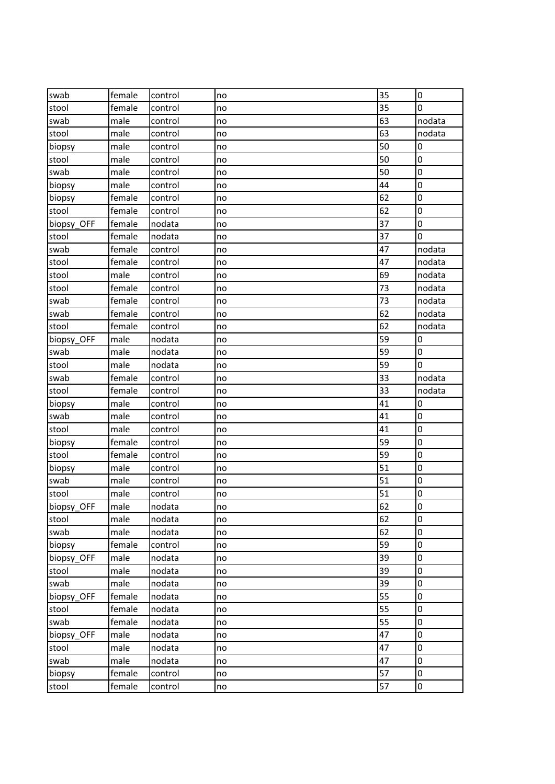| swab       | female | control | no | 35 | 0      |
|------------|--------|---------|----|----|--------|
| stool      | female | control | no | 35 | 0      |
| swab       | male   | control | no | 63 | nodata |
| stool      | male   | control | no | 63 | nodata |
| biopsy     | male   | control | no | 50 | 0      |
| stool      | male   | control | no | 50 | 0      |
| swab       | male   | control | no | 50 | 0      |
| biopsy     | male   | control | no | 44 | 0      |
| biopsy     | female | control | no | 62 | 0      |
| stool      | female | control | no | 62 | 0      |
| biopsy_OFF | female | nodata  | no | 37 | 0      |
| stool      | female | nodata  | no | 37 | 0      |
| swab       | female | control | no | 47 | nodata |
| stool      | female | control | no | 47 | nodata |
| stool      | male   | control | no | 69 | nodata |
| stool      | female | control | no | 73 | nodata |
| swab       | female | control | no | 73 | nodata |
| swab       | female | control | no | 62 | nodata |
| stool      | female | control | no | 62 | nodata |
| biopsy_OFF | male   | nodata  | no | 59 | 0      |
| swab       | male   | nodata  | no | 59 | 0      |
| stool      | male   | nodata  | no | 59 | 0      |
| swab       | female | control | no | 33 | nodata |
| stool      | female | control | no | 33 | nodata |
| biopsy     | male   | control | no | 41 | 0      |
| swab       | male   | control | no | 41 | 0      |
| stool      | male   | control | no | 41 | 0      |
| biopsy     | female | control | no | 59 | 0      |
| stool      | female | control | no | 59 | 0      |
| biopsy     | male   | control | no | 51 | 0      |
| swab       | male   | control | no | 51 | 0      |
| stool      | male   | control | no | 51 | 0      |
| biopsy_OFF | male   | nodata  | no | 62 | 0      |
| stool      | male   | nodata  | no | 62 | 0      |
| swab       | male   | nodata  | no | 62 | 0      |
| biopsy     | female | control | no | 59 | 0      |
| biopsy_OFF | male   | nodata  | no | 39 | 0      |
| stool      | male   | nodata  | no | 39 | 0      |
| swab       | male   | nodata  | no | 39 | 0      |
| biopsy OFF | female | nodata  | no | 55 | 0      |
| stool      | female | nodata  | no | 55 | 0      |
| swab       | female | nodata  | no | 55 | 0      |
| biopsy_OFF | male   | nodata  | no | 47 | 0      |
| stool      | male   | nodata  | no | 47 | 0      |
| swab       | male   | nodata  | no | 47 | 0      |
| biopsy     | female | control | no | 57 | 0      |
| stool      | female | control | no | 57 | 0      |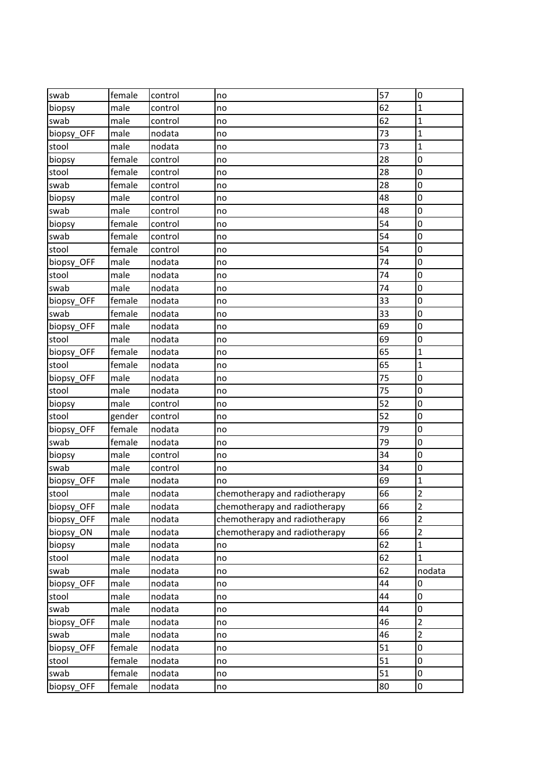| swab       | female | control | no                            | 57 | 0                       |
|------------|--------|---------|-------------------------------|----|-------------------------|
| biopsy     | male   | control | no                            | 62 | $\mathbf{1}$            |
| swab       | male   | control | no                            | 62 | 1                       |
| biopsy OFF | male   | nodata  | no                            | 73 | $\mathbf{1}$            |
| stool      | male   | nodata  | no                            | 73 | $\mathbf{1}$            |
| biopsy     | female | control | no                            | 28 | 0                       |
| stool      | female | control | no                            | 28 | 0                       |
| swab       | female | control | no                            | 28 | 0                       |
| biopsy     | male   | control | no                            | 48 | 0                       |
| swab       | male   | control | no                            | 48 | 0                       |
| biopsy     | female | control | no                            | 54 | 0                       |
| swab       | female | control | no                            | 54 | 0                       |
| stool      | female | control | no                            | 54 | 0                       |
| biopsy_OFF | male   | nodata  | no                            | 74 | 0                       |
| stool      | male   | nodata  | no                            | 74 | 0                       |
| swab       | male   | nodata  | no                            | 74 | 0                       |
| biopsy_OFF | female | nodata  | no                            | 33 | 0                       |
| swab       | female | nodata  | no                            | 33 | 0                       |
| biopsy_OFF | male   | nodata  | no                            | 69 | 0                       |
| stool      | male   | nodata  | no                            | 69 | 0                       |
| biopsy_OFF | female | nodata  | no                            | 65 | $\mathbf{1}$            |
| stool      | female | nodata  | no                            | 65 | $\mathbf{1}$            |
| biopsy OFF | male   | nodata  | no                            | 75 | 0                       |
| stool      | male   | nodata  | no                            | 75 | 0                       |
| biopsy     | male   | control | no                            | 52 | 0                       |
| stool      | gender | control | no                            | 52 | 0                       |
| biopsy_OFF | female | nodata  | no                            | 79 | 0                       |
| swab       | female | nodata  | no                            | 79 | 0                       |
| biopsy     | male   | control | no                            | 34 | 0                       |
| swab       | male   | control | no                            | 34 | 0                       |
| biopsy OFF | male   | nodata  | no                            | 69 | 1                       |
| stool      | male   | nodata  | chemotherapy and radiotherapy | 66 | $\overline{2}$          |
| biopsy_OFF | male   | nodata  | chemotherapy and radiotherapy | 66 | $\overline{\mathbf{c}}$ |
| biopsy_OFF | male   | nodata  | chemotherapy and radiotherapy | 66 | $\overline{2}$          |
| biopsy_ON  | male   | nodata  | chemotherapy and radiotherapy | 66 | $\overline{2}$          |
| biopsy     | male   | nodata  | no                            | 62 | $\mathbf{1}$            |
| stool      | male   | nodata  | no                            | 62 | $\mathbf{1}$            |
| swab       | male   | nodata  | no                            | 62 | nodata                  |
| biopsy_OFF | male   | nodata  | no                            | 44 | 0                       |
| stool      | male   | nodata  | no                            | 44 | 0                       |
| swab       | male   | nodata  | no                            | 44 | 0                       |
| biopsy_OFF | male   | nodata  | no                            | 46 | $\overline{2}$          |
| swab       | male   | nodata  | no                            | 46 | $\overline{2}$          |
| biopsy_OFF | female | nodata  | no                            | 51 | 0                       |
| stool      | female | nodata  | no                            | 51 | 0                       |
| swab       | female | nodata  | no                            | 51 | 0                       |
| biopsy_OFF | female | nodata  | no                            | 80 | 0                       |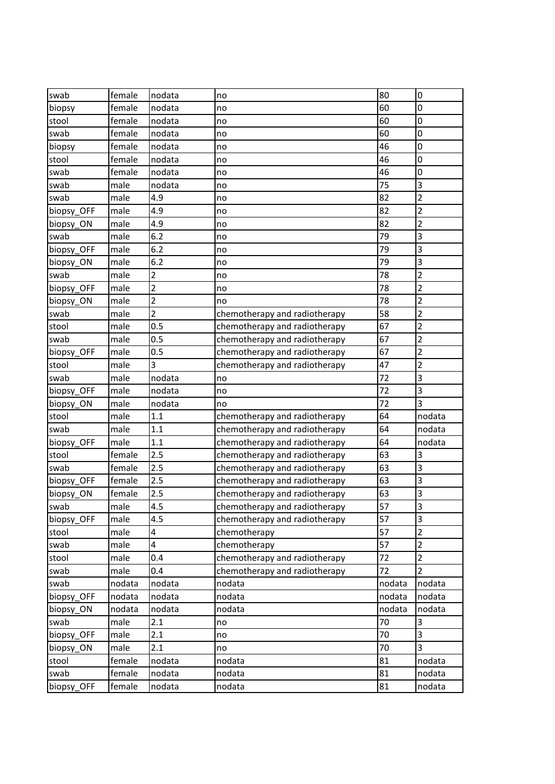| swab       | female | nodata         | no                            | 80              | 0                       |
|------------|--------|----------------|-------------------------------|-----------------|-------------------------|
| biopsy     | female | nodata         | no                            | 60              | 0                       |
| stool      | female | nodata         | no                            | 60              | 0                       |
| swab       | female | nodata         | no                            | 60              | 0                       |
| biopsy     | female | nodata         | no                            | 46              | 0                       |
| stool      | female | nodata         | no                            | 46              | 0                       |
| swab       | female | nodata         | no                            | 46              | 0                       |
| swab       | male   | nodata         | no                            | 75              | 3                       |
| swab       | male   | 4.9            | no                            | 82              | $\overline{2}$          |
| biopsy_OFF | male   | 4.9            | no                            | 82              | $\overline{2}$          |
| biopsy_ON  | male   | 4.9            | no                            | 82              | $\overline{2}$          |
| swab       | male   | 6.2            | no                            | 79              | 3                       |
| biopsy OFF | male   | 6.2            | no                            | 79              | 3                       |
| biopsy_ON  | male   | 6.2            | no                            | 79              | 3                       |
| swab       | male   | 2              | no                            | 78              | 2                       |
| biopsy_OFF | male   | $\overline{2}$ | no                            | 78              | $\overline{2}$          |
| biopsy ON  | male   | $\overline{2}$ | no                            | 78              | $\overline{2}$          |
| swab       | male   | $\overline{2}$ | chemotherapy and radiotherapy | 58              | 2                       |
| stool      | male   | 0.5            | chemotherapy and radiotherapy | 67              | $\overline{2}$          |
| swab       | male   | 0.5            | chemotherapy and radiotherapy | 67              | $\overline{\mathbf{c}}$ |
| biopsy_OFF | male   | 0.5            | chemotherapy and radiotherapy | 67              | 2                       |
| stool      | male   | 3              | chemotherapy and radiotherapy | 47              | $\overline{2}$          |
| swab       | male   | nodata         | no                            | 72              | 3                       |
| biopsy_OFF | male   | nodata         | no                            | 72              | 3                       |
| biopsy_ON  | male   | nodata         | no                            | 72              | 3                       |
| stool      | male   | 1.1            | chemotherapy and radiotherapy | 64              | nodata                  |
| swab       | male   | 1.1            | chemotherapy and radiotherapy | 64              | nodata                  |
| biopsy_OFF | male   | 1.1            | chemotherapy and radiotherapy | 64              | nodata                  |
| stool      | female | 2.5            | chemotherapy and radiotherapy | 63              | 3                       |
| swab       | female | 2.5            | chemotherapy and radiotherapy | 63              | 3                       |
| biopsy_OFF | female | 2.5            | chemotherapy and radiotherapy | 63              | 3                       |
| biopsy_ON  | female | 2.5            | chemotherapy and radiotherapy | 63              | 3                       |
| swab       | male   | 4.5            | chemotherapy and radiotherapy | $\overline{57}$ | 3                       |
| biopsy OFF | male   | 4.5            | chemotherapy and radiotherapy | 57              | 3                       |
| stool      | male   | 4              | chemotherapy                  | 57              | $\overline{2}$          |
| swab       | male   | 4              | chemotherapy                  | 57              | $\overline{2}$          |
| stool      | male   | 0.4            | chemotherapy and radiotherapy | 72              | $\overline{2}$          |
| swab       | male   | 0.4            | chemotherapy and radiotherapy | 72              | $\overline{2}$          |
| swab       | nodata | nodata         | nodata                        | nodata          | nodata                  |
| biopsy_OFF | nodata | nodata         | nodata                        | nodata          | nodata                  |
| biopsy_ON  | nodata | nodata         | nodata                        | nodata          | nodata                  |
| swab       | male   | 2.1            | no                            | 70              | 3                       |
| biopsy_OFF | male   | 2.1            | no                            | 70              | 3                       |
| biopsy_ON  | male   | 2.1            | no                            | 70              | 3                       |
| stool      | female | nodata         | nodata                        | 81              | nodata                  |
| swab       | female | nodata         | nodata                        | 81              | nodata                  |
| biopsy_OFF | female | nodata         | nodata                        | 81              | nodata                  |
|            |        |                |                               |                 |                         |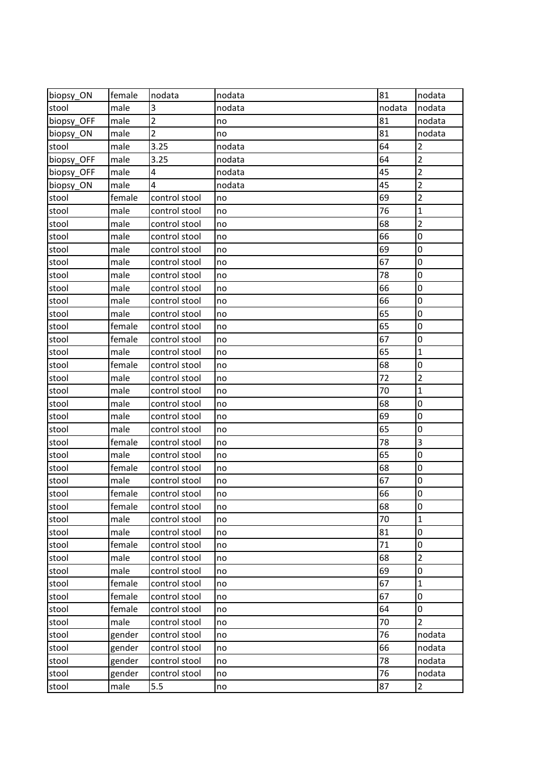| biopsy_ON  | female | nodata         | nodata | 81     | nodata                  |
|------------|--------|----------------|--------|--------|-------------------------|
| stool      | male   | 3              | nodata | nodata | nodata                  |
| biopsy_OFF | male   | $\overline{2}$ | no     | 81     | nodata                  |
| biopsy ON  | male   | 2              | no     | 81     | nodata                  |
| stool      | male   | 3.25           | nodata | 64     | $\overline{2}$          |
| biopsy_OFF | male   | 3.25           | nodata | 64     | $\overline{2}$          |
| biopsy OFF | male   | 4              | nodata | 45     | $\overline{\mathbf{c}}$ |
| biopsy ON  | male   | 4              | nodata | 45     | $\overline{2}$          |
| stool      | female | control stool  | no     | 69     | $\overline{2}$          |
| stool      | male   | control stool  | no     | 76     | $\mathbf{1}$            |
| stool      | male   | control stool  | no     | 68     | $\overline{2}$          |
| stool      | male   | control stool  | no     | 66     | 0                       |
| stool      | male   | control stool  | no     | 69     | 0                       |
| stool      | male   | control stool  | no     | 67     | 0                       |
| stool      | male   | control stool  | no     | 78     | 0                       |
| stool      | male   | control stool  | no     | 66     | 0                       |
| stool      | male   | control stool  | no     | 66     | 0                       |
| stool      | male   | control stool  | no     | 65     | 0                       |
| stool      | female | control stool  | no     | 65     | 0                       |
| stool      | female | control stool  | no     | 67     | 0                       |
| stool      | male   | control stool  | no     | 65     | 1                       |
| stool      | female | control stool  | no     | 68     | 0                       |
| stool      | male   | control stool  | no     | 72     | $\overline{2}$          |
| stool      | male   | control stool  | no     | 70     | $\mathbf{1}$            |
| stool      | male   | control stool  | no     | 68     | 0                       |
| stool      | male   | control stool  | no     | 69     | 0                       |
| stool      | male   | control stool  | no     | 65     | 0                       |
| stool      | female | control stool  | no     | 78     | 3                       |
| stool      | male   | control stool  | no     | 65     | 0                       |
| stool      | female | control stool  | no     | 68     | 0                       |
| stool      | male   | control stool  | no     | 67     | 0                       |
| stool      | female | control stool  | no     | 66     | 0                       |
| stool      | female | control stool  | no     | 68     | 0                       |
| stool      | male   | control stool  | no     | 70     | $\mathbf{1}$            |
| stool      | male   | control stool  | no     | 81     | 0                       |
| stool      | female | control stool  | no     | 71     | 0                       |
| stool      | male   | control stool  | no     | 68     | 2                       |
| stool      | male   | control stool  | no     | 69     | 0                       |
| stool      | female | control stool  | no     | 67     | 1                       |
| stool      | female | control stool  | no     | 67     | 0                       |
| stool      | female | control stool  | no     | 64     | 0                       |
| stool      | male   | control stool  | no     | 70     | $\overline{2}$          |
| stool      | gender | control stool  | no     | 76     | nodata                  |
| stool      | gender | control stool  | no     | 66     | nodata                  |
| stool      | gender | control stool  | no     | 78     | nodata                  |
| stool      | gender | control stool  | no     | 76     | nodata                  |
| stool      | male   | 5.5            | no     | 87     | $\overline{2}$          |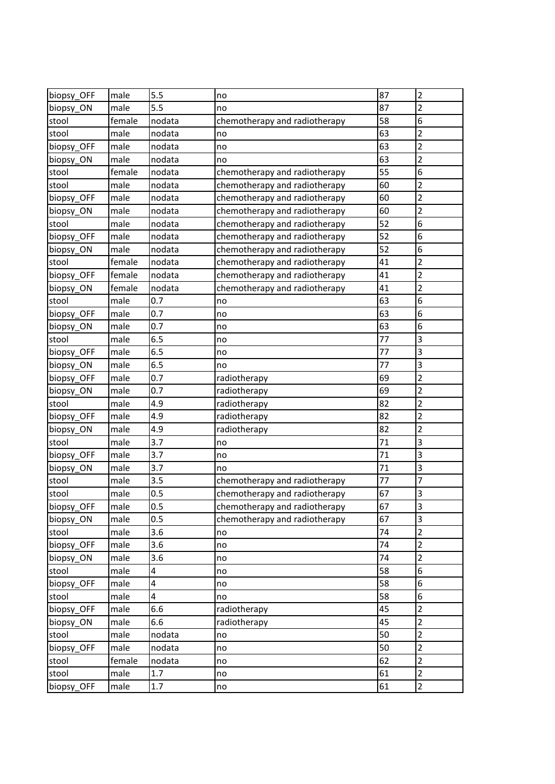| biopsy OFF | male   | 5.5    | no                            | 87 | $\overline{2}$          |
|------------|--------|--------|-------------------------------|----|-------------------------|
| biopsy_ON  | male   | 5.5    | no                            | 87 | 2                       |
| stool      | female | nodata | chemotherapy and radiotherapy | 58 | 6                       |
| stool      | male   | nodata | no                            | 63 | $\overline{\mathbf{c}}$ |
| biopsy_OFF | male   | nodata | no                            | 63 | $\overline{\mathbf{c}}$ |
| biopsy_ON  | male   | nodata | no                            | 63 | $\overline{2}$          |
| stool      | female | nodata | chemotherapy and radiotherapy | 55 | 6                       |
| stool      | male   | nodata | chemotherapy and radiotherapy | 60 | 2                       |
| biopsy_OFF | male   | nodata | chemotherapy and radiotherapy | 60 | $\overline{2}$          |
| biopsy_ON  | male   | nodata | chemotherapy and radiotherapy | 60 | $\overline{\mathbf{c}}$ |
| stool      | male   | nodata | chemotherapy and radiotherapy | 52 | 6                       |
| biopsy_OFF | male   | nodata | chemotherapy and radiotherapy | 52 | 6                       |
| biopsy_ON  | male   | nodata | chemotherapy and radiotherapy | 52 | 6                       |
| stool      | female | nodata | chemotherapy and radiotherapy | 41 | 2                       |
| biopsy_OFF | female | nodata | chemotherapy and radiotherapy | 41 | 2                       |
| biopsy_ON  | female | nodata | chemotherapy and radiotherapy | 41 | $\overline{2}$          |
| stool      | male   | 0.7    | no                            | 63 | 6                       |
| biopsy_OFF | male   | 0.7    | no                            | 63 | 6                       |
| biopsy_ON  | male   | 0.7    | no                            | 63 | 6                       |
| stool      | male   | 6.5    | no                            | 77 | 3                       |
| biopsy_OFF | male   | 6.5    | no                            | 77 | 3                       |
| biopsy_ON  | male   | 6.5    | no                            | 77 | 3                       |
| biopsy_OFF | male   | 0.7    | radiotherapy                  | 69 | $\overline{\mathbf{c}}$ |
| biopsy_ON  | male   | 0.7    | radiotherapy                  | 69 | $\overline{2}$          |
| stool      | male   | 4.9    | radiotherapy                  | 82 | 2                       |
| biopsy_OFF | male   | 4.9    | radiotherapy                  | 82 | $\overline{2}$          |
| biopsy_ON  | male   | 4.9    | radiotherapy                  | 82 | 2                       |
| stool      | male   | 3.7    | no                            | 71 | 3                       |
| biopsy_OFF | male   | 3.7    | no                            | 71 | 3                       |
| biopsy_ON  | male   | 3.7    | no                            | 71 | $\overline{\mathbf{3}}$ |
| stool      | male   | 3.5    | chemotherapy and radiotherapy | 77 | 7                       |
| stool      | male   | 0.5    | chemotherapy and radiotherapy | 67 | 3                       |
| biopsy_OFF | male   | 0.5    | chemotherapy and radiotherapy | 67 | 3                       |
| biopsy_ON  | male   | 0.5    | chemotherapy and radiotherapy | 67 | 3                       |
| stool      | male   | 3.6    | no                            | 74 | $\overline{2}$          |
| biopsy_OFF | male   | 3.6    | no                            | 74 | $\overline{2}$          |
| biopsy_ON  | male   | 3.6    | no                            | 74 | 2                       |
| stool      | male   | 4      | no                            | 58 | 6                       |
| biopsy_OFF | male   | 4      | no                            | 58 | 6                       |
| stool      | male   | 4      | no                            | 58 | 6                       |
| biopsy_OFF | male   | 6.6    | radiotherapy                  | 45 | 2                       |
| biopsy_ON  | male   | 6.6    | radiotherapy                  | 45 | 2                       |
| stool      | male   | nodata | no                            | 50 | $\overline{2}$          |
| biopsy_OFF | male   | nodata | no                            | 50 | $\overline{2}$          |
| stool      | female | nodata | no                            | 62 | 2                       |
| stool      | male   | 1.7    | no                            | 61 | $\overline{2}$          |
| biopsy_OFF | male   | 1.7    | no                            | 61 | $\overline{2}$          |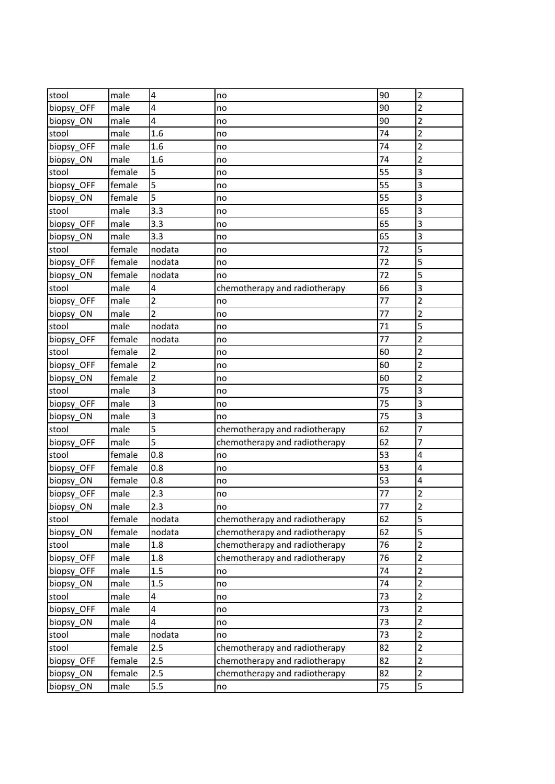| stool      | male   | 4                       | no                            | 90              | $\overline{2}$          |
|------------|--------|-------------------------|-------------------------------|-----------------|-------------------------|
| biopsy_OFF | male   | 4                       | no                            | 90              | $\overline{2}$          |
| biopsy_ON  | male   | 4                       | no                            | 90              | $\overline{2}$          |
| stool      | male   | 1.6                     | no                            | 74              | $\overline{2}$          |
| biopsy_OFF | male   | 1.6                     | no                            | 74              | 2                       |
| biopsy_ON  | male   | 1.6                     | no                            | 74              | $\overline{2}$          |
| stool      | female | 5                       | no                            | 55              | 3                       |
| biopsy_OFF | female | 5                       | no                            | 55              | 3                       |
| biopsy_ON  | female | 5                       | no                            | 55              | 3                       |
| stool      | male   | 3.3                     | no                            | 65              | 3                       |
| biopsy OFF | male   | 3.3                     | no                            | 65              | 3                       |
| biopsy_ON  | male   | 3.3                     | no                            | 65              | 3                       |
| stool      | female | nodata                  | no                            | 72              | 5                       |
| biopsy_OFF | female | nodata                  | no                            | 72              | 5                       |
| biopsy ON  | female | nodata                  | no                            | 72              | 5                       |
| stool      | male   | 4                       | chemotherapy and radiotherapy | 66              | 3                       |
| biopsy_OFF | male   | 2                       | no                            | 77              | $\overline{2}$          |
| biopsy_ON  | male   | $\overline{2}$          | no                            | 77              | 2                       |
| stool      | male   | nodata                  | no                            | 71              | 5                       |
| biopsy_OFF | female | nodata                  | no                            | 77              | 2                       |
| stool      | female | $\overline{2}$          | no                            | 60              | 2                       |
| biopsy_OFF | female | $\overline{2}$          | no                            | 60              | $\overline{2}$          |
| biopsy_ON  | female | $\overline{\mathbf{c}}$ | no                            | 60              | 2                       |
| stool      | male   | 3                       | no                            | 75              | 3                       |
| biopsy_OFF | male   | 3                       | no                            | 75              | 3                       |
| biopsy_ON  | male   | 3                       | no                            | 75              | 3                       |
| stool      | male   | 5                       | chemotherapy and radiotherapy | 62              | 7                       |
| biopsy_OFF | male   | 5                       | chemotherapy and radiotherapy | 62              | 7                       |
| stool      | female | 0.8                     | no                            | 53              | 4                       |
| biopsy_OFF | female | 0.8                     | no                            | 53              | 4                       |
| biopsy_ON  | female | 0.8                     | no                            | 53              | 4                       |
| biopsy_OFF | male   | 2.3                     | no                            | 77              | 2                       |
| biopsy_ON  | male   | 2.3                     | no                            | $\overline{77}$ | $\overline{\mathbf{c}}$ |
| stool      | female | nodata                  | chemotherapy and radiotherapy | 62              | 5                       |
| biopsy_ON  | female | nodata                  | chemotherapy and radiotherapy | 62              | 5                       |
| stool      | male   | 1.8                     | chemotherapy and radiotherapy | 76              | $\overline{2}$          |
| biopsy_OFF | male   | 1.8                     | chemotherapy and radiotherapy | 76              | $\overline{2}$          |
| biopsy OFF | male   | 1.5                     | no                            | 74              | $\overline{2}$          |
| biopsy_ON  | male   | 1.5                     | no                            | 74              | $\overline{2}$          |
| stool      | male   | 4                       | no                            | 73              | $\overline{2}$          |
| biopsy_OFF | male   | 4                       | no                            | 73              | $\overline{2}$          |
| biopsy_ON  | male   | 4                       | no                            | 73              | $\overline{2}$          |
| stool      | male   | nodata                  | no                            | 73              | $\overline{2}$          |
| stool      | female | 2.5                     | chemotherapy and radiotherapy | 82              | $\overline{2}$          |
| biopsy_OFF | female | 2.5                     | chemotherapy and radiotherapy | 82              | $\overline{2}$          |
| biopsy ON  | female | 2.5                     | chemotherapy and radiotherapy | 82              | $\overline{2}$          |
| biopsy_ON  | male   | 5.5                     | no                            | 75              | 5                       |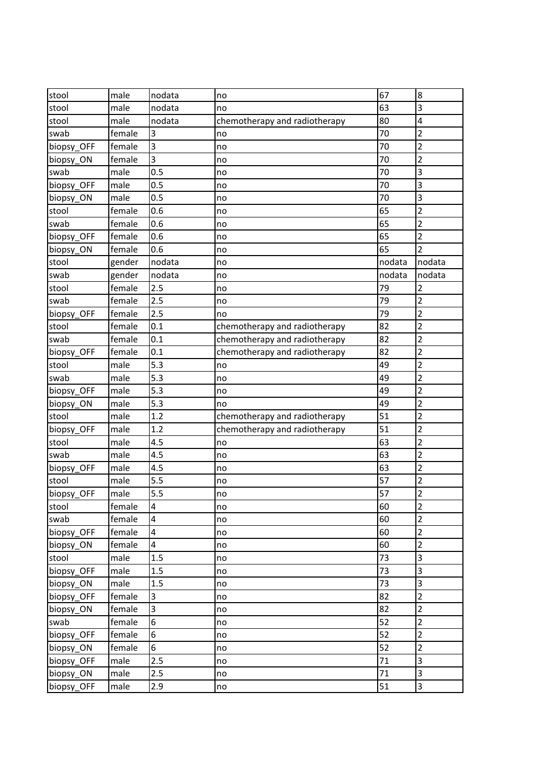| stool      | male   | nodata  | no                            | 67     | 8              |
|------------|--------|---------|-------------------------------|--------|----------------|
| stool      | male   | nodata  | no                            | 63     | 3              |
| stool      | male   | nodata  | chemotherapy and radiotherapy | 80     | 4              |
| swab       | female | 3       | no                            | 70     | $\overline{2}$ |
| biopsy_OFF | female | 3       | no                            | 70     | $\overline{2}$ |
| biopsy_ON  | female | 3       | no                            | 70     | $\overline{2}$ |
| swab       | male   | 0.5     | no                            | 70     | 3              |
| biopsy_OFF | male   | 0.5     | no                            | 70     | 3              |
| biopsy_ON  | male   | 0.5     | no                            | 70     | 3              |
| stool      | female | 0.6     | no                            | 65     | 2              |
| swab       | female | 0.6     | no                            | 65     | $\overline{2}$ |
| biopsy_OFF | female | 0.6     | no                            | 65     | $\overline{2}$ |
| biopsy_ON  | female | 0.6     | no                            | 65     | 2              |
| stool      | gender | nodata  | no                            | nodata | nodata         |
| swab       | gender | nodata  | no                            | nodata | nodata         |
| stool      | female | 2.5     | no                            | 79     | $\overline{2}$ |
| swab       | female | 2.5     | no                            | 79     | $\overline{2}$ |
| biopsy_OFF | female | 2.5     | no                            | 79     | $\overline{2}$ |
| stool      | female | 0.1     | chemotherapy and radiotherapy | 82     | $\overline{2}$ |
| swab       | female | 0.1     | chemotherapy and radiotherapy | 82     | 2              |
| biopsy_OFF | female | 0.1     | chemotherapy and radiotherapy | 82     | 2              |
| stool      | male   | 5.3     | no                            | 49     | $\overline{2}$ |
| swab       | male   | 5.3     | no                            | 49     | $\overline{2}$ |
| biopsy_OFF | male   | 5.3     | no                            | 49     | $\overline{2}$ |
| biopsy_ON  | male   | 5.3     | no                            | 49     | $\overline{2}$ |
| stool      | male   | 1.2     | chemotherapy and radiotherapy | 51     | $\overline{2}$ |
| biopsy_OFF | male   | 1.2     | chemotherapy and radiotherapy | 51     | 2              |
| stool      | male   | 4.5     | no                            | 63     | $\overline{2}$ |
| swab       | male   | 4.5     | no                            | 63     | $\overline{2}$ |
| biopsy_OFF | male   | 4.5     | no                            | 63     | $\overline{2}$ |
| stool      | male   | 5.5     | no                            | 57     | $\overline{2}$ |
| biopsy_OFF | male   | 5.5     | no                            | 57     | $\overline{2}$ |
| stool      | female | 4       | no                            | 60     | 2              |
| swab       | female | 4       | no                            | 60     | $\overline{2}$ |
| biopsy_OFF | female | 4       | no                            | 60     | $\overline{2}$ |
| biopsy_ON  | female | 4       | no                            | 60     | $\overline{2}$ |
| stool      | male   | $1.5\,$ | no                            | 73     | 3              |
| biopsy_OFF | male   | 1.5     | no                            | 73     | 3              |
| biopsy ON  | male   | 1.5     | no                            | 73     | 3              |
| biopsy_OFF | female | 3       | no                            | 82     | $\overline{2}$ |
| biopsy_ON  | female | 3       | no                            | 82     | $\overline{2}$ |
| swab       | female | 6       | no                            | 52     | $\overline{2}$ |
| biopsy_OFF | female | 6       | no                            | 52     | $\overline{2}$ |
| biopsy_ON  | female | 6       | no                            | 52     | $\overline{2}$ |
| biopsy_OFF | male   | 2.5     | no                            | 71     | 3              |
| biopsy ON  | male   | 2.5     | no                            | 71     | 3              |
| biopsy_OFF | male   | 2.9     | no                            | 51     | 3              |
|            |        |         |                               |        |                |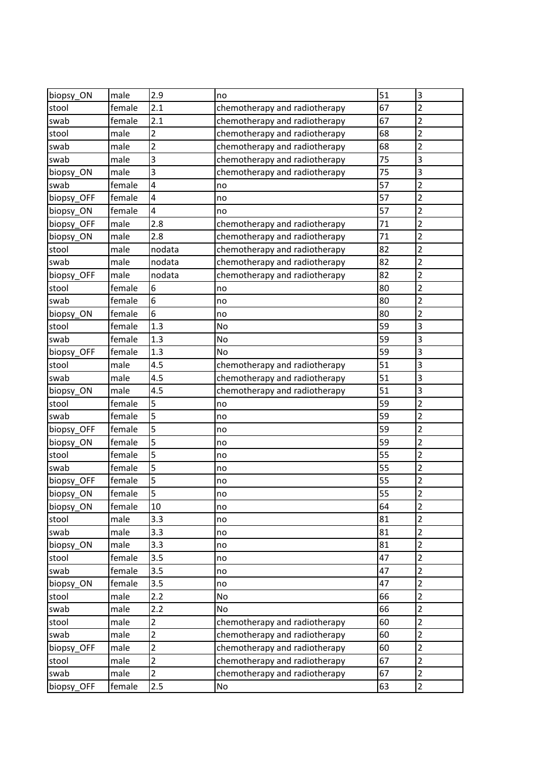| biopsy_ON  | male   | 2.9                     | no                            | 51 | 3                       |
|------------|--------|-------------------------|-------------------------------|----|-------------------------|
| stool      | female | 2.1                     | chemotherapy and radiotherapy | 67 | $\overline{2}$          |
| swab       | female | 2.1                     | chemotherapy and radiotherapy | 67 | $\overline{2}$          |
| stool      | male   | 2                       | chemotherapy and radiotherapy | 68 | 2                       |
| swab       | male   | $\overline{\mathbf{c}}$ | chemotherapy and radiotherapy | 68 | $\overline{2}$          |
| swab       | male   | 3                       | chemotherapy and radiotherapy | 75 | 3                       |
| biopsy_ON  | male   | 3                       | chemotherapy and radiotherapy | 75 | 3                       |
| swab       | female | 4                       | no                            | 57 | $\overline{2}$          |
| biopsy_OFF | female | 4                       | no                            | 57 | $\overline{2}$          |
| biopsy ON  | female | 4                       | no                            | 57 | $\overline{2}$          |
| biopsy_OFF | male   | 2.8                     | chemotherapy and radiotherapy | 71 | $\overline{2}$          |
| biopsy_ON  | male   | 2.8                     | chemotherapy and radiotherapy | 71 | $\overline{2}$          |
| stool      | male   | nodata                  | chemotherapy and radiotherapy | 82 | $\overline{2}$          |
| swab       | male   | nodata                  | chemotherapy and radiotherapy | 82 | $\overline{2}$          |
| biopsy_OFF | male   | nodata                  | chemotherapy and radiotherapy | 82 | $\overline{2}$          |
| stool      | female | 6                       | no                            | 80 | $\overline{2}$          |
| swab       | female | 6                       | no                            | 80 | $\overline{\mathbf{c}}$ |
| biopsy_ON  | female | 6                       | no                            | 80 | $\overline{2}$          |
| stool      | female | 1.3                     | No                            | 59 | 3                       |
| swab       | female | 1.3                     | No                            | 59 | $\overline{\mathbf{3}}$ |
| biopsy_OFF | female | 1.3                     | No                            | 59 | 3                       |
| stool      | male   | 4.5                     | chemotherapy and radiotherapy | 51 | 3                       |
| swab       | male   | 4.5                     | chemotherapy and radiotherapy | 51 | 3                       |
| biopsy_ON  | male   | 4.5                     | chemotherapy and radiotherapy | 51 | 3                       |
| stool      | female | 5                       | no                            | 59 | $\overline{2}$          |
| swab       | female | 5                       | no                            | 59 | $\overline{2}$          |
| biopsy_OFF | female | 5                       | no                            | 59 | 2                       |
| biopsy_ON  | female | 5                       | no                            | 59 | 2                       |
| stool      | female | 5                       | no                            | 55 | $\overline{2}$          |
| swab       | female | 5                       | no                            | 55 | $\overline{2}$          |
| biopsy_OFF | female | 5                       | no                            | 55 | $\overline{2}$          |
| biopsy_ON  | female | 5                       | no                            | 55 | 2                       |
| biopsy_ON  | female | 10                      | no                            | 64 | $\overline{\mathbf{c}}$ |
| stool      | male   | 3.3                     | no                            | 81 | $\overline{2}$          |
| swab       | male   | 3.3                     | no                            | 81 | $\overline{2}$          |
| biopsy_ON  | male   | 3.3                     | no                            | 81 | $\overline{2}$          |
| stool      | female | 3.5                     | no                            | 47 | 2                       |
| swab       | female | 3.5                     | no                            | 47 | $\overline{2}$          |
| biopsy_ON  | female | 3.5                     | no                            | 47 | $\overline{2}$          |
| stool      | male   | 2.2                     | No                            | 66 | $\overline{2}$          |
| swab       | male   | 2.2                     | No                            | 66 | $\overline{2}$          |
| stool      | male   | 2                       | chemotherapy and radiotherapy | 60 | $\overline{2}$          |
| swab       | male   | $\overline{2}$          | chemotherapy and radiotherapy | 60 | $\overline{2}$          |
| biopsy_OFF | male   | $\overline{2}$          | chemotherapy and radiotherapy | 60 | $\overline{2}$          |
| stool      | male   | $\overline{2}$          | chemotherapy and radiotherapy | 67 | $\overline{2}$          |
| swab       | male   | $\overline{2}$          | chemotherapy and radiotherapy | 67 | $\overline{2}$          |
| biopsy_OFF | female | 2.5                     | No                            | 63 | $\overline{2}$          |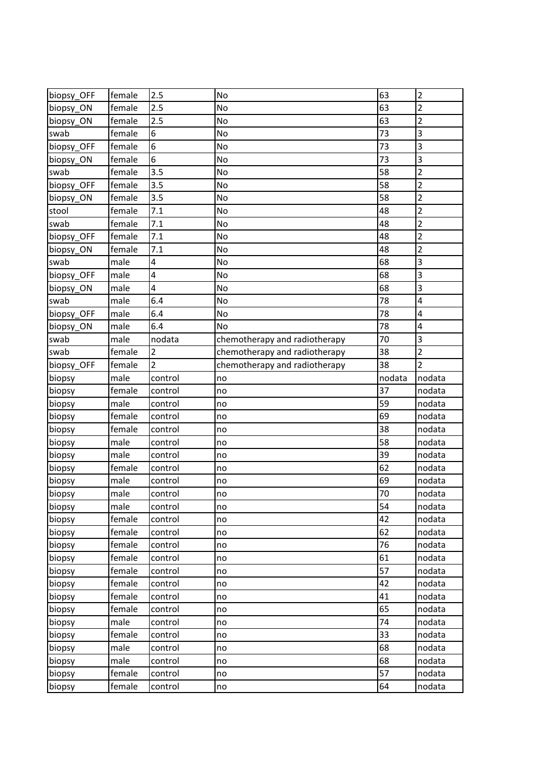| biopsy OFF | female           | 2.5                | No                            | 63     | $\overline{2}$ |
|------------|------------------|--------------------|-------------------------------|--------|----------------|
| biopsy_ON  | female           | 2.5                | <b>No</b>                     | 63     | 2              |
| biopsy_ON  | female           | 2.5                | No                            | 63     | $\overline{2}$ |
| swab       | female           | 6                  | No                            | 73     | 3              |
| biopsy_OFF | female           | 6                  | No                            | 73     | 3              |
| biopsy_ON  | female           | 6                  | No                            | 73     | 3              |
| swab       | female           | 3.5                | No                            | 58     | 2              |
| biopsy_OFF | female           | 3.5                | No                            | 58     | 2              |
| biopsy_ON  | female           | 3.5                | No                            | 58     | $\overline{2}$ |
| stool      | female           | 7.1                | No                            | 48     | $\overline{2}$ |
| swab       | female           | 7.1                | No                            | 48     | $\overline{2}$ |
| biopsy_OFF | female           | 7.1                | No                            | 48     | $\overline{2}$ |
| biopsy_ON  | female           | 7.1                | No                            | 48     | $\overline{2}$ |
| swab       | male             | 4                  | No                            | 68     | 3              |
| biopsy_OFF | male             | 4                  | No                            | 68     | 3              |
| biopsy_ON  | male             | 4                  | No                            | 68     | 3              |
| swab       | male             | 6.4                | No                            | 78     | 4              |
| biopsy_OFF | male             | 6.4                | No                            | 78     | 4              |
| biopsy_ON  | male             | 6.4                | No                            | 78     | 4              |
| swab       | male             | nodata             | chemotherapy and radiotherapy | 70     | 3              |
| swab       | female           | 2                  | chemotherapy and radiotherapy | 38     | $\overline{2}$ |
| biopsy_OFF | female           | $\overline{2}$     | chemotherapy and radiotherapy | 38     | $\overline{2}$ |
| biopsy     | male             | control            | no                            | nodata | nodata         |
| biopsy     | female           | control            | no                            | 37     | nodata         |
| biopsy     | male             | control            | no                            | 59     | nodata         |
| biopsy     | female           | control            | no                            | 69     | nodata         |
| biopsy     | female           | control            | no                            | 38     | nodata         |
| biopsy     | male             | control            | no                            | 58     | nodata         |
| biopsy     | male             | control            | no                            | 39     | nodata         |
| biopsy     | female           | control            | no                            | 62     | nodata         |
| biopsy     | male             | control            | no                            | 69     | nodata         |
| biopsy     | male             | control            | no                            | 70     | nodata         |
| biopsy     | male             | control            | no                            | 54     | nodata         |
| biopsy     | female           | control            | no                            | 42     | nodata         |
| biopsy     | female           | control            | no                            | 62     | nodata         |
| biopsy     | female           | control            | no                            | 76     | nodata         |
| biopsy     | female           | control            | no                            | 61     | nodata         |
| biopsy     | female           | control            | no                            | 57     | nodata         |
| biopsy     | female           | control            | no                            | 42     | nodata         |
| biopsy     | female           | control            | no                            | 41     | nodata         |
| biopsy     | female           | control            | no                            | 65     | nodata         |
| biopsy     | male             | control            | no                            | 74     | nodata         |
| biopsy     | female           | control            | no                            | 33     | nodata         |
| biopsy     | male             | control            | no                            | 68     | nodata         |
| biopsy     | male             | control            | no                            | 68     | nodata         |
| biopsy     |                  |                    |                               | 57     | nodata         |
| biopsy     | female<br>female | control<br>control | no<br>no                      | 64     | nodata         |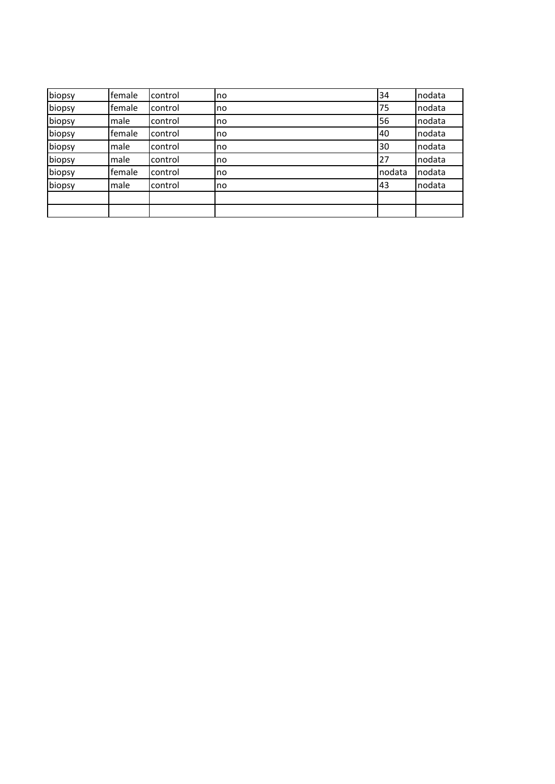| biopsy | female | control | no | 34     | nodata |
|--------|--------|---------|----|--------|--------|
| biopsy | female | control | no | 75     | nodata |
| biopsy | male   | control | no | 56     | nodata |
| biopsy | female | control | no | 40     | nodata |
| biopsy | male   | control | no | 30     | nodata |
| biopsy | male   | control | no | 27     | nodata |
| biopsy | female | control | no | nodata | nodata |
| biopsy | male   | control | no | 43     | nodata |
|        |        |         |    |        |        |
|        |        |         |    |        |        |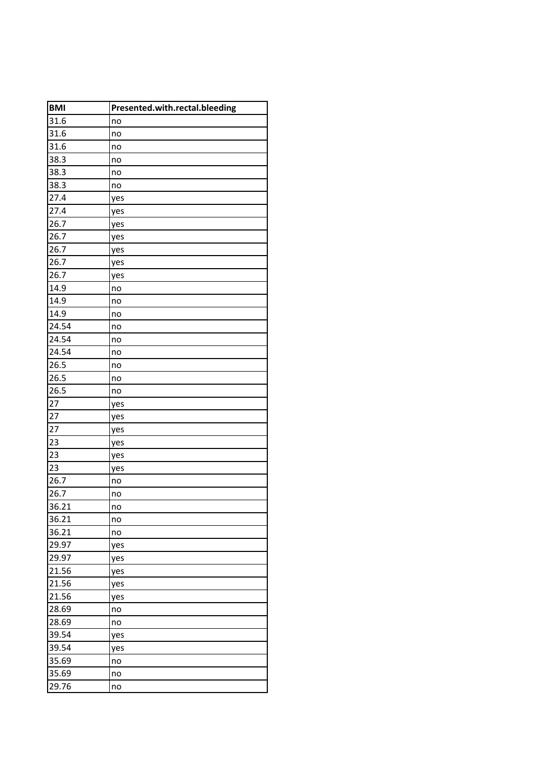| <b>BMI</b> | Presented.with.rectal.bleeding |
|------------|--------------------------------|
| 31.6       | no                             |
| 31.6       | no                             |
| 31.6       | no                             |
| 38.3       | no                             |
| 38.3       | no                             |
| 38.3       | no                             |
| 27.4       | yes                            |
| 27.4       | yes                            |
| 26.7       | yes                            |
| 26.7       | yes                            |
| 26.7       | yes                            |
| 26.7       | yes                            |
| 26.7       | yes                            |
| 14.9       | no                             |
| 14.9       | no                             |
| 14.9       | no                             |
| 24.54      | no                             |
| 24.54      | no                             |
| 24.54      | no                             |
| 26.5       | no                             |
| 26.5       | no                             |
| 26.5       | no                             |
| 27         | yes                            |
| 27         | yes                            |
| 27         | yes                            |
| 23         | yes                            |
| 23         | yes                            |
| 23         | yes                            |
| 26.7       | no                             |
| 26.7       | no                             |
| 36.21      | no                             |
| 36.21      | no                             |
| 36.21      | no                             |
| 29.97      | yes                            |
| 29.97      | yes                            |
| 21.56      | yes                            |
| 21.56      | yes                            |
| 21.56      | yes                            |
| 28.69      | no                             |
| 28.69      | no                             |
| 39.54      | yes                            |
| 39.54      | yes                            |
| 35.69      | no                             |
| 35.69      | no                             |
| 29.76      | no                             |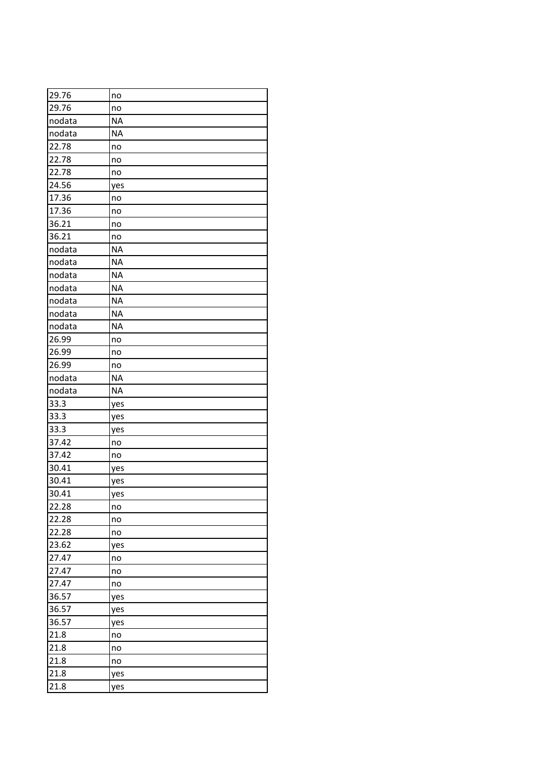| 29.76  | no        |
|--------|-----------|
| 29.76  | no        |
| nodata | <b>NA</b> |
| nodata | <b>NA</b> |
| 22.78  | no        |
| 22.78  | no        |
| 22.78  | no        |
| 24.56  | yes       |
| 17.36  | no        |
| 17.36  | no        |
| 36.21  | no        |
| 36.21  | no        |
| nodata | <b>NA</b> |
| nodata | <b>NA</b> |
| nodata | <b>NA</b> |
| nodata | <b>NA</b> |
| nodata | <b>NA</b> |
| nodata | <b>NA</b> |
| nodata | <b>NA</b> |
| 26.99  | no        |
| 26.99  | no        |
| 26.99  | no        |
| nodata | <b>NA</b> |
| nodata | <b>NA</b> |
| 33.3   | yes       |
| 33.3   | yes       |
| 33.3   | yes       |
| 37.42  | no        |
| 37.42  | no        |
| 30.41  | yes       |
| 30.41  | yes       |
| 30.41  | yes       |
| 22.28  | no        |
| 22.28  | no        |
| 22.28  | no        |
| 23.62  | yes       |
| 27.47  | no        |
| 27.47  | no        |
| 27.47  | no        |
| 36.57  | yes       |
| 36.57  | yes       |
| 36.57  | yes       |
| 21.8   | no        |
| 21.8   | no        |
| 21.8   | no        |
| 21.8   | yes       |
| 21.8   | yes       |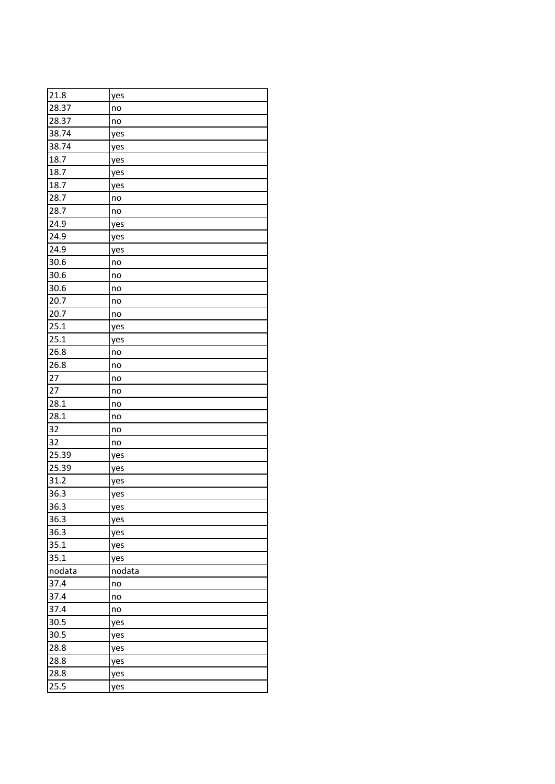| 21.8   | yes    |
|--------|--------|
| 28.37  | no     |
| 28.37  | no     |
| 38.74  | yes    |
| 38.74  | yes    |
| 18.7   | yes    |
| 18.7   | yes    |
| 18.7   | yes    |
| 28.7   | no     |
| 28.7   | no     |
| 24.9   | yes    |
| 24.9   | yes    |
| 24.9   | yes    |
| 30.6   | no     |
| 30.6   | no     |
| 30.6   | no     |
| 20.7   | no     |
| 20.7   | no     |
| 25.1   | yes    |
| 25.1   | yes    |
| 26.8   | no     |
| 26.8   | no     |
| 27     | no     |
| 27     | no     |
| 28.1   | no     |
| 28.1   | no     |
| 32     | no     |
| 32     | no     |
| 25.39  | yes    |
| 25.39  | yes    |
| 31.2   | yes    |
| 36.3   | yes    |
| 36.3   | yes    |
| 36.3   | yes    |
| 36.3   | yes    |
| 35.1   | yes    |
| 35.1   | yes    |
| nodata | nodata |
| 37.4   | no     |
| 37.4   | no     |
| 37.4   | no     |
| 30.5   | yes    |
| 30.5   | yes    |
| 28.8   | yes    |
| 28.8   | yes    |
| 28.8   | yes    |
| 25.5   | yes    |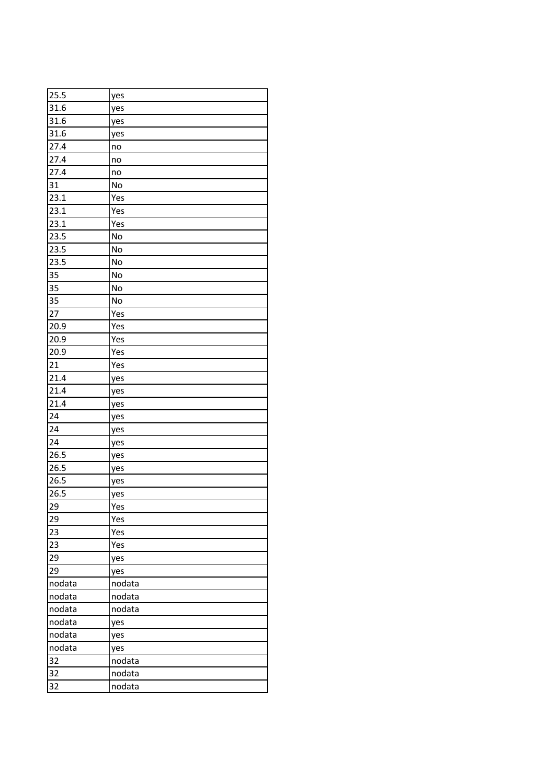| 25.5   | yes    |
|--------|--------|
| 31.6   | yes    |
| 31.6   | yes    |
| 31.6   | yes    |
| 27.4   | no     |
| 27.4   | no     |
| 27.4   | no     |
| 31     | No     |
| 23.1   | Yes    |
| 23.1   | Yes    |
| 23.1   | Yes    |
| 23.5   | No     |
| 23.5   | No     |
| 23.5   | No     |
| 35     | No     |
| 35     | No     |
| 35     | No     |
| 27     | Yes    |
| 20.9   | Yes    |
| 20.9   | Yes    |
| 20.9   | Yes    |
| 21     | Yes    |
| 21.4   | yes    |
| 21.4   | yes    |
| 21.4   | yes    |
| 24     | yes    |
| 24     | yes    |
| 24     | yes    |
| 26.5   | yes    |
| 26.5   | yes    |
| 26.5   | yes    |
| 26.5   | yes    |
| 29     | Yes    |
| 29     | Yes    |
| 23     | Yes    |
| 23     | Yes    |
| 29     | yes    |
| 29     | yes    |
| nodata | nodata |
| nodata | nodata |
| nodata | nodata |
| nodata | yes    |
| nodata | yes    |
| nodata | yes    |
| 32     | nodata |
| 32     | nodata |
| 32     | nodata |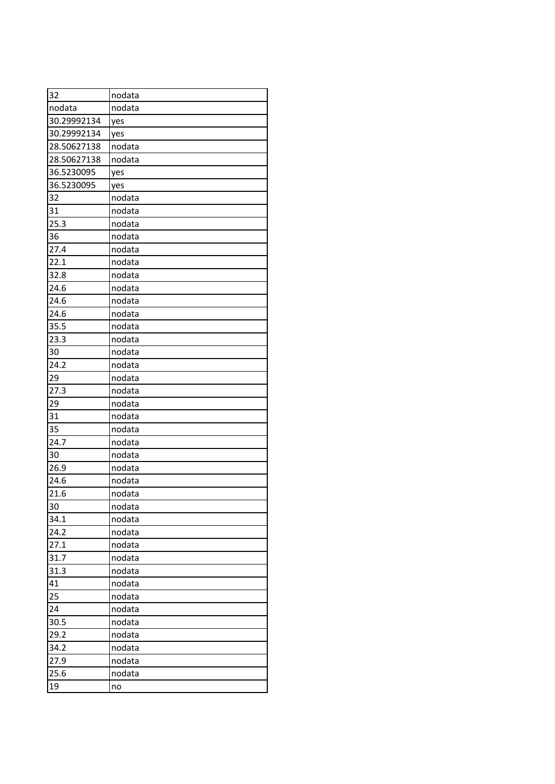| 32          | nodata |
|-------------|--------|
| nodata      | nodata |
| 30.29992134 | yes    |
| 30.29992134 | yes    |
| 28.50627138 | nodata |
| 28.50627138 | nodata |
| 36.5230095  | yes    |
| 36.5230095  | yes    |
| 32          | nodata |
| 31          | nodata |
| 25.3        | nodata |
| 36          | nodata |
| 27.4        | nodata |
| 22.1        | nodata |
| 32.8        | nodata |
| 24.6        | nodata |
| 24.6        | nodata |
| 24.6        | nodata |
| 35.5        | nodata |
| 23.3        | nodata |
| 30          | nodata |
| 24.2        | nodata |
| 29          | nodata |
| 27.3        | nodata |
| 29          | nodata |
| 31          | nodata |
| 35          | nodata |
| 24.7        | nodata |
| 30          | nodata |
| 26.9        | nodata |
| 24.6        | nodata |
| 21.6        | nodata |
| 30          | nodata |
| 34.1        | nodata |
| 24.2        | nodata |
| 27.1        | nodata |
| 31.7        | nodata |
| 31.3        | nodata |
| 41          | nodata |
| 25          | nodata |
| 24          | nodata |
| 30.5        | nodata |
| 29.2        | nodata |
| 34.2        | nodata |
| 27.9        | nodata |
| 25.6        | nodata |
| 19          | no     |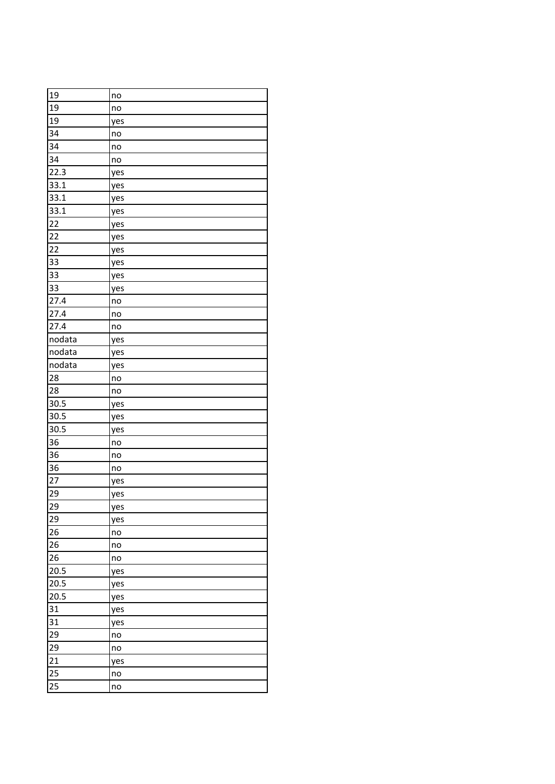| 19     | no  |
|--------|-----|
| 19     | no  |
| 19     | yes |
| 34     | no  |
| 34     | no  |
| 34     | no  |
| 22.3   | yes |
| 33.1   | yes |
| 33.1   | yes |
| 33.1   | yes |
| 22     | yes |
| 22     | yes |
| 22     | yes |
| 33     | yes |
| 33     | yes |
| 33     | yes |
| 27.4   | no  |
| 27.4   | no  |
| 27.4   | no  |
| nodata | yes |
| nodata | yes |
| nodata | yes |
| 28     | no  |
| 28     | no  |
| 30.5   | yes |
| 30.5   | yes |
| 30.5   | yes |
| 36     | no  |
| 36     | no  |
| 36     | no  |
| 27     | yes |
| 29     | yes |
| 29     | yes |
| 29     | yes |
| 26     | no  |
| 26     | no  |
| 26     | no  |
| 20.5   | yes |
| 20.5   | yes |
| 20.5   | yes |
| 31     | yes |
| 31     | yes |
| 29     | no  |
| 29     | no  |
| 21     | yes |
| 25     | no  |
| 25     | no  |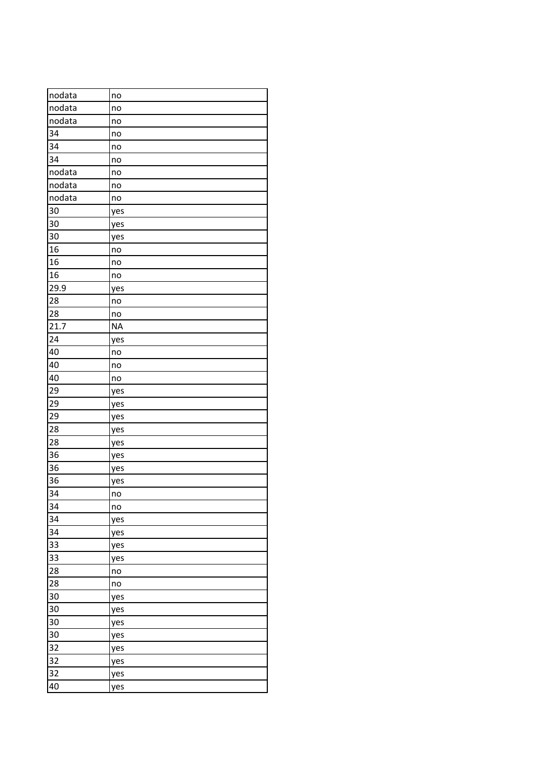| nodata          | no        |
|-----------------|-----------|
| nodata          | no        |
| nodata          | no        |
| 34              | no        |
| 34              | no        |
| 34              | no        |
| nodata          | no        |
| nodata          | no        |
| nodata          | no        |
| 30              | yes       |
| 30              | yes       |
| 30              | yes       |
| 16              | no        |
| 16              | no        |
| 16              | no        |
| 29.9            | yes       |
| 28              | no        |
| 28              | no        |
| 21.7            | <b>NA</b> |
| 24              | yes       |
| 40              | no        |
| 40              | no        |
| 40              | no        |
| 29              | yes       |
| 29              | yes       |
| 29              | yes       |
| 28              | yes       |
| 28              | yes       |
| 36              | yes       |
| 36              | yes       |
| 36              | yes       |
| 34              | no        |
| $\overline{34}$ | no        |
| 34              | yes       |
| 34              | yes       |
| 33              | yes       |
| 33              | yes       |
| 28              | no        |
| 28              | no        |
| 30              | yes       |
| 30              | yes       |
| 30              | yes       |
| 30              | yes       |
| 32              | yes       |
| 32              | yes       |
| 32              | yes       |
| 40              | yes       |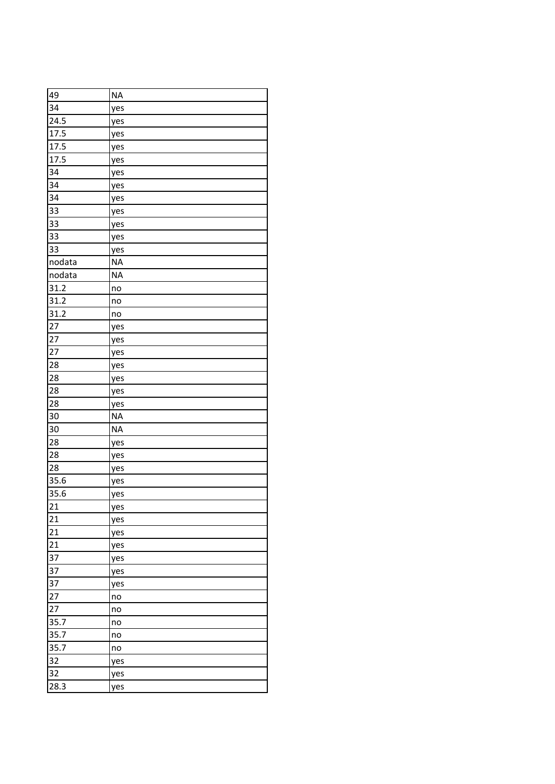| 49     | <b>NA</b> |
|--------|-----------|
| 34     | yes       |
| 24.5   | yes       |
| 17.5   | yes       |
| 17.5   | yes       |
| 17.5   | yes       |
| 34     | yes       |
| 34     | yes       |
| 34     | yes       |
| 33     | yes       |
| 33     | yes       |
| 33     | yes       |
| 33     | yes       |
| nodata | <b>NA</b> |
| nodata | <b>NA</b> |
| 31.2   | no        |
| 31.2   | no        |
| 31.2   | no        |
| 27     | yes       |
| 27     | yes       |
| 27     | yes       |
| 28     | yes       |
| 28     | yes       |
| 28     | yes       |
| 28     | yes       |
| 30     | <b>NA</b> |
| 30     | <b>NA</b> |
| 28     | yes       |
| 28     | yes       |
| 28     | yes       |
| 35.6   | yes       |
| 35.6   | yes       |
| 21     | yes       |
| 21     | yes       |
| 21     | yes       |
| 21     | yes       |
| 37     | yes       |
| 37     | yes       |
| 37     | yes       |
| 27     | no        |
| 27     | no        |
| 35.7   | no        |
| 35.7   | no        |
| 35.7   | no        |
| 32     | yes       |
| 32     | yes       |
| 28.3   | yes       |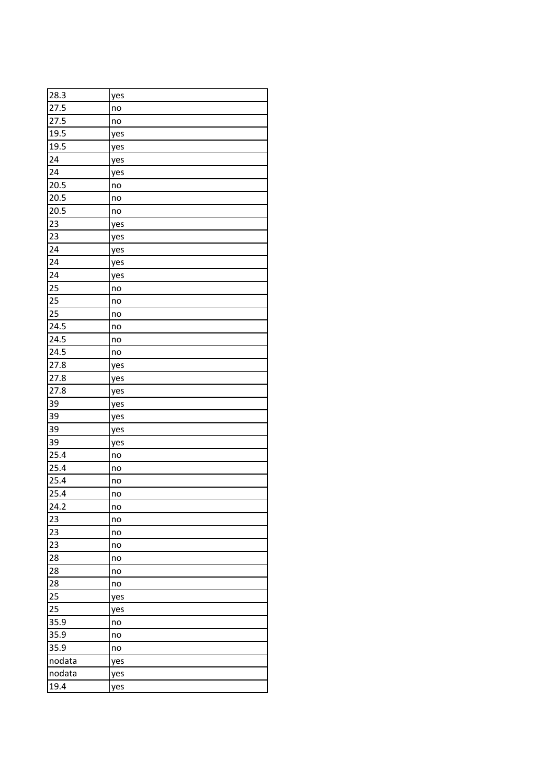| 28.3              | yes |
|-------------------|-----|
| 27.5              | no  |
| 27.5              | no  |
| 19.5              | yes |
| 19.5              | yes |
| 24                | yes |
| 24                | yes |
| 20.5              | no  |
| 20.5              | no  |
| 20.5              | no  |
| 23                | yes |
| 23                | yes |
| 24                | yes |
| 24                | yes |
| 24                | yes |
| 25                | no  |
| 25                | no  |
| 25                | no  |
| 24.5              | no  |
| 24.5              | no  |
| 24.5              | no  |
| 27.8              | yes |
| 27.8              | yes |
| 27.8              | yes |
| 39                | yes |
| 39                | yes |
| 39                | yes |
| 39                | yes |
| 25.4              | no  |
| 25.4              | no  |
| 25.4              | no  |
| 25.4              | no  |
| $\overline{24.2}$ | no  |
| 23                | no  |
| 23                | no  |
| 23                | no  |
| 28                | no  |
| 28                | no  |
| 28                | no  |
| 25                | yes |
| 25                | yes |
| 35.9              | no  |
| 35.9              | no  |
| 35.9              | no  |
| nodata            | yes |
| nodata            | yes |
| 19.4              | yes |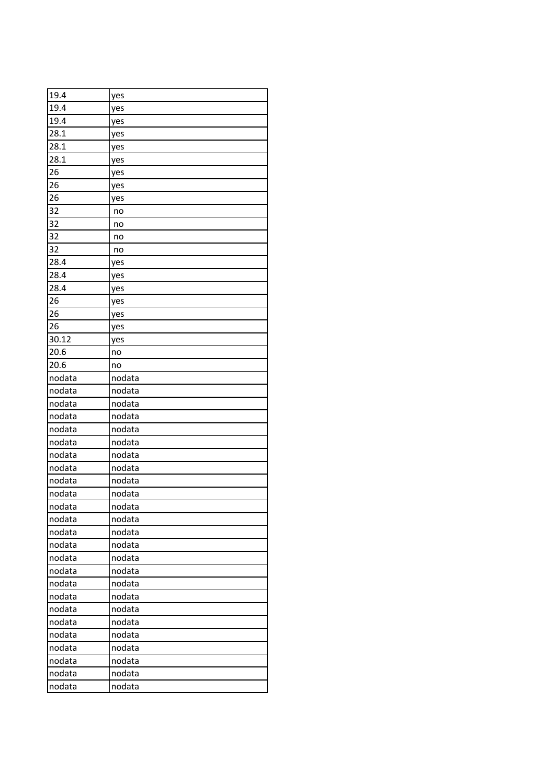| 19.4   | yes    |
|--------|--------|
| 19.4   | yes    |
| 19.4   | yes    |
| 28.1   | yes    |
| 28.1   | yes    |
| 28.1   | yes    |
| 26     | yes    |
| 26     | yes    |
| 26     | yes    |
| 32     | no     |
| 32     | no     |
| 32     | no     |
| 32     | no     |
| 28.4   | yes    |
| 28.4   | yes    |
| 28.4   | yes    |
| 26     | yes    |
| 26     | yes    |
| 26     | yes    |
| 30.12  | yes    |
| 20.6   | no     |
| 20.6   | no     |
| nodata | nodata |
| nodata | nodata |
| nodata | nodata |
| nodata | nodata |
| nodata | nodata |
| nodata | nodata |
| nodata | nodata |
| nodata | nodata |
| nodata | nodata |
| nodata | nodata |
| nodata | nodata |
| nodata | nodata |
| nodata | nodata |
| nodata | nodata |
| nodata | nodata |
| nodata | nodata |
| nodata | nodata |
| nodata | nodata |
| nodata | nodata |
| nodata | nodata |
| nodata | nodata |
| nodata | nodata |
| nodata | nodata |
| nodata | nodata |
| nodata | nodata |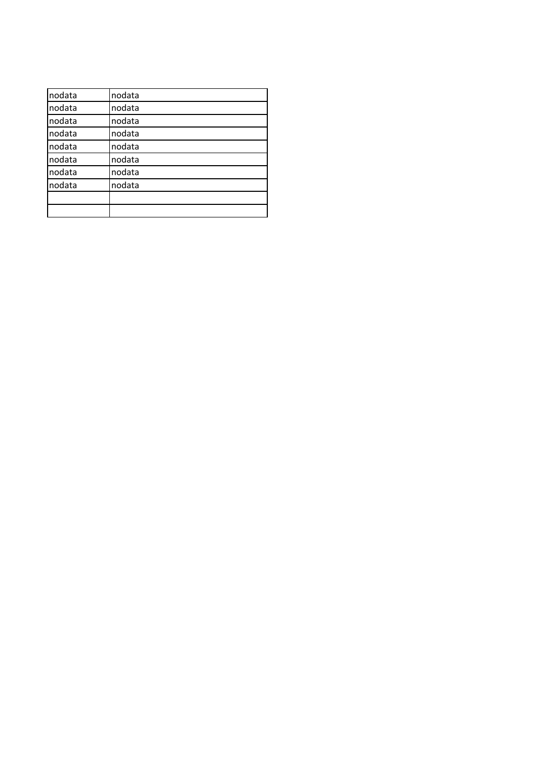| nodata | nodata |  |
|--------|--------|--|
| nodata | nodata |  |
| nodata | nodata |  |
| nodata | nodata |  |
| nodata | nodata |  |
| nodata | nodata |  |
| nodata | nodata |  |
| nodata | nodata |  |
|        |        |  |
|        |        |  |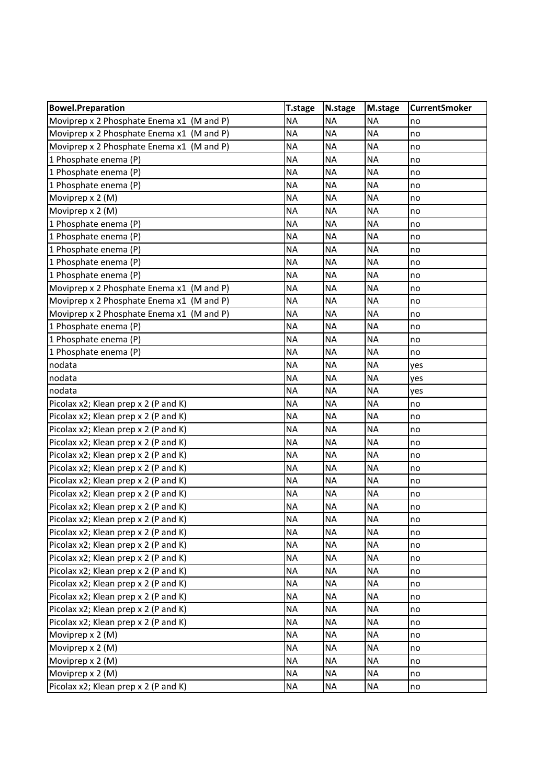| <b>Bowel.Preparation</b>                  | <b>T.stage</b> | N.stage   | M.stage   | <b>CurrentSmoker</b> |
|-------------------------------------------|----------------|-----------|-----------|----------------------|
| Moviprep x 2 Phosphate Enema x1 (M and P) | <b>NA</b>      | <b>NA</b> | <b>NA</b> | no                   |
| Moviprep x 2 Phosphate Enema x1 (M and P) | <b>NA</b>      | <b>NA</b> | <b>NA</b> | no                   |
| Moviprep x 2 Phosphate Enema x1 (M and P) | <b>NA</b>      | <b>NA</b> | <b>NA</b> | no                   |
| 1 Phosphate enema (P)                     | <b>NA</b>      | <b>NA</b> | <b>NA</b> | no                   |
| 1 Phosphate enema (P)                     | <b>NA</b>      | <b>NA</b> | <b>NA</b> | no                   |
| 1 Phosphate enema (P)                     | <b>NA</b>      | <b>NA</b> | <b>NA</b> | no                   |
| Moviprep x 2 (M)                          | <b>NA</b>      | <b>NA</b> | <b>NA</b> | no                   |
| Moviprep x 2 (M)                          | <b>NA</b>      | <b>NA</b> | <b>NA</b> | no                   |
| 1 Phosphate enema (P)                     | <b>NA</b>      | <b>NA</b> | <b>NA</b> | no                   |
| 1 Phosphate enema (P)                     | <b>NA</b>      | <b>NA</b> | <b>NA</b> | no                   |
| 1 Phosphate enema (P)                     | <b>NA</b>      | <b>NA</b> | <b>NA</b> | no                   |
| 1 Phosphate enema (P)                     | <b>NA</b>      | <b>NA</b> | <b>NA</b> | no                   |
| 1 Phosphate enema (P)                     | <b>NA</b>      | <b>NA</b> | <b>NA</b> | no                   |
| Moviprep x 2 Phosphate Enema x1 (M and P) | <b>NA</b>      | <b>NA</b> | <b>NA</b> | no                   |
| Moviprep x 2 Phosphate Enema x1 (M and P) | <b>NA</b>      | <b>NA</b> | <b>NA</b> | no                   |
| Moviprep x 2 Phosphate Enema x1 (M and P) | <b>NA</b>      | <b>NA</b> | <b>NA</b> | no                   |
| 1 Phosphate enema (P)                     | <b>NA</b>      | <b>NA</b> | <b>NA</b> | no                   |
| 1 Phosphate enema (P)                     | <b>NA</b>      | <b>NA</b> | <b>NA</b> | no                   |
| 1 Phosphate enema (P)                     | <b>NA</b>      | <b>NA</b> | <b>NA</b> | no                   |
| nodata                                    | <b>NA</b>      | <b>NA</b> | <b>NA</b> | yes                  |
| nodata                                    | <b>NA</b>      | <b>NA</b> | <b>NA</b> | yes                  |
| nodata                                    | <b>NA</b>      | <b>NA</b> | <b>NA</b> | yes                  |
| Picolax x2; Klean prep x 2 (P and K)      | <b>NA</b>      | <b>NA</b> | <b>NA</b> | no                   |
| Picolax x2; Klean prep x 2 (P and K)      | <b>NA</b>      | <b>NA</b> | <b>NA</b> | no                   |
| Picolax x2; Klean prep x 2 (P and K)      | <b>NA</b>      | <b>NA</b> | <b>NA</b> | no                   |
| Picolax x2; Klean prep x 2 (P and K)      | <b>NA</b>      | <b>NA</b> | <b>NA</b> | no                   |
| Picolax x2; Klean prep x 2 (P and K)      | <b>NA</b>      | <b>NA</b> | <b>NA</b> | no                   |
| Picolax x2; Klean prep x 2 (P and K)      | <b>NA</b>      | <b>NA</b> | <b>NA</b> | no                   |
| Picolax x2; Klean prep x 2 (P and K)      | <b>NA</b>      | <b>NA</b> | <b>NA</b> | no                   |
| Picolax x2; Klean prep x 2 (P and K)      | <b>NA</b>      | <b>NA</b> | <b>NA</b> | no                   |
| Picolax x2; Klean prep x 2 (P and K)      | <b>NA</b>      | <b>NA</b> | <b>NA</b> | no                   |
| Picolax x2; Klean prep x 2 (P and K)      | <b>NA</b>      | <b>NA</b> | <b>NA</b> | no                   |
| Picolax x2; Klean prep x 2 (P and K)      | <b>NA</b>      | <b>NA</b> | <b>NA</b> | no                   |
| Picolax x2; Klean prep x 2 (P and K)      | <b>NA</b>      | <b>NA</b> | <b>NA</b> | no                   |
| Picolax x2; Klean prep x 2 (P and K)      | <b>NA</b>      | <b>NA</b> | <b>NA</b> | no                   |
| Picolax x2; Klean prep x 2 (P and K)      | <b>NA</b>      | <b>NA</b> | <b>NA</b> | no                   |
| Picolax x2; Klean prep x 2 (P and K)      | <b>NA</b>      | <b>NA</b> | <b>NA</b> | no                   |
| Picolax x2; Klean prep x 2 (P and K)      | <b>NA</b>      | <b>NA</b> | <b>NA</b> | no                   |
| Picolax x2; Klean prep x 2 (P and K)      | <b>NA</b>      | <b>NA</b> | <b>NA</b> | no                   |
| Picolax x2; Klean prep x 2 (P and K)      | <b>NA</b>      | <b>NA</b> | <b>NA</b> | no                   |
| Moviprep x 2 (M)                          | <b>NA</b>      | <b>NA</b> | <b>NA</b> | no                   |
| Moviprep x 2 (M)                          | <b>NA</b>      | <b>NA</b> | <b>NA</b> | no                   |
| Moviprep x 2 (M)                          | <b>NA</b>      | <b>NA</b> | <b>NA</b> | no                   |
| Moviprep x 2 (M)                          | <b>NA</b>      | <b>NA</b> | <b>NA</b> | no                   |
| Picolax x2; Klean prep x 2 (P and K)      | <b>NA</b>      | <b>NA</b> | <b>NA</b> | no                   |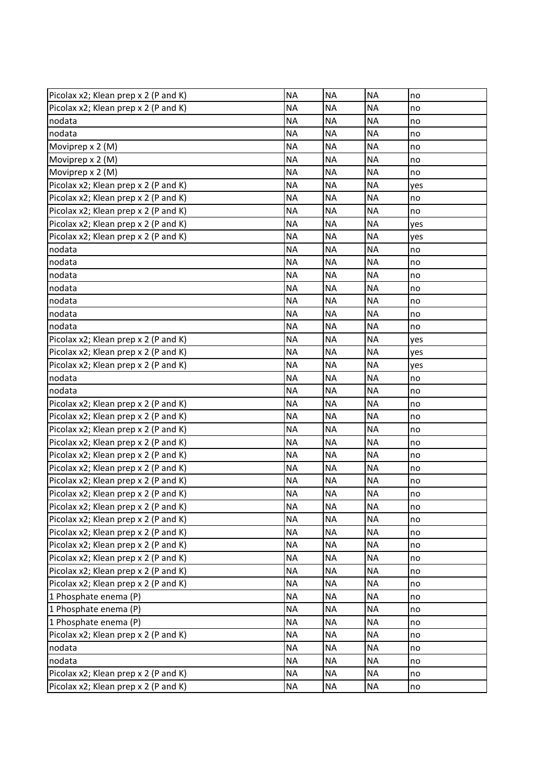| Picolax x2; Klean prep x 2 (P and K) | <b>NA</b> | <b>NA</b> | <b>NA</b> | no  |
|--------------------------------------|-----------|-----------|-----------|-----|
| Picolax x2; Klean prep x 2 (P and K) | <b>NA</b> | <b>NA</b> | <b>NA</b> | no  |
| nodata                               | <b>NA</b> | <b>NA</b> | <b>NA</b> | no  |
| nodata                               | <b>NA</b> | <b>NA</b> | <b>NA</b> | no  |
| Moviprep x 2 (M)                     | <b>NA</b> | <b>NA</b> | <b>NA</b> | no  |
| Moviprep x 2 (M)                     | <b>NA</b> | <b>NA</b> | <b>NA</b> | no  |
| Moviprep x 2 (M)                     | <b>NA</b> | <b>NA</b> | <b>NA</b> | no  |
| Picolax x2; Klean prep x 2 (P and K) | <b>NA</b> | <b>NA</b> | <b>NA</b> | yes |
| Picolax x2; Klean prep x 2 (P and K) | <b>NA</b> | <b>NA</b> | <b>NA</b> | no  |
| Picolax x2; Klean prep x 2 (P and K) | <b>NA</b> | <b>NA</b> | <b>NA</b> | no  |
| Picolax x2; Klean prep x 2 (P and K) | <b>NA</b> | <b>NA</b> | <b>NA</b> | yes |
| Picolax x2; Klean prep x 2 (P and K) | <b>NA</b> | <b>NA</b> | <b>NA</b> | yes |
| nodata                               | <b>NA</b> | <b>NA</b> | <b>NA</b> | no  |
| nodata                               | <b>NA</b> | <b>NA</b> | <b>NA</b> | no  |
| nodata                               | <b>NA</b> | <b>NA</b> | <b>NA</b> | no  |
| nodata                               | <b>NA</b> | <b>NA</b> | <b>NA</b> | no  |
| nodata                               | <b>NA</b> | <b>NA</b> | <b>NA</b> | no  |
| nodata                               | <b>NA</b> | <b>NA</b> | <b>NA</b> | no  |
| nodata                               | <b>NA</b> | <b>NA</b> | <b>NA</b> | no  |
| Picolax x2; Klean prep x 2 (P and K) | <b>NA</b> | <b>NA</b> | <b>NA</b> | yes |
| Picolax x2; Klean prep x 2 (P and K) | <b>NA</b> | <b>NA</b> | <b>NA</b> | yes |
| Picolax x2; Klean prep x 2 (P and K) | <b>NA</b> | <b>NA</b> | <b>NA</b> | yes |
| nodata                               | <b>NA</b> | <b>NA</b> | <b>NA</b> | no  |
| nodata                               | <b>NA</b> | <b>NA</b> | <b>NA</b> | no  |
| Picolax x2; Klean prep x 2 (P and K) | <b>NA</b> | <b>NA</b> | <b>NA</b> | no  |
| Picolax x2; Klean prep x 2 (P and K) | <b>NA</b> | <b>NA</b> | <b>NA</b> | no  |
| Picolax x2; Klean prep x 2 (P and K) | <b>NA</b> | <b>NA</b> | <b>NA</b> | no  |
| Picolax x2; Klean prep x 2 (P and K) | <b>NA</b> | <b>NA</b> | <b>NA</b> | no  |
| Picolax x2; Klean prep x 2 (P and K) | <b>NA</b> | <b>NA</b> | <b>NA</b> | no  |
| Picolax x2; Klean prep x 2 (P and K) | <b>NA</b> | <b>NA</b> | <b>NA</b> | no  |
| Picolax x2; Klean prep x 2 (P and K) | <b>NA</b> | <b>NA</b> | <b>NA</b> | no  |
| Picolax x2; Klean prep x 2 (P and K) | <b>NA</b> | <b>NA</b> | <b>NA</b> | no  |
| Picolax x2; Klean prep x 2 (P and K) | <b>NA</b> | <b>NA</b> | <b>NA</b> | no  |
| Picolax x2; Klean prep x 2 (P and K) | <b>NA</b> | <b>NA</b> | <b>NA</b> | no  |
| Picolax x2; Klean prep x 2 (P and K) | <b>NA</b> | <b>NA</b> | <b>NA</b> | no  |
| Picolax x2; Klean prep x 2 (P and K) | <b>NA</b> | <b>NA</b> | <b>NA</b> | no  |
| Picolax x2; Klean prep x 2 (P and K) | <b>NA</b> | <b>NA</b> | <b>NA</b> | no  |
| Picolax x2; Klean prep x 2 (P and K) | <b>NA</b> | <b>NA</b> | <b>NA</b> | no  |
| Picolax x2; Klean prep x 2 (P and K) | <b>NA</b> | <b>NA</b> | <b>NA</b> | no  |
| 1 Phosphate enema (P)                | <b>NA</b> | <b>NA</b> | <b>NA</b> | no  |
| 1 Phosphate enema (P)                | <b>NA</b> | <b>NA</b> | <b>NA</b> | no  |
| 1 Phosphate enema (P)                | <b>NA</b> | <b>NA</b> | <b>NA</b> | no  |
| Picolax x2; Klean prep x 2 (P and K) | <b>NA</b> | <b>NA</b> | <b>NA</b> | no  |
| nodata                               | <b>NA</b> | <b>NA</b> | <b>NA</b> | no  |
| nodata                               | <b>NA</b> | <b>NA</b> | <b>NA</b> | no  |
| Picolax x2; Klean prep x 2 (P and K) | <b>NA</b> | <b>NA</b> | <b>NA</b> | no  |
| Picolax x2; Klean prep x 2 (P and K) | <b>NA</b> | <b>NA</b> | <b>NA</b> | no  |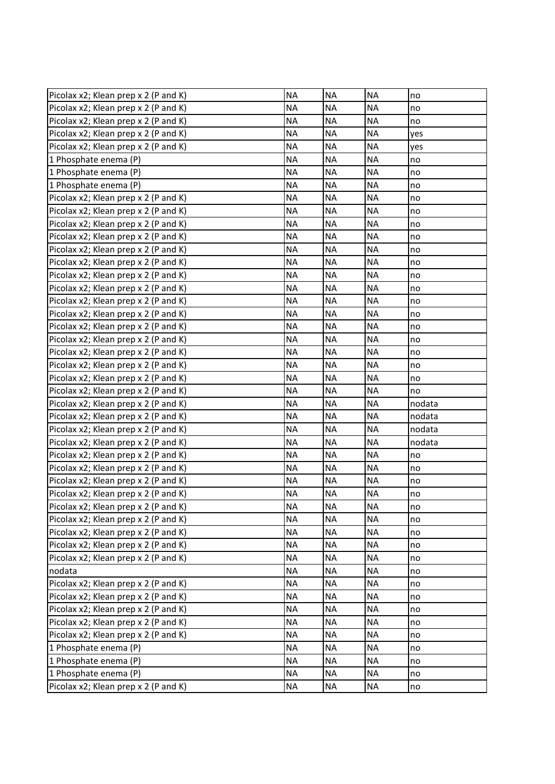| Picolax x2; Klean prep x 2 (P and K) | <b>NA</b> | <b>NA</b> | <b>NA</b> | no     |
|--------------------------------------|-----------|-----------|-----------|--------|
| Picolax x2; Klean prep x 2 (P and K) | <b>NA</b> | <b>NA</b> | <b>NA</b> | no     |
| Picolax x2; Klean prep x 2 (P and K) | <b>NA</b> | <b>NA</b> | <b>NA</b> | no     |
| Picolax x2; Klean prep x 2 (P and K) | <b>NA</b> | <b>NA</b> | <b>NA</b> | yes    |
| Picolax x2; Klean prep x 2 (P and K) | <b>NA</b> | <b>NA</b> | <b>NA</b> | yes    |
| 1 Phosphate enema (P)                | <b>NA</b> | <b>NA</b> | <b>NA</b> | no     |
| 1 Phosphate enema (P)                | <b>NA</b> | <b>NA</b> | <b>NA</b> | no     |
| 1 Phosphate enema (P)                | <b>NA</b> | $\sf NA$  | <b>NA</b> | no     |
| Picolax x2; Klean prep x 2 (P and K) | <b>NA</b> | <b>NA</b> | <b>NA</b> | no     |
| Picolax x2; Klean prep x 2 (P and K) | <b>NA</b> | <b>NA</b> | <b>NA</b> | no     |
| Picolax x2; Klean prep x 2 (P and K) | <b>NA</b> | <b>NA</b> | <b>NA</b> | no     |
| Picolax x2; Klean prep x 2 (P and K) | <b>NA</b> | <b>NA</b> | <b>NA</b> | no     |
| Picolax x2; Klean prep x 2 (P and K) | <b>NA</b> | <b>NA</b> | <b>NA</b> | no     |
| Picolax x2; Klean prep x 2 (P and K) | <b>NA</b> | <b>NA</b> | <b>NA</b> | no     |
| Picolax x2; Klean prep x 2 (P and K) | <b>NA</b> | <b>NA</b> | <b>NA</b> | no     |
| Picolax x2; Klean prep x 2 (P and K) | <b>NA</b> | <b>NA</b> | <b>NA</b> | no     |
| Picolax x2; Klean prep x 2 (P and K) | <b>NA</b> | <b>NA</b> | <b>NA</b> | no     |
| Picolax x2; Klean prep x 2 (P and K) | <b>NA</b> | <b>NA</b> | <b>NA</b> | no     |
| Picolax x2; Klean prep x 2 (P and K) | <b>NA</b> | <b>NA</b> | <b>NA</b> | no     |
| Picolax x2; Klean prep x 2 (P and K) | <b>NA</b> | <b>NA</b> | <b>NA</b> | no     |
| Picolax x2; Klean prep x 2 (P and K) | <b>NA</b> | <b>NA</b> | <b>NA</b> | no     |
| Picolax x2; Klean prep x 2 (P and K) | <b>NA</b> | <b>NA</b> | <b>NA</b> | no     |
| Picolax x2; Klean prep x 2 (P and K) | <b>NA</b> | <b>NA</b> | <b>NA</b> | no     |
| Picolax x2; Klean prep x 2 (P and K) | <b>NA</b> | <b>NA</b> | <b>NA</b> | no     |
| Picolax x2; Klean prep x 2 (P and K) | <b>NA</b> | <b>NA</b> | <b>NA</b> | nodata |
| Picolax x2; Klean prep x 2 (P and K) | <b>NA</b> | <b>NA</b> | <b>NA</b> | nodata |
| Picolax x2; Klean prep x 2 (P and K) | <b>NA</b> | <b>NA</b> | <b>NA</b> | nodata |
| Picolax x2; Klean prep x 2 (P and K) | <b>NA</b> | <b>NA</b> | <b>NA</b> | nodata |
| Picolax x2; Klean prep x 2 (P and K) | <b>NA</b> | <b>NA</b> | <b>NA</b> | no     |
| Picolax x2; Klean prep x 2 (P and K) | <b>NA</b> | <b>NA</b> | <b>NA</b> | no     |
| Picolax x2; Klean prep x 2 (P and K) | <b>NA</b> | <b>NA</b> | <b>NA</b> | no     |
| Picolax x2; Klean prep x 2 (P and K) | <b>NA</b> | <b>NA</b> | <b>NA</b> | no     |
| Picolax x2; Klean prep x 2 (P and K) | <b>NA</b> | <b>NA</b> | <b>NA</b> | no     |
| Picolax x2; Klean prep x 2 (P and K) | <b>NA</b> | <b>NA</b> | <b>NA</b> | no     |
| Picolax x2; Klean prep x 2 (P and K) | <b>NA</b> | <b>NA</b> | <b>NA</b> | no     |
| Picolax x2; Klean prep x 2 (P and K) | <b>NA</b> | <b>NA</b> | <b>NA</b> | no     |
| Picolax x2; Klean prep x 2 (P and K) | <b>NA</b> | <b>NA</b> | <b>NA</b> | no     |
| nodata                               | <b>NA</b> | <b>NA</b> | <b>NA</b> | no     |
| Picolax x2; Klean prep x 2 (P and K) | <b>NA</b> | <b>NA</b> | <b>NA</b> | no     |
| Picolax x2; Klean prep x 2 (P and K) | <b>NA</b> | <b>NA</b> | <b>NA</b> | no     |
| Picolax x2; Klean prep x 2 (P and K) | <b>NA</b> | <b>NA</b> | <b>NA</b> | no     |
| Picolax x2; Klean prep x 2 (P and K) | <b>NA</b> | <b>NA</b> | <b>NA</b> | no     |
| Picolax x2; Klean prep x 2 (P and K) | <b>NA</b> | <b>NA</b> | <b>NA</b> | no     |
| 1 Phosphate enema (P)                | <b>NA</b> | <b>NA</b> | <b>NA</b> | no     |
| 1 Phosphate enema (P)                | <b>NA</b> | <b>NA</b> | <b>NA</b> | no     |
| 1 Phosphate enema (P)                | <b>NA</b> | <b>NA</b> | <b>NA</b> | no     |
| Picolax x2; Klean prep x 2 (P and K) | <b>NA</b> | <b>NA</b> | <b>NA</b> | no     |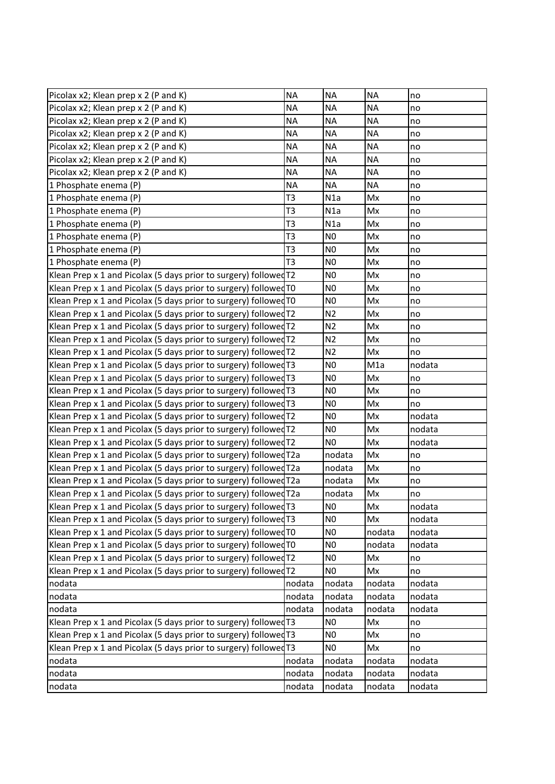| Picolax x2; Klean prep x 2 (P and K)                              | <b>NA</b>      | <b>NA</b>      | <b>NA</b>        | no     |
|-------------------------------------------------------------------|----------------|----------------|------------------|--------|
| Picolax x2; Klean prep x 2 (P and K)                              | <b>NA</b>      | <b>NA</b>      | <b>NA</b>        | no     |
| Picolax x2; Klean prep x 2 (P and K)                              | <b>NA</b>      | <b>NA</b>      | <b>NA</b>        | no     |
| Picolax x2; Klean prep x 2 (P and K)                              | <b>NA</b>      | <b>NA</b>      | <b>NA</b>        | no     |
| Picolax x2; Klean prep x 2 (P and K)                              | <b>NA</b>      | <b>NA</b>      | <b>NA</b>        | no     |
| Picolax x2; Klean prep x 2 (P and K)                              | <b>NA</b>      | <b>NA</b>      | <b>NA</b>        | no     |
| Picolax x2; Klean prep x 2 (P and K)                              | <b>NA</b>      | <b>NA</b>      | <b>NA</b>        | no     |
| 1 Phosphate enema (P)                                             | <b>NA</b>      | <b>NA</b>      | <b>NA</b>        | no     |
| 1 Phosphate enema (P)                                             | T <sub>3</sub> | N1a            | Mx               | no     |
| 1 Phosphate enema (P)                                             | T <sub>3</sub> | N1a            | Mx               | no     |
| 1 Phosphate enema (P)                                             | T <sub>3</sub> | N1a            | Mx               | no     |
| 1 Phosphate enema (P)                                             | T <sub>3</sub> | N <sub>0</sub> | Mx               | no     |
| 1 Phosphate enema (P)                                             | T <sub>3</sub> | N <sub>0</sub> | Mx               | no     |
| 1 Phosphate enema (P)                                             | T <sub>3</sub> | N <sub>0</sub> | Mx               | no     |
| Klean Prep x 1 and Picolax (5 days prior to surgery) followed T2  |                | N <sub>0</sub> | Mx               | no     |
| Klean Prep x 1 and Picolax (5 days prior to surgery) followed TO  |                | N <sub>0</sub> | Mx               | no     |
| Klean Prep x 1 and Picolax (5 days prior to surgery) followed TO  |                | N <sub>0</sub> | Mx               | no     |
| Klean Prep x 1 and Picolax (5 days prior to surgery) followed T2  |                | N <sub>2</sub> | Mx               | no     |
| Klean Prep x 1 and Picolax (5 days prior to surgery) followed T2  |                | N <sub>2</sub> | Mx               | no     |
| Klean Prep x 1 and Picolax (5 days prior to surgery) followed T2  |                | N <sub>2</sub> | Mx               | no     |
| Klean Prep x 1 and Picolax (5 days prior to surgery) followed T2  |                | N <sub>2</sub> | Mx               | no     |
| Klean Prep x 1 and Picolax (5 days prior to surgery) followed T3  |                | N <sub>0</sub> | M <sub>1</sub> a | nodata |
| Klean Prep x 1 and Picolax (5 days prior to surgery) followed T3  |                | N <sub>0</sub> | Mx               | no     |
| Klean Prep x 1 and Picolax (5 days prior to surgery) followed T3  |                | N <sub>0</sub> | Mx               | no     |
| Klean Prep x 1 and Picolax (5 days prior to surgery) followed T3  |                | N <sub>0</sub> | Mx               | no     |
| Klean Prep x 1 and Picolax (5 days prior to surgery) followed T2  |                | N <sub>0</sub> | Mx               | nodata |
| Klean Prep x 1 and Picolax (5 days prior to surgery) followed T2  |                | N <sub>0</sub> | Mx               | nodata |
| Klean Prep x 1 and Picolax (5 days prior to surgery) followed T2  |                | N <sub>0</sub> | Mx               | nodata |
| Klean Prep x 1 and Picolax (5 days prior to surgery) followed T2a |                | nodata         | Mx               | no     |
| Klean Prep x 1 and Picolax (5 days prior to surgery) followed T2a |                | nodata         | Mx               | no     |
| Klean Prep x 1 and Picolax (5 days prior to surgery) followed T2a |                | nodata         | Mx               | no     |
| Klean Prep x 1 and Picolax (5 days prior to surgery) followed T2a |                | nodata         | Mx               | no     |
| Klean Prep x 1 and Picolax (5 days prior to surgery) followed T3  |                | N <sub>0</sub> | Mx               | nodata |
| Klean Prep x 1 and Picolax (5 days prior to surgery) followed T3  |                | N <sub>0</sub> | Mx               | nodata |
| Klean Prep x 1 and Picolax (5 days prior to surgery) followed TO  |                | N <sub>0</sub> | nodata           | nodata |
| Klean Prep x 1 and Picolax (5 days prior to surgery) followed T0  |                | N <sub>0</sub> | nodata           | nodata |
| Klean Prep x 1 and Picolax (5 days prior to surgery) followed T2  |                | N <sub>0</sub> | Mx               | no     |
| Klean Prep x 1 and Picolax (5 days prior to surgery) followed T2  |                | N <sub>0</sub> | Mx               | no     |
| nodata                                                            | nodata         | nodata         | nodata           | nodata |
| nodata                                                            | nodata         | nodata         | nodata           | nodata |
| nodata                                                            | nodata         | nodata         | nodata           | nodata |
| Klean Prep x 1 and Picolax (5 days prior to surgery) followed T3  |                | N <sub>0</sub> | Mx               | no     |
| Klean Prep x 1 and Picolax (5 days prior to surgery) followed T3  |                | N <sub>0</sub> | Mx               | no     |
| Klean Prep x 1 and Picolax (5 days prior to surgery) followed T3  |                | N <sub>0</sub> | Mx               | no     |
| nodata                                                            | nodata         | nodata         | nodata           | nodata |
| nodata                                                            | nodata         | nodata         | nodata           | nodata |
| nodata                                                            | nodata         | nodata         | nodata           | nodata |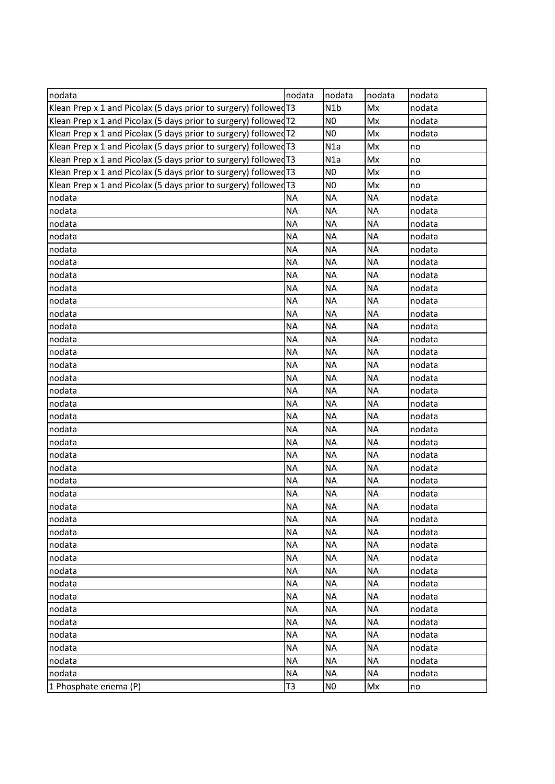| nodata                                                           | nodata         | nodata           | nodata    | nodata |
|------------------------------------------------------------------|----------------|------------------|-----------|--------|
| Klean Prep x 1 and Picolax (5 days prior to surgery) followed T3 |                | N <sub>1</sub> b | Mx        | nodata |
| Klean Prep x 1 and Picolax (5 days prior to surgery) followed T2 |                | N <sub>0</sub>   | Mx        | nodata |
| Klean Prep x 1 and Picolax (5 days prior to surgery) followed T2 |                | N <sub>0</sub>   | Mx        | nodata |
| Klean Prep x 1 and Picolax (5 days prior to surgery) followed T3 |                | N1a              | Mx        | no     |
| Klean Prep x 1 and Picolax (5 days prior to surgery) followed T3 |                | N1a              | Mx        | no     |
| Klean Prep x 1 and Picolax (5 days prior to surgery) followed T3 |                | N <sub>0</sub>   | Mx        | no     |
| Klean Prep x 1 and Picolax (5 days prior to surgery) followed T3 |                | N <sub>0</sub>   | Mx        | no     |
| nodata                                                           | <b>NA</b>      | <b>NA</b>        | <b>NA</b> | nodata |
| nodata                                                           | <b>NA</b>      | <b>NA</b>        | <b>NA</b> | nodata |
| nodata                                                           | <b>NA</b>      | <b>NA</b>        | <b>NA</b> | nodata |
| nodata                                                           | <b>NA</b>      | <b>NA</b>        | <b>NA</b> | nodata |
| nodata                                                           | <b>NA</b>      | <b>NA</b>        | <b>NA</b> | nodata |
| nodata                                                           | <b>NA</b>      | <b>NA</b>        | <b>NA</b> | nodata |
| nodata                                                           | <b>NA</b>      | <b>NA</b>        | <b>NA</b> | nodata |
| nodata                                                           | <b>NA</b>      | <b>NA</b>        | <b>NA</b> | nodata |
| nodata                                                           | <b>NA</b>      | <b>NA</b>        | <b>NA</b> | nodata |
| nodata                                                           | <b>NA</b>      | <b>NA</b>        | <b>NA</b> | nodata |
| nodata                                                           | <b>NA</b>      | <b>NA</b>        | <b>NA</b> | nodata |
| nodata                                                           | <b>NA</b>      | <b>NA</b>        | <b>NA</b> | nodata |
| nodata                                                           | <b>NA</b>      | <b>NA</b>        | <b>NA</b> | nodata |
| nodata                                                           | <b>NA</b>      | <b>NA</b>        | <b>NA</b> | nodata |
| nodata                                                           | <b>NA</b>      | <b>NA</b>        | <b>NA</b> | nodata |
| nodata                                                           | <b>NA</b>      | <b>NA</b>        | <b>NA</b> | nodata |
| nodata                                                           | <b>NA</b>      | <b>NA</b>        | <b>NA</b> | nodata |
| nodata                                                           | <b>NA</b>      | <b>NA</b>        | <b>NA</b> | nodata |
| nodata                                                           | <b>NA</b>      | <b>NA</b>        | <b>NA</b> | nodata |
| nodata                                                           | <b>NA</b>      | <b>NA</b>        | <b>NA</b> | nodata |
| nodata                                                           | <b>NA</b>      | <b>NA</b>        | <b>NA</b> | nodata |
| nodata                                                           | <b>NA</b>      | <b>NA</b>        | <b>NA</b> | nodata |
| nodata                                                           | <b>NA</b>      | <b>NA</b>        | <b>NA</b> | nodata |
| nodata                                                           | <b>NA</b>      | <b>NA</b>        | <b>NA</b> | nodata |
| nodata                                                           | <b>NA</b>      | <b>NA</b>        | <b>NA</b> | nodata |
| nodata                                                           | <b>NA</b>      | <b>NA</b>        | <b>NA</b> | nodata |
| nodata                                                           | <b>NA</b>      | <b>NA</b>        | <b>NA</b> | nodata |
| nodata                                                           | <b>NA</b>      | <b>NA</b>        | <b>NA</b> | nodata |
| nodata                                                           | <b>NA</b>      | <b>NA</b>        | <b>NA</b> | nodata |
| nodata                                                           | <b>NA</b>      | <b>NA</b>        | <b>NA</b> | nodata |
| nodata                                                           | <b>NA</b>      | <b>NA</b>        | <b>NA</b> | nodata |
| nodata                                                           | <b>NA</b>      | <b>NA</b>        | <b>NA</b> | nodata |
| nodata                                                           | <b>NA</b>      | <b>NA</b>        | <b>NA</b> | nodata |
| nodata                                                           | <b>NA</b>      | <b>NA</b>        | <b>NA</b> | nodata |
| nodata                                                           | <b>NA</b>      | <b>NA</b>        | <b>NA</b> | nodata |
| nodata                                                           | <b>NA</b>      | <b>NA</b>        | <b>NA</b> | nodata |
| nodata                                                           | <b>NA</b>      | <b>NA</b>        | <b>NA</b> | nodata |
| nodata                                                           | <b>NA</b>      | <b>NA</b>        | <b>NA</b> | nodata |
| 1 Phosphate enema (P)                                            | T <sub>3</sub> | N <sub>0</sub>   | Mx        | Ino    |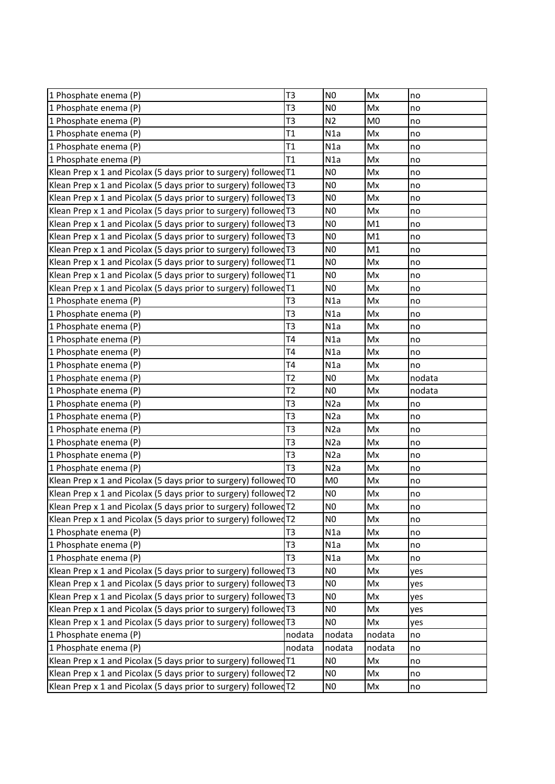| N <sub>0</sub><br>1 Phosphate enema (P)<br>T <sub>3</sub><br>Mx<br>no<br>T <sub>3</sub><br>N <sub>0</sub><br>1 Phosphate enema (P)<br>Mx<br>no<br>T <sub>3</sub><br>N <sub>2</sub><br>M <sub>0</sub><br>1 Phosphate enema (P)<br>no<br>T1<br>N1a<br>1 Phosphate enema (P)<br>Mx<br>no<br>1 Phosphate enema (P)<br>T1<br>N1a<br>Mx<br>no<br>1 Phosphate enema (P)<br>T1<br>N1a<br>Mx<br>no<br>Klean Prep x 1 and Picolax (5 days prior to surgery) followed T1<br>N <sub>0</sub><br>Mx<br>no<br>Klean Prep x 1 and Picolax (5 days prior to surgery) followed T3<br>N <sub>0</sub><br>Mx<br>no<br>N <sub>0</sub><br>Klean Prep x 1 and Picolax (5 days prior to surgery) followed T3<br>Mx<br>no<br>Klean Prep x 1 and Picolax (5 days prior to surgery) followed T3<br>N <sub>0</sub><br>Mx<br>no<br>Klean Prep x 1 and Picolax (5 days prior to surgery) followed T3<br>N <sub>0</sub><br>M1<br>no<br>N <sub>0</sub><br>M1<br>Klean Prep x 1 and Picolax (5 days prior to surgery) followed T3<br>no<br>N <sub>0</sub><br>Klean Prep x 1 and Picolax (5 days prior to surgery) followed T3<br>M1<br>no<br>Klean Prep x 1 and Picolax (5 days prior to surgery) followed T1<br>N <sub>0</sub><br>Mx<br>no<br>N <sub>0</sub><br>Klean Prep x 1 and Picolax (5 days prior to surgery) followed T1<br>Mx<br>no<br>N <sub>0</sub><br>Klean Prep x 1 and Picolax (5 days prior to surgery) followed T1<br>Mx<br>no<br>T <sub>3</sub><br>1 Phosphate enema (P)<br>N <sub>1</sub> a<br>Mx<br>no<br>T <sub>3</sub><br>N1a<br>1 Phosphate enema (P)<br>Mx<br>no<br>T <sub>3</sub><br>N1a<br>Mx<br>1 Phosphate enema (P)<br>no<br>T <sub>4</sub><br>N1a<br>1 Phosphate enema (P)<br>Mx<br>no<br>1 Phosphate enema (P)<br><b>T4</b><br>N1a<br>Mx<br>no<br>T <sub>4</sub><br>Mx<br>1 Phosphate enema (P)<br>N1a<br>no<br>T <sub>2</sub><br>N <sub>0</sub><br>nodata<br>1 Phosphate enema (P)<br>Mx<br>1 Phosphate enema (P)<br>T <sub>2</sub><br>N <sub>0</sub><br>Mx<br>nodata<br>T <sub>3</sub><br>N2a<br>Mx<br>1 Phosphate enema (P)<br>no<br>T <sub>3</sub><br>N2a<br>Mx<br>1 Phosphate enema (P)<br>no<br>T <sub>3</sub><br>N2a<br>1 Phosphate enema (P)<br>Mx<br>no<br>T <sub>3</sub><br>1 Phosphate enema (P)<br>N2a<br>Mx<br>no<br>T <sub>3</sub><br>N2a<br>Mx<br>1 Phosphate enema (P)<br>no<br>T <sub>3</sub><br>1 Phosphate enema (P)<br>N <sub>2</sub> a<br>Mx<br>no<br>Klean Prep x 1 and Picolax (5 days prior to surgery) followed TO<br>M <sub>0</sub><br>Mx<br>no<br>Klean Prep x 1 and Picolax (5 days prior to surgery) followed T2<br>N <sub>0</sub><br>Mx<br>no<br>Klean Prep x 1 and Picolax (5 days prior to surgery) followed T2<br>N <sub>0</sub><br>Mx<br>no,<br>N <sub>0</sub><br>Mx<br>Klean Prep x 1 and Picolax (5 days prior to surgery) followed T2<br>no<br>1 Phosphate enema (P)<br>T <sub>3</sub><br>N1a<br>Mx<br>no<br>T <sub>3</sub><br>1 Phosphate enema (P)<br>N1a<br>Mx<br>no<br>1 Phosphate enema (P)<br>T <sub>3</sub><br>N1a<br>Mx<br>no<br>Klean Prep x 1 and Picolax (5 days prior to surgery) followed T3<br>N <sub>0</sub><br>Mx<br>yes<br>Klean Prep x 1 and Picolax (5 days prior to surgery) followed T3<br>N <sub>0</sub><br>Mx<br>yes<br>Klean Prep x 1 and Picolax (5 days prior to surgery) followed $T3$<br>N <sub>0</sub><br>Mx<br>yes<br>Klean Prep x 1 and Picolax (5 days prior to surgery) followed T3<br>N <sub>0</sub><br>Mx<br>yes<br>Klean Prep x 1 and Picolax (5 days prior to surgery) followed T3<br>Mx<br>N <sub>0</sub><br>yes<br>1 Phosphate enema (P)<br>nodata<br>nodata<br>nodata<br>no<br>1 Phosphate enema (P)<br>nodata<br>nodata<br>nodata<br>no<br>Klean Prep x 1 and Picolax (5 days prior to surgery) followed T1<br>N <sub>0</sub><br>Mx<br>no<br>Klean Prep x 1 and Picolax (5 days prior to surgery) followed T2<br>N <sub>0</sub><br>Mx<br>no<br>Klean Prep x 1 and Picolax (5 days prior to surgery) followed T2<br>N <sub>0</sub><br>Mx<br>no |  |  |  |
|--------------------------------------------------------------------------------------------------------------------------------------------------------------------------------------------------------------------------------------------------------------------------------------------------------------------------------------------------------------------------------------------------------------------------------------------------------------------------------------------------------------------------------------------------------------------------------------------------------------------------------------------------------------------------------------------------------------------------------------------------------------------------------------------------------------------------------------------------------------------------------------------------------------------------------------------------------------------------------------------------------------------------------------------------------------------------------------------------------------------------------------------------------------------------------------------------------------------------------------------------------------------------------------------------------------------------------------------------------------------------------------------------------------------------------------------------------------------------------------------------------------------------------------------------------------------------------------------------------------------------------------------------------------------------------------------------------------------------------------------------------------------------------------------------------------------------------------------------------------------------------------------------------------------------------------------------------------------------------------------------------------------------------------------------------------------------------------------------------------------------------------------------------------------------------------------------------------------------------------------------------------------------------------------------------------------------------------------------------------------------------------------------------------------------------------------------------------------------------------------------------------------------------------------------------------------------------------------------------------------------------------------------------------------------------------------------------------------------------------------------------------------------------------------------------------------------------------------------------------------------------------------------------------------------------------------------------------------------------------------------------------------------------------------------------------------------------------------------------------------------------------------------------------------------------------------------------------------------------------------------------------------------------------------------------------------------------------------------------------------------------------------------------------------------------------------------------------------------------------------------------------------------------------------------------------------------------------------------------------------------------------------------------------------------------------------------------------------------------------------------------------------------------------------------------------------------------------------------------------------------------------------------------------------------|--|--|--|
|                                                                                                                                                                                                                                                                                                                                                                                                                                                                                                                                                                                                                                                                                                                                                                                                                                                                                                                                                                                                                                                                                                                                                                                                                                                                                                                                                                                                                                                                                                                                                                                                                                                                                                                                                                                                                                                                                                                                                                                                                                                                                                                                                                                                                                                                                                                                                                                                                                                                                                                                                                                                                                                                                                                                                                                                                                                                                                                                                                                                                                                                                                                                                                                                                                                                                                                                                                                                                                                                                                                                                                                                                                                                                                                                                                                                                                                                                                                          |  |  |  |
|                                                                                                                                                                                                                                                                                                                                                                                                                                                                                                                                                                                                                                                                                                                                                                                                                                                                                                                                                                                                                                                                                                                                                                                                                                                                                                                                                                                                                                                                                                                                                                                                                                                                                                                                                                                                                                                                                                                                                                                                                                                                                                                                                                                                                                                                                                                                                                                                                                                                                                                                                                                                                                                                                                                                                                                                                                                                                                                                                                                                                                                                                                                                                                                                                                                                                                                                                                                                                                                                                                                                                                                                                                                                                                                                                                                                                                                                                                                          |  |  |  |
|                                                                                                                                                                                                                                                                                                                                                                                                                                                                                                                                                                                                                                                                                                                                                                                                                                                                                                                                                                                                                                                                                                                                                                                                                                                                                                                                                                                                                                                                                                                                                                                                                                                                                                                                                                                                                                                                                                                                                                                                                                                                                                                                                                                                                                                                                                                                                                                                                                                                                                                                                                                                                                                                                                                                                                                                                                                                                                                                                                                                                                                                                                                                                                                                                                                                                                                                                                                                                                                                                                                                                                                                                                                                                                                                                                                                                                                                                                                          |  |  |  |
|                                                                                                                                                                                                                                                                                                                                                                                                                                                                                                                                                                                                                                                                                                                                                                                                                                                                                                                                                                                                                                                                                                                                                                                                                                                                                                                                                                                                                                                                                                                                                                                                                                                                                                                                                                                                                                                                                                                                                                                                                                                                                                                                                                                                                                                                                                                                                                                                                                                                                                                                                                                                                                                                                                                                                                                                                                                                                                                                                                                                                                                                                                                                                                                                                                                                                                                                                                                                                                                                                                                                                                                                                                                                                                                                                                                                                                                                                                                          |  |  |  |
|                                                                                                                                                                                                                                                                                                                                                                                                                                                                                                                                                                                                                                                                                                                                                                                                                                                                                                                                                                                                                                                                                                                                                                                                                                                                                                                                                                                                                                                                                                                                                                                                                                                                                                                                                                                                                                                                                                                                                                                                                                                                                                                                                                                                                                                                                                                                                                                                                                                                                                                                                                                                                                                                                                                                                                                                                                                                                                                                                                                                                                                                                                                                                                                                                                                                                                                                                                                                                                                                                                                                                                                                                                                                                                                                                                                                                                                                                                                          |  |  |  |
|                                                                                                                                                                                                                                                                                                                                                                                                                                                                                                                                                                                                                                                                                                                                                                                                                                                                                                                                                                                                                                                                                                                                                                                                                                                                                                                                                                                                                                                                                                                                                                                                                                                                                                                                                                                                                                                                                                                                                                                                                                                                                                                                                                                                                                                                                                                                                                                                                                                                                                                                                                                                                                                                                                                                                                                                                                                                                                                                                                                                                                                                                                                                                                                                                                                                                                                                                                                                                                                                                                                                                                                                                                                                                                                                                                                                                                                                                                                          |  |  |  |
|                                                                                                                                                                                                                                                                                                                                                                                                                                                                                                                                                                                                                                                                                                                                                                                                                                                                                                                                                                                                                                                                                                                                                                                                                                                                                                                                                                                                                                                                                                                                                                                                                                                                                                                                                                                                                                                                                                                                                                                                                                                                                                                                                                                                                                                                                                                                                                                                                                                                                                                                                                                                                                                                                                                                                                                                                                                                                                                                                                                                                                                                                                                                                                                                                                                                                                                                                                                                                                                                                                                                                                                                                                                                                                                                                                                                                                                                                                                          |  |  |  |
|                                                                                                                                                                                                                                                                                                                                                                                                                                                                                                                                                                                                                                                                                                                                                                                                                                                                                                                                                                                                                                                                                                                                                                                                                                                                                                                                                                                                                                                                                                                                                                                                                                                                                                                                                                                                                                                                                                                                                                                                                                                                                                                                                                                                                                                                                                                                                                                                                                                                                                                                                                                                                                                                                                                                                                                                                                                                                                                                                                                                                                                                                                                                                                                                                                                                                                                                                                                                                                                                                                                                                                                                                                                                                                                                                                                                                                                                                                                          |  |  |  |
|                                                                                                                                                                                                                                                                                                                                                                                                                                                                                                                                                                                                                                                                                                                                                                                                                                                                                                                                                                                                                                                                                                                                                                                                                                                                                                                                                                                                                                                                                                                                                                                                                                                                                                                                                                                                                                                                                                                                                                                                                                                                                                                                                                                                                                                                                                                                                                                                                                                                                                                                                                                                                                                                                                                                                                                                                                                                                                                                                                                                                                                                                                                                                                                                                                                                                                                                                                                                                                                                                                                                                                                                                                                                                                                                                                                                                                                                                                                          |  |  |  |
|                                                                                                                                                                                                                                                                                                                                                                                                                                                                                                                                                                                                                                                                                                                                                                                                                                                                                                                                                                                                                                                                                                                                                                                                                                                                                                                                                                                                                                                                                                                                                                                                                                                                                                                                                                                                                                                                                                                                                                                                                                                                                                                                                                                                                                                                                                                                                                                                                                                                                                                                                                                                                                                                                                                                                                                                                                                                                                                                                                                                                                                                                                                                                                                                                                                                                                                                                                                                                                                                                                                                                                                                                                                                                                                                                                                                                                                                                                                          |  |  |  |
|                                                                                                                                                                                                                                                                                                                                                                                                                                                                                                                                                                                                                                                                                                                                                                                                                                                                                                                                                                                                                                                                                                                                                                                                                                                                                                                                                                                                                                                                                                                                                                                                                                                                                                                                                                                                                                                                                                                                                                                                                                                                                                                                                                                                                                                                                                                                                                                                                                                                                                                                                                                                                                                                                                                                                                                                                                                                                                                                                                                                                                                                                                                                                                                                                                                                                                                                                                                                                                                                                                                                                                                                                                                                                                                                                                                                                                                                                                                          |  |  |  |
|                                                                                                                                                                                                                                                                                                                                                                                                                                                                                                                                                                                                                                                                                                                                                                                                                                                                                                                                                                                                                                                                                                                                                                                                                                                                                                                                                                                                                                                                                                                                                                                                                                                                                                                                                                                                                                                                                                                                                                                                                                                                                                                                                                                                                                                                                                                                                                                                                                                                                                                                                                                                                                                                                                                                                                                                                                                                                                                                                                                                                                                                                                                                                                                                                                                                                                                                                                                                                                                                                                                                                                                                                                                                                                                                                                                                                                                                                                                          |  |  |  |
|                                                                                                                                                                                                                                                                                                                                                                                                                                                                                                                                                                                                                                                                                                                                                                                                                                                                                                                                                                                                                                                                                                                                                                                                                                                                                                                                                                                                                                                                                                                                                                                                                                                                                                                                                                                                                                                                                                                                                                                                                                                                                                                                                                                                                                                                                                                                                                                                                                                                                                                                                                                                                                                                                                                                                                                                                                                                                                                                                                                                                                                                                                                                                                                                                                                                                                                                                                                                                                                                                                                                                                                                                                                                                                                                                                                                                                                                                                                          |  |  |  |
|                                                                                                                                                                                                                                                                                                                                                                                                                                                                                                                                                                                                                                                                                                                                                                                                                                                                                                                                                                                                                                                                                                                                                                                                                                                                                                                                                                                                                                                                                                                                                                                                                                                                                                                                                                                                                                                                                                                                                                                                                                                                                                                                                                                                                                                                                                                                                                                                                                                                                                                                                                                                                                                                                                                                                                                                                                                                                                                                                                                                                                                                                                                                                                                                                                                                                                                                                                                                                                                                                                                                                                                                                                                                                                                                                                                                                                                                                                                          |  |  |  |
|                                                                                                                                                                                                                                                                                                                                                                                                                                                                                                                                                                                                                                                                                                                                                                                                                                                                                                                                                                                                                                                                                                                                                                                                                                                                                                                                                                                                                                                                                                                                                                                                                                                                                                                                                                                                                                                                                                                                                                                                                                                                                                                                                                                                                                                                                                                                                                                                                                                                                                                                                                                                                                                                                                                                                                                                                                                                                                                                                                                                                                                                                                                                                                                                                                                                                                                                                                                                                                                                                                                                                                                                                                                                                                                                                                                                                                                                                                                          |  |  |  |
|                                                                                                                                                                                                                                                                                                                                                                                                                                                                                                                                                                                                                                                                                                                                                                                                                                                                                                                                                                                                                                                                                                                                                                                                                                                                                                                                                                                                                                                                                                                                                                                                                                                                                                                                                                                                                                                                                                                                                                                                                                                                                                                                                                                                                                                                                                                                                                                                                                                                                                                                                                                                                                                                                                                                                                                                                                                                                                                                                                                                                                                                                                                                                                                                                                                                                                                                                                                                                                                                                                                                                                                                                                                                                                                                                                                                                                                                                                                          |  |  |  |
|                                                                                                                                                                                                                                                                                                                                                                                                                                                                                                                                                                                                                                                                                                                                                                                                                                                                                                                                                                                                                                                                                                                                                                                                                                                                                                                                                                                                                                                                                                                                                                                                                                                                                                                                                                                                                                                                                                                                                                                                                                                                                                                                                                                                                                                                                                                                                                                                                                                                                                                                                                                                                                                                                                                                                                                                                                                                                                                                                                                                                                                                                                                                                                                                                                                                                                                                                                                                                                                                                                                                                                                                                                                                                                                                                                                                                                                                                                                          |  |  |  |
|                                                                                                                                                                                                                                                                                                                                                                                                                                                                                                                                                                                                                                                                                                                                                                                                                                                                                                                                                                                                                                                                                                                                                                                                                                                                                                                                                                                                                                                                                                                                                                                                                                                                                                                                                                                                                                                                                                                                                                                                                                                                                                                                                                                                                                                                                                                                                                                                                                                                                                                                                                                                                                                                                                                                                                                                                                                                                                                                                                                                                                                                                                                                                                                                                                                                                                                                                                                                                                                                                                                                                                                                                                                                                                                                                                                                                                                                                                                          |  |  |  |
|                                                                                                                                                                                                                                                                                                                                                                                                                                                                                                                                                                                                                                                                                                                                                                                                                                                                                                                                                                                                                                                                                                                                                                                                                                                                                                                                                                                                                                                                                                                                                                                                                                                                                                                                                                                                                                                                                                                                                                                                                                                                                                                                                                                                                                                                                                                                                                                                                                                                                                                                                                                                                                                                                                                                                                                                                                                                                                                                                                                                                                                                                                                                                                                                                                                                                                                                                                                                                                                                                                                                                                                                                                                                                                                                                                                                                                                                                                                          |  |  |  |
|                                                                                                                                                                                                                                                                                                                                                                                                                                                                                                                                                                                                                                                                                                                                                                                                                                                                                                                                                                                                                                                                                                                                                                                                                                                                                                                                                                                                                                                                                                                                                                                                                                                                                                                                                                                                                                                                                                                                                                                                                                                                                                                                                                                                                                                                                                                                                                                                                                                                                                                                                                                                                                                                                                                                                                                                                                                                                                                                                                                                                                                                                                                                                                                                                                                                                                                                                                                                                                                                                                                                                                                                                                                                                                                                                                                                                                                                                                                          |  |  |  |
|                                                                                                                                                                                                                                                                                                                                                                                                                                                                                                                                                                                                                                                                                                                                                                                                                                                                                                                                                                                                                                                                                                                                                                                                                                                                                                                                                                                                                                                                                                                                                                                                                                                                                                                                                                                                                                                                                                                                                                                                                                                                                                                                                                                                                                                                                                                                                                                                                                                                                                                                                                                                                                                                                                                                                                                                                                                                                                                                                                                                                                                                                                                                                                                                                                                                                                                                                                                                                                                                                                                                                                                                                                                                                                                                                                                                                                                                                                                          |  |  |  |
|                                                                                                                                                                                                                                                                                                                                                                                                                                                                                                                                                                                                                                                                                                                                                                                                                                                                                                                                                                                                                                                                                                                                                                                                                                                                                                                                                                                                                                                                                                                                                                                                                                                                                                                                                                                                                                                                                                                                                                                                                                                                                                                                                                                                                                                                                                                                                                                                                                                                                                                                                                                                                                                                                                                                                                                                                                                                                                                                                                                                                                                                                                                                                                                                                                                                                                                                                                                                                                                                                                                                                                                                                                                                                                                                                                                                                                                                                                                          |  |  |  |
|                                                                                                                                                                                                                                                                                                                                                                                                                                                                                                                                                                                                                                                                                                                                                                                                                                                                                                                                                                                                                                                                                                                                                                                                                                                                                                                                                                                                                                                                                                                                                                                                                                                                                                                                                                                                                                                                                                                                                                                                                                                                                                                                                                                                                                                                                                                                                                                                                                                                                                                                                                                                                                                                                                                                                                                                                                                                                                                                                                                                                                                                                                                                                                                                                                                                                                                                                                                                                                                                                                                                                                                                                                                                                                                                                                                                                                                                                                                          |  |  |  |
|                                                                                                                                                                                                                                                                                                                                                                                                                                                                                                                                                                                                                                                                                                                                                                                                                                                                                                                                                                                                                                                                                                                                                                                                                                                                                                                                                                                                                                                                                                                                                                                                                                                                                                                                                                                                                                                                                                                                                                                                                                                                                                                                                                                                                                                                                                                                                                                                                                                                                                                                                                                                                                                                                                                                                                                                                                                                                                                                                                                                                                                                                                                                                                                                                                                                                                                                                                                                                                                                                                                                                                                                                                                                                                                                                                                                                                                                                                                          |  |  |  |
|                                                                                                                                                                                                                                                                                                                                                                                                                                                                                                                                                                                                                                                                                                                                                                                                                                                                                                                                                                                                                                                                                                                                                                                                                                                                                                                                                                                                                                                                                                                                                                                                                                                                                                                                                                                                                                                                                                                                                                                                                                                                                                                                                                                                                                                                                                                                                                                                                                                                                                                                                                                                                                                                                                                                                                                                                                                                                                                                                                                                                                                                                                                                                                                                                                                                                                                                                                                                                                                                                                                                                                                                                                                                                                                                                                                                                                                                                                                          |  |  |  |
|                                                                                                                                                                                                                                                                                                                                                                                                                                                                                                                                                                                                                                                                                                                                                                                                                                                                                                                                                                                                                                                                                                                                                                                                                                                                                                                                                                                                                                                                                                                                                                                                                                                                                                                                                                                                                                                                                                                                                                                                                                                                                                                                                                                                                                                                                                                                                                                                                                                                                                                                                                                                                                                                                                                                                                                                                                                                                                                                                                                                                                                                                                                                                                                                                                                                                                                                                                                                                                                                                                                                                                                                                                                                                                                                                                                                                                                                                                                          |  |  |  |
|                                                                                                                                                                                                                                                                                                                                                                                                                                                                                                                                                                                                                                                                                                                                                                                                                                                                                                                                                                                                                                                                                                                                                                                                                                                                                                                                                                                                                                                                                                                                                                                                                                                                                                                                                                                                                                                                                                                                                                                                                                                                                                                                                                                                                                                                                                                                                                                                                                                                                                                                                                                                                                                                                                                                                                                                                                                                                                                                                                                                                                                                                                                                                                                                                                                                                                                                                                                                                                                                                                                                                                                                                                                                                                                                                                                                                                                                                                                          |  |  |  |
|                                                                                                                                                                                                                                                                                                                                                                                                                                                                                                                                                                                                                                                                                                                                                                                                                                                                                                                                                                                                                                                                                                                                                                                                                                                                                                                                                                                                                                                                                                                                                                                                                                                                                                                                                                                                                                                                                                                                                                                                                                                                                                                                                                                                                                                                                                                                                                                                                                                                                                                                                                                                                                                                                                                                                                                                                                                                                                                                                                                                                                                                                                                                                                                                                                                                                                                                                                                                                                                                                                                                                                                                                                                                                                                                                                                                                                                                                                                          |  |  |  |
|                                                                                                                                                                                                                                                                                                                                                                                                                                                                                                                                                                                                                                                                                                                                                                                                                                                                                                                                                                                                                                                                                                                                                                                                                                                                                                                                                                                                                                                                                                                                                                                                                                                                                                                                                                                                                                                                                                                                                                                                                                                                                                                                                                                                                                                                                                                                                                                                                                                                                                                                                                                                                                                                                                                                                                                                                                                                                                                                                                                                                                                                                                                                                                                                                                                                                                                                                                                                                                                                                                                                                                                                                                                                                                                                                                                                                                                                                                                          |  |  |  |
|                                                                                                                                                                                                                                                                                                                                                                                                                                                                                                                                                                                                                                                                                                                                                                                                                                                                                                                                                                                                                                                                                                                                                                                                                                                                                                                                                                                                                                                                                                                                                                                                                                                                                                                                                                                                                                                                                                                                                                                                                                                                                                                                                                                                                                                                                                                                                                                                                                                                                                                                                                                                                                                                                                                                                                                                                                                                                                                                                                                                                                                                                                                                                                                                                                                                                                                                                                                                                                                                                                                                                                                                                                                                                                                                                                                                                                                                                                                          |  |  |  |
|                                                                                                                                                                                                                                                                                                                                                                                                                                                                                                                                                                                                                                                                                                                                                                                                                                                                                                                                                                                                                                                                                                                                                                                                                                                                                                                                                                                                                                                                                                                                                                                                                                                                                                                                                                                                                                                                                                                                                                                                                                                                                                                                                                                                                                                                                                                                                                                                                                                                                                                                                                                                                                                                                                                                                                                                                                                                                                                                                                                                                                                                                                                                                                                                                                                                                                                                                                                                                                                                                                                                                                                                                                                                                                                                                                                                                                                                                                                          |  |  |  |
|                                                                                                                                                                                                                                                                                                                                                                                                                                                                                                                                                                                                                                                                                                                                                                                                                                                                                                                                                                                                                                                                                                                                                                                                                                                                                                                                                                                                                                                                                                                                                                                                                                                                                                                                                                                                                                                                                                                                                                                                                                                                                                                                                                                                                                                                                                                                                                                                                                                                                                                                                                                                                                                                                                                                                                                                                                                                                                                                                                                                                                                                                                                                                                                                                                                                                                                                                                                                                                                                                                                                                                                                                                                                                                                                                                                                                                                                                                                          |  |  |  |
|                                                                                                                                                                                                                                                                                                                                                                                                                                                                                                                                                                                                                                                                                                                                                                                                                                                                                                                                                                                                                                                                                                                                                                                                                                                                                                                                                                                                                                                                                                                                                                                                                                                                                                                                                                                                                                                                                                                                                                                                                                                                                                                                                                                                                                                                                                                                                                                                                                                                                                                                                                                                                                                                                                                                                                                                                                                                                                                                                                                                                                                                                                                                                                                                                                                                                                                                                                                                                                                                                                                                                                                                                                                                                                                                                                                                                                                                                                                          |  |  |  |
|                                                                                                                                                                                                                                                                                                                                                                                                                                                                                                                                                                                                                                                                                                                                                                                                                                                                                                                                                                                                                                                                                                                                                                                                                                                                                                                                                                                                                                                                                                                                                                                                                                                                                                                                                                                                                                                                                                                                                                                                                                                                                                                                                                                                                                                                                                                                                                                                                                                                                                                                                                                                                                                                                                                                                                                                                                                                                                                                                                                                                                                                                                                                                                                                                                                                                                                                                                                                                                                                                                                                                                                                                                                                                                                                                                                                                                                                                                                          |  |  |  |
|                                                                                                                                                                                                                                                                                                                                                                                                                                                                                                                                                                                                                                                                                                                                                                                                                                                                                                                                                                                                                                                                                                                                                                                                                                                                                                                                                                                                                                                                                                                                                                                                                                                                                                                                                                                                                                                                                                                                                                                                                                                                                                                                                                                                                                                                                                                                                                                                                                                                                                                                                                                                                                                                                                                                                                                                                                                                                                                                                                                                                                                                                                                                                                                                                                                                                                                                                                                                                                                                                                                                                                                                                                                                                                                                                                                                                                                                                                                          |  |  |  |
|                                                                                                                                                                                                                                                                                                                                                                                                                                                                                                                                                                                                                                                                                                                                                                                                                                                                                                                                                                                                                                                                                                                                                                                                                                                                                                                                                                                                                                                                                                                                                                                                                                                                                                                                                                                                                                                                                                                                                                                                                                                                                                                                                                                                                                                                                                                                                                                                                                                                                                                                                                                                                                                                                                                                                                                                                                                                                                                                                                                                                                                                                                                                                                                                                                                                                                                                                                                                                                                                                                                                                                                                                                                                                                                                                                                                                                                                                                                          |  |  |  |
|                                                                                                                                                                                                                                                                                                                                                                                                                                                                                                                                                                                                                                                                                                                                                                                                                                                                                                                                                                                                                                                                                                                                                                                                                                                                                                                                                                                                                                                                                                                                                                                                                                                                                                                                                                                                                                                                                                                                                                                                                                                                                                                                                                                                                                                                                                                                                                                                                                                                                                                                                                                                                                                                                                                                                                                                                                                                                                                                                                                                                                                                                                                                                                                                                                                                                                                                                                                                                                                                                                                                                                                                                                                                                                                                                                                                                                                                                                                          |  |  |  |
|                                                                                                                                                                                                                                                                                                                                                                                                                                                                                                                                                                                                                                                                                                                                                                                                                                                                                                                                                                                                                                                                                                                                                                                                                                                                                                                                                                                                                                                                                                                                                                                                                                                                                                                                                                                                                                                                                                                                                                                                                                                                                                                                                                                                                                                                                                                                                                                                                                                                                                                                                                                                                                                                                                                                                                                                                                                                                                                                                                                                                                                                                                                                                                                                                                                                                                                                                                                                                                                                                                                                                                                                                                                                                                                                                                                                                                                                                                                          |  |  |  |
|                                                                                                                                                                                                                                                                                                                                                                                                                                                                                                                                                                                                                                                                                                                                                                                                                                                                                                                                                                                                                                                                                                                                                                                                                                                                                                                                                                                                                                                                                                                                                                                                                                                                                                                                                                                                                                                                                                                                                                                                                                                                                                                                                                                                                                                                                                                                                                                                                                                                                                                                                                                                                                                                                                                                                                                                                                                                                                                                                                                                                                                                                                                                                                                                                                                                                                                                                                                                                                                                                                                                                                                                                                                                                                                                                                                                                                                                                                                          |  |  |  |
|                                                                                                                                                                                                                                                                                                                                                                                                                                                                                                                                                                                                                                                                                                                                                                                                                                                                                                                                                                                                                                                                                                                                                                                                                                                                                                                                                                                                                                                                                                                                                                                                                                                                                                                                                                                                                                                                                                                                                                                                                                                                                                                                                                                                                                                                                                                                                                                                                                                                                                                                                                                                                                                                                                                                                                                                                                                                                                                                                                                                                                                                                                                                                                                                                                                                                                                                                                                                                                                                                                                                                                                                                                                                                                                                                                                                                                                                                                                          |  |  |  |
|                                                                                                                                                                                                                                                                                                                                                                                                                                                                                                                                                                                                                                                                                                                                                                                                                                                                                                                                                                                                                                                                                                                                                                                                                                                                                                                                                                                                                                                                                                                                                                                                                                                                                                                                                                                                                                                                                                                                                                                                                                                                                                                                                                                                                                                                                                                                                                                                                                                                                                                                                                                                                                                                                                                                                                                                                                                                                                                                                                                                                                                                                                                                                                                                                                                                                                                                                                                                                                                                                                                                                                                                                                                                                                                                                                                                                                                                                                                          |  |  |  |
|                                                                                                                                                                                                                                                                                                                                                                                                                                                                                                                                                                                                                                                                                                                                                                                                                                                                                                                                                                                                                                                                                                                                                                                                                                                                                                                                                                                                                                                                                                                                                                                                                                                                                                                                                                                                                                                                                                                                                                                                                                                                                                                                                                                                                                                                                                                                                                                                                                                                                                                                                                                                                                                                                                                                                                                                                                                                                                                                                                                                                                                                                                                                                                                                                                                                                                                                                                                                                                                                                                                                                                                                                                                                                                                                                                                                                                                                                                                          |  |  |  |
|                                                                                                                                                                                                                                                                                                                                                                                                                                                                                                                                                                                                                                                                                                                                                                                                                                                                                                                                                                                                                                                                                                                                                                                                                                                                                                                                                                                                                                                                                                                                                                                                                                                                                                                                                                                                                                                                                                                                                                                                                                                                                                                                                                                                                                                                                                                                                                                                                                                                                                                                                                                                                                                                                                                                                                                                                                                                                                                                                                                                                                                                                                                                                                                                                                                                                                                                                                                                                                                                                                                                                                                                                                                                                                                                                                                                                                                                                                                          |  |  |  |
|                                                                                                                                                                                                                                                                                                                                                                                                                                                                                                                                                                                                                                                                                                                                                                                                                                                                                                                                                                                                                                                                                                                                                                                                                                                                                                                                                                                                                                                                                                                                                                                                                                                                                                                                                                                                                                                                                                                                                                                                                                                                                                                                                                                                                                                                                                                                                                                                                                                                                                                                                                                                                                                                                                                                                                                                                                                                                                                                                                                                                                                                                                                                                                                                                                                                                                                                                                                                                                                                                                                                                                                                                                                                                                                                                                                                                                                                                                                          |  |  |  |
|                                                                                                                                                                                                                                                                                                                                                                                                                                                                                                                                                                                                                                                                                                                                                                                                                                                                                                                                                                                                                                                                                                                                                                                                                                                                                                                                                                                                                                                                                                                                                                                                                                                                                                                                                                                                                                                                                                                                                                                                                                                                                                                                                                                                                                                                                                                                                                                                                                                                                                                                                                                                                                                                                                                                                                                                                                                                                                                                                                                                                                                                                                                                                                                                                                                                                                                                                                                                                                                                                                                                                                                                                                                                                                                                                                                                                                                                                                                          |  |  |  |
|                                                                                                                                                                                                                                                                                                                                                                                                                                                                                                                                                                                                                                                                                                                                                                                                                                                                                                                                                                                                                                                                                                                                                                                                                                                                                                                                                                                                                                                                                                                                                                                                                                                                                                                                                                                                                                                                                                                                                                                                                                                                                                                                                                                                                                                                                                                                                                                                                                                                                                                                                                                                                                                                                                                                                                                                                                                                                                                                                                                                                                                                                                                                                                                                                                                                                                                                                                                                                                                                                                                                                                                                                                                                                                                                                                                                                                                                                                                          |  |  |  |
|                                                                                                                                                                                                                                                                                                                                                                                                                                                                                                                                                                                                                                                                                                                                                                                                                                                                                                                                                                                                                                                                                                                                                                                                                                                                                                                                                                                                                                                                                                                                                                                                                                                                                                                                                                                                                                                                                                                                                                                                                                                                                                                                                                                                                                                                                                                                                                                                                                                                                                                                                                                                                                                                                                                                                                                                                                                                                                                                                                                                                                                                                                                                                                                                                                                                                                                                                                                                                                                                                                                                                                                                                                                                                                                                                                                                                                                                                                                          |  |  |  |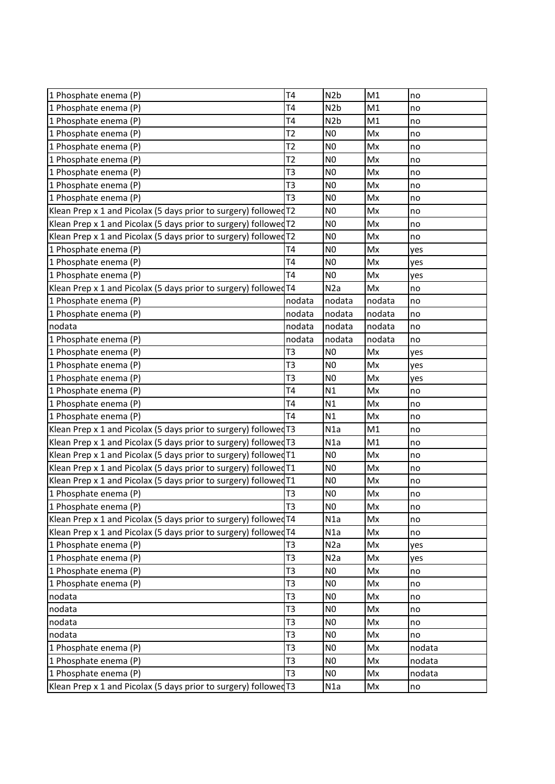| T4<br>N <sub>2</sub> b<br>M1<br>no<br>T <sub>4</sub><br>N <sub>2</sub> b<br>M1<br>no<br>T <sub>4</sub><br>N <sub>2</sub> b<br>M1<br>no<br>T <sub>2</sub><br>1 Phosphate enema (P)<br>N <sub>0</sub><br>Mx<br>no<br>T <sub>2</sub><br>1 Phosphate enema (P)<br>N <sub>0</sub><br>Mx<br>no<br>T2<br>N <sub>0</sub><br>Mx<br>1 Phosphate enema (P)<br>no<br>T <sub>3</sub><br>N <sub>0</sub><br>Mx<br>no<br>T <sub>3</sub><br>N <sub>0</sub><br>1 Phosphate enema (P)<br>Mx<br>no<br>T <sub>3</sub><br>1 Phosphate enema (P)<br>N <sub>0</sub><br>Mx<br>no<br>Klean Prep x 1 and Picolax (5 days prior to surgery) followed $T2$<br>N <sub>0</sub><br>Mx<br>no<br>Klean Prep x 1 and Picolax (5 days prior to surgery) followed T2<br>N <sub>0</sub><br>Mx<br>no<br>Klean Prep x 1 and Picolax (5 days prior to surgery) followed T2<br>N <sub>0</sub><br>Mx<br>no<br><b>T4</b><br>N <sub>0</sub><br>1 Phosphate enema (P)<br>Mx<br>yes<br>N <sub>0</sub><br>1 Phosphate enema (P)<br>T <sub>4</sub><br>Mx<br>yes<br><b>T4</b><br>1 Phosphate enema (P)<br>N <sub>0</sub><br>Mx<br>yes<br>Klean Prep x 1 and Picolax (5 days prior to surgery) followed T4<br>N2a<br>Mx<br>no<br>nodata<br>nodata<br>nodata<br>no<br>1 Phosphate enema (P)<br>nodata<br>nodata<br>nodata<br>no<br>nodata<br>nodata<br>nodata<br>nodata<br>no<br>1 Phosphate enema (P)<br>nodata<br>nodata<br>nodata<br>no<br>T <sub>3</sub><br>N <sub>0</sub><br>1 Phosphate enema (P)<br>Mx<br>yes<br>1 Phosphate enema (P)<br>T <sub>3</sub><br>N <sub>0</sub><br>Mx<br>yes<br>T <sub>3</sub><br>N <sub>0</sub><br>1 Phosphate enema (P)<br>Mx<br>yes<br>T <sub>4</sub><br>N1<br>1 Phosphate enema (P)<br>Mx<br>no<br>T <sub>4</sub><br>1 Phosphate enema (P)<br>N1<br>Mx<br>no<br>T <sub>4</sub><br>N1<br>1 Phosphate enema (P)<br>Mx<br>no<br>Klean Prep x 1 and Picolax (5 days prior to surgery) followed T3<br>N1a<br>M1<br>no<br>Klean Prep x 1 and Picolax (5 days prior to surgery) followed T3<br>N1a<br>M1<br>no<br>Klean Prep x 1 and Picolax (5 days prior to surgery) followed T1<br>N <sub>0</sub><br>Mx<br>no<br>Klean Prep x 1 and Picolax (5 days prior to surgery) followed T1<br>N <sub>0</sub><br>Mx<br>no<br>Klean Prep x 1 and Picolax (5 days prior to surgery) followed T1<br>N <sub>0</sub><br>Mx<br>no<br>N <sub>0</sub><br>1 Phosphate enema (P)<br>T <sub>3</sub><br>Mx<br>no<br>1 Phosphate enema (P)<br>T3<br>N <sub>0</sub><br>$Mx$<br>no<br>Klean Prep x 1 and Picolax (5 days prior to surgery) followed T4<br>N1a<br>Mx<br>no<br>Klean Prep x 1 and Picolax (5 days prior to surgery) followed T4<br>N1a<br>Mx<br>no<br>T <sub>3</sub><br>1 Phosphate enema (P)<br>N <sub>2</sub> a<br>Mx<br>yes<br>1 Phosphate enema (P)<br>T <sub>3</sub><br>N <sub>2</sub> a<br>Mx<br>yes<br>1 Phosphate enema (P)<br>T <sub>3</sub><br>N <sub>0</sub><br>Mx<br>no<br>1 Phosphate enema (P)<br>T <sub>3</sub><br>N <sub>0</sub><br>Mx<br>no<br>T <sub>3</sub><br>N <sub>0</sub><br>nodata<br>Mx<br>no<br>nodata<br>T <sub>3</sub><br>N <sub>0</sub><br>Mx<br>no<br>T <sub>3</sub><br>N <sub>0</sub><br>nodata<br>Mx<br>no<br>T <sub>3</sub><br>N <sub>0</sub><br>nodata<br>Mx<br>no<br>T <sub>3</sub><br>N <sub>0</sub><br>Mx<br>nodata<br>T <sub>3</sub><br>N <sub>0</sub><br>Mx<br>nodata<br>T <sub>3</sub><br>N <sub>0</sub><br>Mx<br>nodata<br>Klean Prep x 1 and Picolax (5 days prior to surgery) followed T3<br>Mx<br>N <sub>1</sub> a<br>no |                       |  |  |
|-----------------------------------------------------------------------------------------------------------------------------------------------------------------------------------------------------------------------------------------------------------------------------------------------------------------------------------------------------------------------------------------------------------------------------------------------------------------------------------------------------------------------------------------------------------------------------------------------------------------------------------------------------------------------------------------------------------------------------------------------------------------------------------------------------------------------------------------------------------------------------------------------------------------------------------------------------------------------------------------------------------------------------------------------------------------------------------------------------------------------------------------------------------------------------------------------------------------------------------------------------------------------------------------------------------------------------------------------------------------------------------------------------------------------------------------------------------------------------------------------------------------------------------------------------------------------------------------------------------------------------------------------------------------------------------------------------------------------------------------------------------------------------------------------------------------------------------------------------------------------------------------------------------------------------------------------------------------------------------------------------------------------------------------------------------------------------------------------------------------------------------------------------------------------------------------------------------------------------------------------------------------------------------------------------------------------------------------------------------------------------------------------------------------------------------------------------------------------------------------------------------------------------------------------------------------------------------------------------------------------------------------------------------------------------------------------------------------------------------------------------------------------------------------------------------------------------------------------------------------------------------------------------------------------------------------------------------------------------------------------------------------------------------------------------------------------------------------------------------------------------------------------------------------------------------------------------------------------------------------------------------------------------------------------------------------------------------------------------------------------------------------------------------------------------------------|-----------------------|--|--|
|                                                                                                                                                                                                                                                                                                                                                                                                                                                                                                                                                                                                                                                                                                                                                                                                                                                                                                                                                                                                                                                                                                                                                                                                                                                                                                                                                                                                                                                                                                                                                                                                                                                                                                                                                                                                                                                                                                                                                                                                                                                                                                                                                                                                                                                                                                                                                                                                                                                                                                                                                                                                                                                                                                                                                                                                                                                                                                                                                                                                                                                                                                                                                                                                                                                                                                                                                                                                                                         | 1 Phosphate enema (P) |  |  |
|                                                                                                                                                                                                                                                                                                                                                                                                                                                                                                                                                                                                                                                                                                                                                                                                                                                                                                                                                                                                                                                                                                                                                                                                                                                                                                                                                                                                                                                                                                                                                                                                                                                                                                                                                                                                                                                                                                                                                                                                                                                                                                                                                                                                                                                                                                                                                                                                                                                                                                                                                                                                                                                                                                                                                                                                                                                                                                                                                                                                                                                                                                                                                                                                                                                                                                                                                                                                                                         | 1 Phosphate enema (P) |  |  |
|                                                                                                                                                                                                                                                                                                                                                                                                                                                                                                                                                                                                                                                                                                                                                                                                                                                                                                                                                                                                                                                                                                                                                                                                                                                                                                                                                                                                                                                                                                                                                                                                                                                                                                                                                                                                                                                                                                                                                                                                                                                                                                                                                                                                                                                                                                                                                                                                                                                                                                                                                                                                                                                                                                                                                                                                                                                                                                                                                                                                                                                                                                                                                                                                                                                                                                                                                                                                                                         | 1 Phosphate enema (P) |  |  |
|                                                                                                                                                                                                                                                                                                                                                                                                                                                                                                                                                                                                                                                                                                                                                                                                                                                                                                                                                                                                                                                                                                                                                                                                                                                                                                                                                                                                                                                                                                                                                                                                                                                                                                                                                                                                                                                                                                                                                                                                                                                                                                                                                                                                                                                                                                                                                                                                                                                                                                                                                                                                                                                                                                                                                                                                                                                                                                                                                                                                                                                                                                                                                                                                                                                                                                                                                                                                                                         |                       |  |  |
|                                                                                                                                                                                                                                                                                                                                                                                                                                                                                                                                                                                                                                                                                                                                                                                                                                                                                                                                                                                                                                                                                                                                                                                                                                                                                                                                                                                                                                                                                                                                                                                                                                                                                                                                                                                                                                                                                                                                                                                                                                                                                                                                                                                                                                                                                                                                                                                                                                                                                                                                                                                                                                                                                                                                                                                                                                                                                                                                                                                                                                                                                                                                                                                                                                                                                                                                                                                                                                         |                       |  |  |
|                                                                                                                                                                                                                                                                                                                                                                                                                                                                                                                                                                                                                                                                                                                                                                                                                                                                                                                                                                                                                                                                                                                                                                                                                                                                                                                                                                                                                                                                                                                                                                                                                                                                                                                                                                                                                                                                                                                                                                                                                                                                                                                                                                                                                                                                                                                                                                                                                                                                                                                                                                                                                                                                                                                                                                                                                                                                                                                                                                                                                                                                                                                                                                                                                                                                                                                                                                                                                                         |                       |  |  |
|                                                                                                                                                                                                                                                                                                                                                                                                                                                                                                                                                                                                                                                                                                                                                                                                                                                                                                                                                                                                                                                                                                                                                                                                                                                                                                                                                                                                                                                                                                                                                                                                                                                                                                                                                                                                                                                                                                                                                                                                                                                                                                                                                                                                                                                                                                                                                                                                                                                                                                                                                                                                                                                                                                                                                                                                                                                                                                                                                                                                                                                                                                                                                                                                                                                                                                                                                                                                                                         | 1 Phosphate enema (P) |  |  |
|                                                                                                                                                                                                                                                                                                                                                                                                                                                                                                                                                                                                                                                                                                                                                                                                                                                                                                                                                                                                                                                                                                                                                                                                                                                                                                                                                                                                                                                                                                                                                                                                                                                                                                                                                                                                                                                                                                                                                                                                                                                                                                                                                                                                                                                                                                                                                                                                                                                                                                                                                                                                                                                                                                                                                                                                                                                                                                                                                                                                                                                                                                                                                                                                                                                                                                                                                                                                                                         |                       |  |  |
|                                                                                                                                                                                                                                                                                                                                                                                                                                                                                                                                                                                                                                                                                                                                                                                                                                                                                                                                                                                                                                                                                                                                                                                                                                                                                                                                                                                                                                                                                                                                                                                                                                                                                                                                                                                                                                                                                                                                                                                                                                                                                                                                                                                                                                                                                                                                                                                                                                                                                                                                                                                                                                                                                                                                                                                                                                                                                                                                                                                                                                                                                                                                                                                                                                                                                                                                                                                                                                         |                       |  |  |
|                                                                                                                                                                                                                                                                                                                                                                                                                                                                                                                                                                                                                                                                                                                                                                                                                                                                                                                                                                                                                                                                                                                                                                                                                                                                                                                                                                                                                                                                                                                                                                                                                                                                                                                                                                                                                                                                                                                                                                                                                                                                                                                                                                                                                                                                                                                                                                                                                                                                                                                                                                                                                                                                                                                                                                                                                                                                                                                                                                                                                                                                                                                                                                                                                                                                                                                                                                                                                                         |                       |  |  |
|                                                                                                                                                                                                                                                                                                                                                                                                                                                                                                                                                                                                                                                                                                                                                                                                                                                                                                                                                                                                                                                                                                                                                                                                                                                                                                                                                                                                                                                                                                                                                                                                                                                                                                                                                                                                                                                                                                                                                                                                                                                                                                                                                                                                                                                                                                                                                                                                                                                                                                                                                                                                                                                                                                                                                                                                                                                                                                                                                                                                                                                                                                                                                                                                                                                                                                                                                                                                                                         |                       |  |  |
|                                                                                                                                                                                                                                                                                                                                                                                                                                                                                                                                                                                                                                                                                                                                                                                                                                                                                                                                                                                                                                                                                                                                                                                                                                                                                                                                                                                                                                                                                                                                                                                                                                                                                                                                                                                                                                                                                                                                                                                                                                                                                                                                                                                                                                                                                                                                                                                                                                                                                                                                                                                                                                                                                                                                                                                                                                                                                                                                                                                                                                                                                                                                                                                                                                                                                                                                                                                                                                         |                       |  |  |
|                                                                                                                                                                                                                                                                                                                                                                                                                                                                                                                                                                                                                                                                                                                                                                                                                                                                                                                                                                                                                                                                                                                                                                                                                                                                                                                                                                                                                                                                                                                                                                                                                                                                                                                                                                                                                                                                                                                                                                                                                                                                                                                                                                                                                                                                                                                                                                                                                                                                                                                                                                                                                                                                                                                                                                                                                                                                                                                                                                                                                                                                                                                                                                                                                                                                                                                                                                                                                                         |                       |  |  |
|                                                                                                                                                                                                                                                                                                                                                                                                                                                                                                                                                                                                                                                                                                                                                                                                                                                                                                                                                                                                                                                                                                                                                                                                                                                                                                                                                                                                                                                                                                                                                                                                                                                                                                                                                                                                                                                                                                                                                                                                                                                                                                                                                                                                                                                                                                                                                                                                                                                                                                                                                                                                                                                                                                                                                                                                                                                                                                                                                                                                                                                                                                                                                                                                                                                                                                                                                                                                                                         |                       |  |  |
|                                                                                                                                                                                                                                                                                                                                                                                                                                                                                                                                                                                                                                                                                                                                                                                                                                                                                                                                                                                                                                                                                                                                                                                                                                                                                                                                                                                                                                                                                                                                                                                                                                                                                                                                                                                                                                                                                                                                                                                                                                                                                                                                                                                                                                                                                                                                                                                                                                                                                                                                                                                                                                                                                                                                                                                                                                                                                                                                                                                                                                                                                                                                                                                                                                                                                                                                                                                                                                         |                       |  |  |
|                                                                                                                                                                                                                                                                                                                                                                                                                                                                                                                                                                                                                                                                                                                                                                                                                                                                                                                                                                                                                                                                                                                                                                                                                                                                                                                                                                                                                                                                                                                                                                                                                                                                                                                                                                                                                                                                                                                                                                                                                                                                                                                                                                                                                                                                                                                                                                                                                                                                                                                                                                                                                                                                                                                                                                                                                                                                                                                                                                                                                                                                                                                                                                                                                                                                                                                                                                                                                                         |                       |  |  |
|                                                                                                                                                                                                                                                                                                                                                                                                                                                                                                                                                                                                                                                                                                                                                                                                                                                                                                                                                                                                                                                                                                                                                                                                                                                                                                                                                                                                                                                                                                                                                                                                                                                                                                                                                                                                                                                                                                                                                                                                                                                                                                                                                                                                                                                                                                                                                                                                                                                                                                                                                                                                                                                                                                                                                                                                                                                                                                                                                                                                                                                                                                                                                                                                                                                                                                                                                                                                                                         | 1 Phosphate enema (P) |  |  |
|                                                                                                                                                                                                                                                                                                                                                                                                                                                                                                                                                                                                                                                                                                                                                                                                                                                                                                                                                                                                                                                                                                                                                                                                                                                                                                                                                                                                                                                                                                                                                                                                                                                                                                                                                                                                                                                                                                                                                                                                                                                                                                                                                                                                                                                                                                                                                                                                                                                                                                                                                                                                                                                                                                                                                                                                                                                                                                                                                                                                                                                                                                                                                                                                                                                                                                                                                                                                                                         |                       |  |  |
|                                                                                                                                                                                                                                                                                                                                                                                                                                                                                                                                                                                                                                                                                                                                                                                                                                                                                                                                                                                                                                                                                                                                                                                                                                                                                                                                                                                                                                                                                                                                                                                                                                                                                                                                                                                                                                                                                                                                                                                                                                                                                                                                                                                                                                                                                                                                                                                                                                                                                                                                                                                                                                                                                                                                                                                                                                                                                                                                                                                                                                                                                                                                                                                                                                                                                                                                                                                                                                         |                       |  |  |
|                                                                                                                                                                                                                                                                                                                                                                                                                                                                                                                                                                                                                                                                                                                                                                                                                                                                                                                                                                                                                                                                                                                                                                                                                                                                                                                                                                                                                                                                                                                                                                                                                                                                                                                                                                                                                                                                                                                                                                                                                                                                                                                                                                                                                                                                                                                                                                                                                                                                                                                                                                                                                                                                                                                                                                                                                                                                                                                                                                                                                                                                                                                                                                                                                                                                                                                                                                                                                                         |                       |  |  |
|                                                                                                                                                                                                                                                                                                                                                                                                                                                                                                                                                                                                                                                                                                                                                                                                                                                                                                                                                                                                                                                                                                                                                                                                                                                                                                                                                                                                                                                                                                                                                                                                                                                                                                                                                                                                                                                                                                                                                                                                                                                                                                                                                                                                                                                                                                                                                                                                                                                                                                                                                                                                                                                                                                                                                                                                                                                                                                                                                                                                                                                                                                                                                                                                                                                                                                                                                                                                                                         |                       |  |  |
|                                                                                                                                                                                                                                                                                                                                                                                                                                                                                                                                                                                                                                                                                                                                                                                                                                                                                                                                                                                                                                                                                                                                                                                                                                                                                                                                                                                                                                                                                                                                                                                                                                                                                                                                                                                                                                                                                                                                                                                                                                                                                                                                                                                                                                                                                                                                                                                                                                                                                                                                                                                                                                                                                                                                                                                                                                                                                                                                                                                                                                                                                                                                                                                                                                                                                                                                                                                                                                         |                       |  |  |
|                                                                                                                                                                                                                                                                                                                                                                                                                                                                                                                                                                                                                                                                                                                                                                                                                                                                                                                                                                                                                                                                                                                                                                                                                                                                                                                                                                                                                                                                                                                                                                                                                                                                                                                                                                                                                                                                                                                                                                                                                                                                                                                                                                                                                                                                                                                                                                                                                                                                                                                                                                                                                                                                                                                                                                                                                                                                                                                                                                                                                                                                                                                                                                                                                                                                                                                                                                                                                                         |                       |  |  |
|                                                                                                                                                                                                                                                                                                                                                                                                                                                                                                                                                                                                                                                                                                                                                                                                                                                                                                                                                                                                                                                                                                                                                                                                                                                                                                                                                                                                                                                                                                                                                                                                                                                                                                                                                                                                                                                                                                                                                                                                                                                                                                                                                                                                                                                                                                                                                                                                                                                                                                                                                                                                                                                                                                                                                                                                                                                                                                                                                                                                                                                                                                                                                                                                                                                                                                                                                                                                                                         |                       |  |  |
|                                                                                                                                                                                                                                                                                                                                                                                                                                                                                                                                                                                                                                                                                                                                                                                                                                                                                                                                                                                                                                                                                                                                                                                                                                                                                                                                                                                                                                                                                                                                                                                                                                                                                                                                                                                                                                                                                                                                                                                                                                                                                                                                                                                                                                                                                                                                                                                                                                                                                                                                                                                                                                                                                                                                                                                                                                                                                                                                                                                                                                                                                                                                                                                                                                                                                                                                                                                                                                         |                       |  |  |
|                                                                                                                                                                                                                                                                                                                                                                                                                                                                                                                                                                                                                                                                                                                                                                                                                                                                                                                                                                                                                                                                                                                                                                                                                                                                                                                                                                                                                                                                                                                                                                                                                                                                                                                                                                                                                                                                                                                                                                                                                                                                                                                                                                                                                                                                                                                                                                                                                                                                                                                                                                                                                                                                                                                                                                                                                                                                                                                                                                                                                                                                                                                                                                                                                                                                                                                                                                                                                                         |                       |  |  |
|                                                                                                                                                                                                                                                                                                                                                                                                                                                                                                                                                                                                                                                                                                                                                                                                                                                                                                                                                                                                                                                                                                                                                                                                                                                                                                                                                                                                                                                                                                                                                                                                                                                                                                                                                                                                                                                                                                                                                                                                                                                                                                                                                                                                                                                                                                                                                                                                                                                                                                                                                                                                                                                                                                                                                                                                                                                                                                                                                                                                                                                                                                                                                                                                                                                                                                                                                                                                                                         |                       |  |  |
|                                                                                                                                                                                                                                                                                                                                                                                                                                                                                                                                                                                                                                                                                                                                                                                                                                                                                                                                                                                                                                                                                                                                                                                                                                                                                                                                                                                                                                                                                                                                                                                                                                                                                                                                                                                                                                                                                                                                                                                                                                                                                                                                                                                                                                                                                                                                                                                                                                                                                                                                                                                                                                                                                                                                                                                                                                                                                                                                                                                                                                                                                                                                                                                                                                                                                                                                                                                                                                         |                       |  |  |
|                                                                                                                                                                                                                                                                                                                                                                                                                                                                                                                                                                                                                                                                                                                                                                                                                                                                                                                                                                                                                                                                                                                                                                                                                                                                                                                                                                                                                                                                                                                                                                                                                                                                                                                                                                                                                                                                                                                                                                                                                                                                                                                                                                                                                                                                                                                                                                                                                                                                                                                                                                                                                                                                                                                                                                                                                                                                                                                                                                                                                                                                                                                                                                                                                                                                                                                                                                                                                                         |                       |  |  |
|                                                                                                                                                                                                                                                                                                                                                                                                                                                                                                                                                                                                                                                                                                                                                                                                                                                                                                                                                                                                                                                                                                                                                                                                                                                                                                                                                                                                                                                                                                                                                                                                                                                                                                                                                                                                                                                                                                                                                                                                                                                                                                                                                                                                                                                                                                                                                                                                                                                                                                                                                                                                                                                                                                                                                                                                                                                                                                                                                                                                                                                                                                                                                                                                                                                                                                                                                                                                                                         |                       |  |  |
|                                                                                                                                                                                                                                                                                                                                                                                                                                                                                                                                                                                                                                                                                                                                                                                                                                                                                                                                                                                                                                                                                                                                                                                                                                                                                                                                                                                                                                                                                                                                                                                                                                                                                                                                                                                                                                                                                                                                                                                                                                                                                                                                                                                                                                                                                                                                                                                                                                                                                                                                                                                                                                                                                                                                                                                                                                                                                                                                                                                                                                                                                                                                                                                                                                                                                                                                                                                                                                         |                       |  |  |
|                                                                                                                                                                                                                                                                                                                                                                                                                                                                                                                                                                                                                                                                                                                                                                                                                                                                                                                                                                                                                                                                                                                                                                                                                                                                                                                                                                                                                                                                                                                                                                                                                                                                                                                                                                                                                                                                                                                                                                                                                                                                                                                                                                                                                                                                                                                                                                                                                                                                                                                                                                                                                                                                                                                                                                                                                                                                                                                                                                                                                                                                                                                                                                                                                                                                                                                                                                                                                                         |                       |  |  |
|                                                                                                                                                                                                                                                                                                                                                                                                                                                                                                                                                                                                                                                                                                                                                                                                                                                                                                                                                                                                                                                                                                                                                                                                                                                                                                                                                                                                                                                                                                                                                                                                                                                                                                                                                                                                                                                                                                                                                                                                                                                                                                                                                                                                                                                                                                                                                                                                                                                                                                                                                                                                                                                                                                                                                                                                                                                                                                                                                                                                                                                                                                                                                                                                                                                                                                                                                                                                                                         |                       |  |  |
|                                                                                                                                                                                                                                                                                                                                                                                                                                                                                                                                                                                                                                                                                                                                                                                                                                                                                                                                                                                                                                                                                                                                                                                                                                                                                                                                                                                                                                                                                                                                                                                                                                                                                                                                                                                                                                                                                                                                                                                                                                                                                                                                                                                                                                                                                                                                                                                                                                                                                                                                                                                                                                                                                                                                                                                                                                                                                                                                                                                                                                                                                                                                                                                                                                                                                                                                                                                                                                         |                       |  |  |
|                                                                                                                                                                                                                                                                                                                                                                                                                                                                                                                                                                                                                                                                                                                                                                                                                                                                                                                                                                                                                                                                                                                                                                                                                                                                                                                                                                                                                                                                                                                                                                                                                                                                                                                                                                                                                                                                                                                                                                                                                                                                                                                                                                                                                                                                                                                                                                                                                                                                                                                                                                                                                                                                                                                                                                                                                                                                                                                                                                                                                                                                                                                                                                                                                                                                                                                                                                                                                                         |                       |  |  |
|                                                                                                                                                                                                                                                                                                                                                                                                                                                                                                                                                                                                                                                                                                                                                                                                                                                                                                                                                                                                                                                                                                                                                                                                                                                                                                                                                                                                                                                                                                                                                                                                                                                                                                                                                                                                                                                                                                                                                                                                                                                                                                                                                                                                                                                                                                                                                                                                                                                                                                                                                                                                                                                                                                                                                                                                                                                                                                                                                                                                                                                                                                                                                                                                                                                                                                                                                                                                                                         |                       |  |  |
|                                                                                                                                                                                                                                                                                                                                                                                                                                                                                                                                                                                                                                                                                                                                                                                                                                                                                                                                                                                                                                                                                                                                                                                                                                                                                                                                                                                                                                                                                                                                                                                                                                                                                                                                                                                                                                                                                                                                                                                                                                                                                                                                                                                                                                                                                                                                                                                                                                                                                                                                                                                                                                                                                                                                                                                                                                                                                                                                                                                                                                                                                                                                                                                                                                                                                                                                                                                                                                         |                       |  |  |
|                                                                                                                                                                                                                                                                                                                                                                                                                                                                                                                                                                                                                                                                                                                                                                                                                                                                                                                                                                                                                                                                                                                                                                                                                                                                                                                                                                                                                                                                                                                                                                                                                                                                                                                                                                                                                                                                                                                                                                                                                                                                                                                                                                                                                                                                                                                                                                                                                                                                                                                                                                                                                                                                                                                                                                                                                                                                                                                                                                                                                                                                                                                                                                                                                                                                                                                                                                                                                                         |                       |  |  |
|                                                                                                                                                                                                                                                                                                                                                                                                                                                                                                                                                                                                                                                                                                                                                                                                                                                                                                                                                                                                                                                                                                                                                                                                                                                                                                                                                                                                                                                                                                                                                                                                                                                                                                                                                                                                                                                                                                                                                                                                                                                                                                                                                                                                                                                                                                                                                                                                                                                                                                                                                                                                                                                                                                                                                                                                                                                                                                                                                                                                                                                                                                                                                                                                                                                                                                                                                                                                                                         |                       |  |  |
|                                                                                                                                                                                                                                                                                                                                                                                                                                                                                                                                                                                                                                                                                                                                                                                                                                                                                                                                                                                                                                                                                                                                                                                                                                                                                                                                                                                                                                                                                                                                                                                                                                                                                                                                                                                                                                                                                                                                                                                                                                                                                                                                                                                                                                                                                                                                                                                                                                                                                                                                                                                                                                                                                                                                                                                                                                                                                                                                                                                                                                                                                                                                                                                                                                                                                                                                                                                                                                         |                       |  |  |
|                                                                                                                                                                                                                                                                                                                                                                                                                                                                                                                                                                                                                                                                                                                                                                                                                                                                                                                                                                                                                                                                                                                                                                                                                                                                                                                                                                                                                                                                                                                                                                                                                                                                                                                                                                                                                                                                                                                                                                                                                                                                                                                                                                                                                                                                                                                                                                                                                                                                                                                                                                                                                                                                                                                                                                                                                                                                                                                                                                                                                                                                                                                                                                                                                                                                                                                                                                                                                                         |                       |  |  |
|                                                                                                                                                                                                                                                                                                                                                                                                                                                                                                                                                                                                                                                                                                                                                                                                                                                                                                                                                                                                                                                                                                                                                                                                                                                                                                                                                                                                                                                                                                                                                                                                                                                                                                                                                                                                                                                                                                                                                                                                                                                                                                                                                                                                                                                                                                                                                                                                                                                                                                                                                                                                                                                                                                                                                                                                                                                                                                                                                                                                                                                                                                                                                                                                                                                                                                                                                                                                                                         |                       |  |  |
|                                                                                                                                                                                                                                                                                                                                                                                                                                                                                                                                                                                                                                                                                                                                                                                                                                                                                                                                                                                                                                                                                                                                                                                                                                                                                                                                                                                                                                                                                                                                                                                                                                                                                                                                                                                                                                                                                                                                                                                                                                                                                                                                                                                                                                                                                                                                                                                                                                                                                                                                                                                                                                                                                                                                                                                                                                                                                                                                                                                                                                                                                                                                                                                                                                                                                                                                                                                                                                         |                       |  |  |
|                                                                                                                                                                                                                                                                                                                                                                                                                                                                                                                                                                                                                                                                                                                                                                                                                                                                                                                                                                                                                                                                                                                                                                                                                                                                                                                                                                                                                                                                                                                                                                                                                                                                                                                                                                                                                                                                                                                                                                                                                                                                                                                                                                                                                                                                                                                                                                                                                                                                                                                                                                                                                                                                                                                                                                                                                                                                                                                                                                                                                                                                                                                                                                                                                                                                                                                                                                                                                                         | 1 Phosphate enema (P) |  |  |
|                                                                                                                                                                                                                                                                                                                                                                                                                                                                                                                                                                                                                                                                                                                                                                                                                                                                                                                                                                                                                                                                                                                                                                                                                                                                                                                                                                                                                                                                                                                                                                                                                                                                                                                                                                                                                                                                                                                                                                                                                                                                                                                                                                                                                                                                                                                                                                                                                                                                                                                                                                                                                                                                                                                                                                                                                                                                                                                                                                                                                                                                                                                                                                                                                                                                                                                                                                                                                                         | 1 Phosphate enema (P) |  |  |
|                                                                                                                                                                                                                                                                                                                                                                                                                                                                                                                                                                                                                                                                                                                                                                                                                                                                                                                                                                                                                                                                                                                                                                                                                                                                                                                                                                                                                                                                                                                                                                                                                                                                                                                                                                                                                                                                                                                                                                                                                                                                                                                                                                                                                                                                                                                                                                                                                                                                                                                                                                                                                                                                                                                                                                                                                                                                                                                                                                                                                                                                                                                                                                                                                                                                                                                                                                                                                                         | 1 Phosphate enema (P) |  |  |
|                                                                                                                                                                                                                                                                                                                                                                                                                                                                                                                                                                                                                                                                                                                                                                                                                                                                                                                                                                                                                                                                                                                                                                                                                                                                                                                                                                                                                                                                                                                                                                                                                                                                                                                                                                                                                                                                                                                                                                                                                                                                                                                                                                                                                                                                                                                                                                                                                                                                                                                                                                                                                                                                                                                                                                                                                                                                                                                                                                                                                                                                                                                                                                                                                                                                                                                                                                                                                                         |                       |  |  |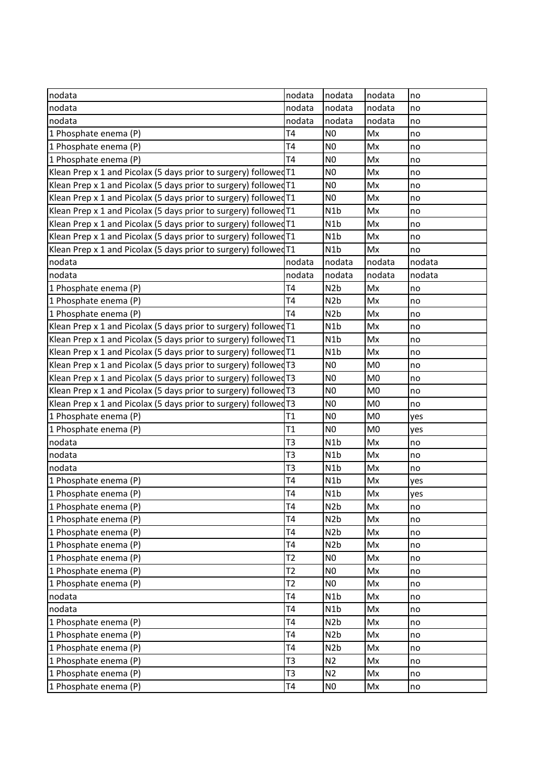| nodata                                                             | nodata         | nodata           | nodata         | no     |
|--------------------------------------------------------------------|----------------|------------------|----------------|--------|
| nodata                                                             | nodata         | nodata           | nodata         | no     |
| nodata                                                             | nodata         | nodata           | nodata         | no     |
| 1 Phosphate enema (P)                                              | T <sub>4</sub> | N <sub>0</sub>   | Mx             | no     |
| 1 Phosphate enema (P)                                              | T <sub>4</sub> | N <sub>0</sub>   | Mx             | no     |
| 1 Phosphate enema (P)                                              | T <sub>4</sub> | N <sub>0</sub>   | Mx             | no     |
| Klean Prep x 1 and Picolax (5 days prior to surgery) followed T1   |                | N <sub>0</sub>   | Mx             | no     |
| Klean Prep x 1 and Picolax (5 days prior to surgery) followed T1   |                | N <sub>0</sub>   | Mx             | no     |
| Klean Prep x 1 and Picolax (5 days prior to surgery) followed T1   |                | N <sub>0</sub>   | Mx             | no     |
| Klean Prep x 1 and Picolax (5 days prior to surgery) followed T1   |                | N1b              | Mx             | no     |
| Klean Prep x 1 and Picolax (5 days prior to surgery) followed T1   |                | N1b              | Mx             | no     |
| Klean Prep x 1 and Picolax (5 days prior to surgery) followed $T1$ |                | N1b              | Mx             | no     |
| Klean Prep x 1 and Picolax (5 days prior to surgery) followed T1   |                | N1b              | Mx             | no     |
| nodata                                                             | nodata         | nodata           | nodata         | nodata |
| nodata                                                             | nodata         | nodata           | nodata         | nodata |
| 1 Phosphate enema (P)                                              | T <sub>4</sub> | N <sub>2</sub> b | Mx             | no     |
| 1 Phosphate enema (P)                                              | T <sub>4</sub> | N <sub>2</sub> b | Mx             | no     |
| 1 Phosphate enema (P)                                              | T <sub>4</sub> | N <sub>2</sub> b | Mx             | no     |
| Klean Prep x 1 and Picolax (5 days prior to surgery) followed T1   |                | N1b              | Mx             | no     |
| Klean Prep x 1 and Picolax (5 days prior to surgery) followed T1   |                | N1b              | Mx             | no     |
| Klean Prep x 1 and Picolax (5 days prior to surgery) followed T1   |                | N1b              | Mx             | no     |
| Klean Prep x 1 and Picolax (5 days prior to surgery) followed T3   |                | N <sub>0</sub>   | M <sub>0</sub> | no     |
| Klean Prep x 1 and Picolax (5 days prior to surgery) followed T3   |                | N <sub>0</sub>   | M <sub>0</sub> | no     |
| Klean Prep x 1 and Picolax (5 days prior to surgery) followed T3   |                | N <sub>0</sub>   | M <sub>0</sub> | no     |
| Klean Prep x 1 and Picolax (5 days prior to surgery) followed T3   |                | N <sub>0</sub>   | M <sub>0</sub> | no     |
| 1 Phosphate enema (P)                                              | T1             | N <sub>0</sub>   | M <sub>0</sub> | yes    |
| 1 Phosphate enema (P)                                              | T1             | N <sub>0</sub>   | M <sub>0</sub> | yes    |
| nodata                                                             | T <sub>3</sub> | N1b              | Mx             | no     |
| nodata                                                             | T <sub>3</sub> | N1b              | Mx             | no     |
| nodata                                                             | T <sub>3</sub> | N1b              | Mx             | no     |
| 1 Phosphate enema (P)                                              | T <sub>4</sub> | N1b              | Mx             | yes    |
| 1 Phosphate enema (P)                                              | T <sub>4</sub> | N <sub>1</sub> b | Mx             | yes    |
| 1 Phosphate enema (P)                                              | T <sub>4</sub> | N <sub>2</sub> b | Mx             | no     |
| 1 Phosphate enema (P)                                              | <b>T4</b>      | N <sub>2</sub> b | Mx             | no     |
| 1 Phosphate enema (P)                                              | T <sub>4</sub> | N <sub>2</sub> b | Mx             | no     |
| 1 Phosphate enema (P)                                              | <b>T4</b>      | N <sub>2</sub> b | Mx             | no     |
| 1 Phosphate enema (P)                                              | T2             | N <sub>0</sub>   | Mx             | no     |
| 1 Phosphate enema (P)                                              | T2             | N <sub>0</sub>   | Mx             | no     |
| 1 Phosphate enema (P)                                              | T <sub>2</sub> | N <sub>0</sub>   | Mx             | no     |
| nodata                                                             | <b>T4</b>      | N1b              | Mx             | no     |
| nodata                                                             | T <sub>4</sub> | N1b              | Mx             | no     |
| 1 Phosphate enema (P)                                              | T <sub>4</sub> | N <sub>2</sub> b | Mx             | no     |
| 1 Phosphate enema (P)                                              | <b>T4</b>      | N <sub>2</sub> b | Mx             | no     |
| 1 Phosphate enema (P)                                              | T <sub>4</sub> | N <sub>2</sub> b | Mx             | no     |
| 1 Phosphate enema (P)                                              | T <sub>3</sub> | N2               | Mx             | no     |
| 1 Phosphate enema (P)                                              | T <sub>3</sub> | N <sub>2</sub>   | Mx             | no     |
| 1 Phosphate enema (P)                                              | <b>T4</b>      | N <sub>0</sub>   | Mx             | no     |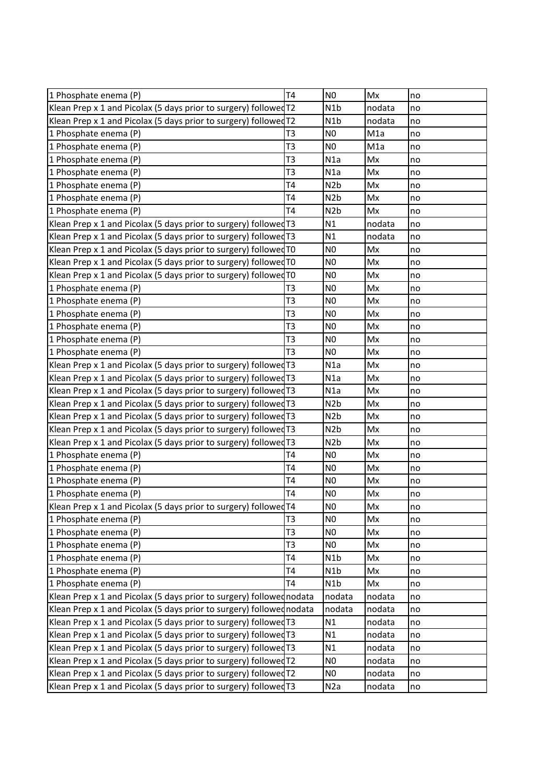| 1 Phosphate enema (P)                                                | T4             | N <sub>0</sub>   | Mx     | no |
|----------------------------------------------------------------------|----------------|------------------|--------|----|
| Klean Prep x 1 and Picolax (5 days prior to surgery) followed T2     |                | N1b              | nodata | no |
| Klean Prep x 1 and Picolax (5 days prior to surgery) followed T2     |                | N <sub>1</sub> b | nodata | no |
| 1 Phosphate enema (P)                                                | T <sub>3</sub> | N <sub>0</sub>   | M1a    | no |
| 1 Phosphate enema (P)                                                | T <sub>3</sub> | N <sub>0</sub>   | M1a    | no |
| 1 Phosphate enema (P)                                                | T <sub>3</sub> | N1a              | Mx     | no |
| 1 Phosphate enema (P)                                                | T <sub>3</sub> | N1a              | Mx     | no |
| 1 Phosphate enema (P)                                                | T <sub>4</sub> | N <sub>2</sub> b | Mx     | no |
| 1 Phosphate enema (P)                                                | T <sub>4</sub> | N <sub>2</sub> b | Mx     | no |
| 1 Phosphate enema (P)                                                | <b>T4</b>      | N <sub>2</sub> b | Mx     | no |
| Klean Prep x 1 and Picolax (5 days prior to surgery) followed T3     |                | N1               | nodata | no |
| Klean Prep x 1 and Picolax (5 days prior to surgery) followed T3     |                | N1               | nodata | no |
| Klean Prep x 1 and Picolax (5 days prior to surgery) followed TO     |                | N <sub>0</sub>   | Mx     | no |
| Klean Prep x 1 and Picolax (5 days prior to surgery) followed TO     |                | N <sub>0</sub>   | Mx     | no |
| Klean Prep x 1 and Picolax (5 days prior to surgery) followed TO     |                | N <sub>0</sub>   | Mx     | no |
| 1 Phosphate enema (P)                                                | T <sub>3</sub> | N <sub>0</sub>   | Mx     | no |
| 1 Phosphate enema (P)                                                | T <sub>3</sub> | N <sub>0</sub>   | Mx     | no |
| 1 Phosphate enema (P)                                                | T <sub>3</sub> | N <sub>0</sub>   | Mx     | no |
| 1 Phosphate enema (P)                                                | T <sub>3</sub> | N <sub>0</sub>   | Mx     | no |
| 1 Phosphate enema (P)                                                | T <sub>3</sub> | N <sub>0</sub>   | Mx     | no |
| 1 Phosphate enema (P)                                                | T <sub>3</sub> | N <sub>0</sub>   | Mx     | no |
| Klean Prep x 1 and Picolax (5 days prior to surgery) followed T3     |                | N1a              | Mx     | no |
| Klean Prep x 1 and Picolax (5 days prior to surgery) followed T3     |                | N1a              | Mx     | no |
| Klean Prep x 1 and Picolax (5 days prior to surgery) followed T3     |                | N1a              | Mx     | no |
| Klean Prep x 1 and Picolax (5 days prior to surgery) followed T3     |                | N <sub>2</sub> b | Mx     | no |
| Klean Prep x 1 and Picolax (5 days prior to surgery) followed T3     |                | N <sub>2</sub> b | Mx     | no |
| Klean Prep x 1 and Picolax (5 days prior to surgery) followed T3     |                | N <sub>2</sub> b | Mx     | no |
| Klean Prep x 1 and Picolax (5 days prior to surgery) followed T3     |                | N <sub>2</sub> b | Mx     | no |
| 1 Phosphate enema (P)                                                | T <sub>4</sub> | N <sub>0</sub>   | Mx     | no |
| 1 Phosphate enema (P)                                                | <b>T4</b>      | N <sub>0</sub>   | Mx     | no |
| 1 Phosphate enema (P)                                                | T4             | N <sub>0</sub>   | Mx     | no |
| 1 Phosphate enema (P)                                                | T <sub>4</sub> | N <sub>0</sub>   | Mx     | no |
| Klean Prep x 1 and Picolax (5 days prior to surgery) followed T4     |                | N0)              | Mx     | no |
| 1 Phosphate enema (P)                                                | T <sub>3</sub> | N <sub>0</sub>   | Mx     | no |
| 1 Phosphate enema (P)                                                | T <sub>3</sub> | N <sub>0</sub>   | Mx     | no |
| 1 Phosphate enema (P)                                                | T <sub>3</sub> | N <sub>0</sub>   | Mx     | no |
| 1 Phosphate enema (P)                                                | <b>T4</b>      | N <sub>1</sub> b | Mx     | no |
| 1 Phosphate enema (P)                                                | T <sub>4</sub> | N1b              | Mx     | no |
| 1 Phosphate enema (P)                                                | <b>T4</b>      | N1b              | Mx     | no |
| Klean Prep x 1 and Picolax (5 days prior to surgery) followed nodata |                | nodata           | nodata | no |
| Klean Prep x 1 and Picolax (5 days prior to surgery) followed nodata |                | nodata           | nodata | no |
| Klean Prep x 1 and Picolax (5 days prior to surgery) followed $T3$   |                | N1               | nodata | no |
| Klean Prep x 1 and Picolax (5 days prior to surgery) followed $T3$   |                | N1               | nodata | no |
| Klean Prep x 1 and Picolax (5 days prior to surgery) followed T3     |                | N1               | nodata | no |
| Klean Prep x 1 and Picolax (5 days prior to surgery) followed T2     |                | N <sub>0</sub>   | nodata | no |
| Klean Prep x 1 and Picolax (5 days prior to surgery) followed T2     |                | N <sub>0</sub>   | nodata | no |
| Klean Prep x 1 and Picolax (5 days prior to surgery) followed T3     |                | N <sub>2</sub> a | nodata | no |
|                                                                      |                |                  |        |    |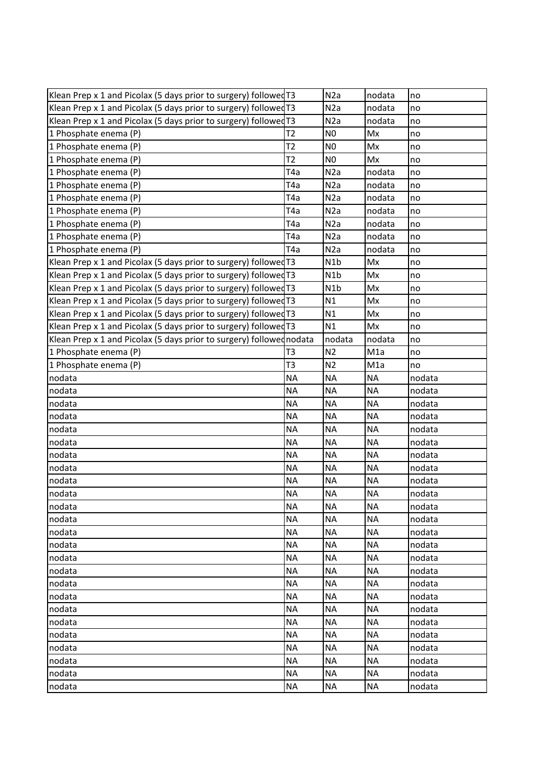| Klean Prep x 1 and Picolax (5 days prior to surgery) followed T3     |                  | N2a              | nodata           | no     |
|----------------------------------------------------------------------|------------------|------------------|------------------|--------|
| Klean Prep x 1 and Picolax (5 days prior to surgery) followed T3     |                  | N2a              | nodata           | no     |
| Klean Prep x 1 and Picolax (5 days prior to surgery) followed T3     |                  | N <sub>2</sub> a | nodata           | no     |
| 1 Phosphate enema (P)                                                | T2               | N <sub>0</sub>   | Mx               | no     |
| 1 Phosphate enema (P)                                                | T2               | N <sub>0</sub>   | Mx               | no     |
| 1 Phosphate enema (P)                                                | T2               | N <sub>0</sub>   | Mx               | no     |
| 1 Phosphate enema (P)                                                | T4a              | N <sub>2</sub> a | nodata           | no     |
| 1 Phosphate enema (P)                                                | T4a              | N <sub>2</sub> a | nodata           | no     |
| 1 Phosphate enema (P)                                                | T4a              | N <sub>2</sub> a | nodata           | no     |
| 1 Phosphate enema (P)                                                | T4a              | N <sub>2</sub> a | nodata           | no     |
| 1 Phosphate enema (P)                                                | T <sub>4</sub> a | N <sub>2</sub> a | nodata           | no     |
| 1 Phosphate enema (P)                                                | T4a              | N <sub>2</sub> a | nodata           | no     |
| 1 Phosphate enema (P)                                                | T <sub>4</sub> a | N <sub>2</sub> a | nodata           | no     |
| Klean Prep x 1 and Picolax (5 days prior to surgery) followed T3     |                  | N <sub>1</sub> b | Mx               | no     |
| Klean Prep x 1 and Picolax (5 days prior to surgery) followed T3     |                  | N <sub>1</sub> b | Mx               | no     |
| Klean Prep x 1 and Picolax (5 days prior to surgery) followed T3     |                  | N <sub>1</sub> b | Mx               | no     |
| Klean Prep x 1 and Picolax (5 days prior to surgery) followed T3     |                  | N1               | Mx               | no     |
| Klean Prep x 1 and Picolax (5 days prior to surgery) followed T3     |                  | N1               | Mx               | no     |
| Klean Prep x 1 and Picolax (5 days prior to surgery) followed T3     |                  | N1               | Mx               | no     |
| Klean Prep x 1 and Picolax (5 days prior to surgery) followed nodata |                  | nodata           | nodata           | no     |
| 1 Phosphate enema (P)                                                | T <sub>3</sub>   | N <sub>2</sub>   | M1a              | no     |
| 1 Phosphate enema (P)                                                | T <sub>3</sub>   | N <sub>2</sub>   | M <sub>1</sub> a | no     |
| nodata                                                               | <b>NA</b>        | <b>NA</b>        | <b>NA</b>        | nodata |
| nodata                                                               | <b>NA</b>        | <b>NA</b>        | <b>NA</b>        | nodata |
| nodata                                                               | <b>NA</b>        | <b>NA</b>        | <b>NA</b>        | nodata |
| nodata                                                               | <b>NA</b>        | <b>NA</b>        | <b>NA</b>        | nodata |
| nodata                                                               | <b>NA</b>        | <b>NA</b>        | <b>NA</b>        | nodata |
| nodata                                                               | <b>NA</b>        | <b>NA</b>        | <b>NA</b>        | nodata |
| nodata                                                               | <b>NA</b>        | <b>NA</b>        | <b>NA</b>        | nodata |
| nodata                                                               | <b>NA</b>        | <b>NA</b>        | <b>NA</b>        | nodata |
| nodata                                                               | <b>NA</b>        | <b>NA</b>        | <b>NA</b>        | nodata |
| nodata                                                               | <b>NA</b>        | <b>NA</b>        | <b>NA</b>        | nodata |
| nodata                                                               | NA.              | <b>NA</b>        | <b>NA</b>        | nodata |
| nodata                                                               | <b>NA</b>        | <b>NA</b>        | <b>NA</b>        | nodata |
| nodata                                                               | <b>NA</b>        | <b>NA</b>        | <b>NA</b>        | nodata |
| nodata                                                               | <b>NA</b>        | <b>NA</b>        | <b>NA</b>        | nodata |
| nodata                                                               | <b>NA</b>        | <b>NA</b>        | <b>NA</b>        | nodata |
| nodata                                                               | <b>NA</b>        | <b>NA</b>        | <b>NA</b>        | nodata |
| nodata                                                               | <b>NA</b>        | <b>NA</b>        | <b>NA</b>        | nodata |
| nodata                                                               | <b>NA</b>        | <b>NA</b>        | <b>NA</b>        | nodata |
| nodata                                                               | <b>NA</b>        | <b>NA</b>        | <b>NA</b>        | nodata |
| nodata                                                               | <b>NA</b>        | <b>NA</b>        | <b>NA</b>        | nodata |
| nodata                                                               | <b>NA</b>        | <b>NA</b>        | <b>NA</b>        | nodata |
| nodata                                                               | <b>NA</b>        | <b>NA</b>        | <b>NA</b>        | nodata |
| nodata                                                               | <b>NA</b>        | <b>NA</b>        | <b>NA</b>        | nodata |
| nodata                                                               | <b>NA</b>        | <b>NA</b>        | <b>NA</b>        | nodata |
| nodata                                                               | <b>NA</b>        | <b>NA</b>        | <b>NA</b>        | nodata |
|                                                                      |                  |                  |                  |        |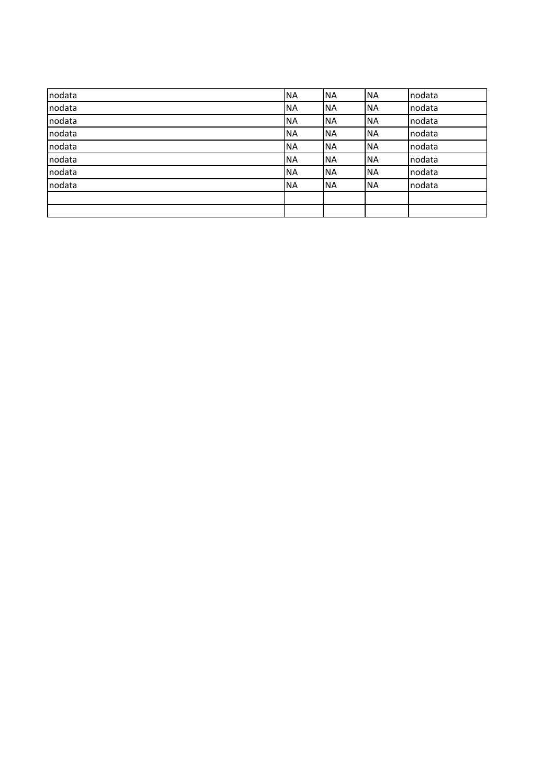| nodata | <b>NA</b> | <b>NA</b> | <b>NA</b> | nodata |
|--------|-----------|-----------|-----------|--------|
| nodata | <b>NA</b> | <b>NA</b> | <b>NA</b> | nodata |
| nodata | <b>NA</b> | <b>NA</b> | <b>NA</b> | nodata |
| nodata | <b>NA</b> | <b>NA</b> | <b>NA</b> | nodata |
| nodata | <b>NA</b> | <b>NA</b> | <b>NA</b> | nodata |
| nodata | <b>NA</b> | <b>NA</b> | <b>NA</b> | nodata |
| nodata | <b>NA</b> | <b>NA</b> | <b>NA</b> | nodata |
| nodata | <b>NA</b> | <b>NA</b> | <b>NA</b> | nodata |
|        |           |           |           |        |
|        |           |           |           |        |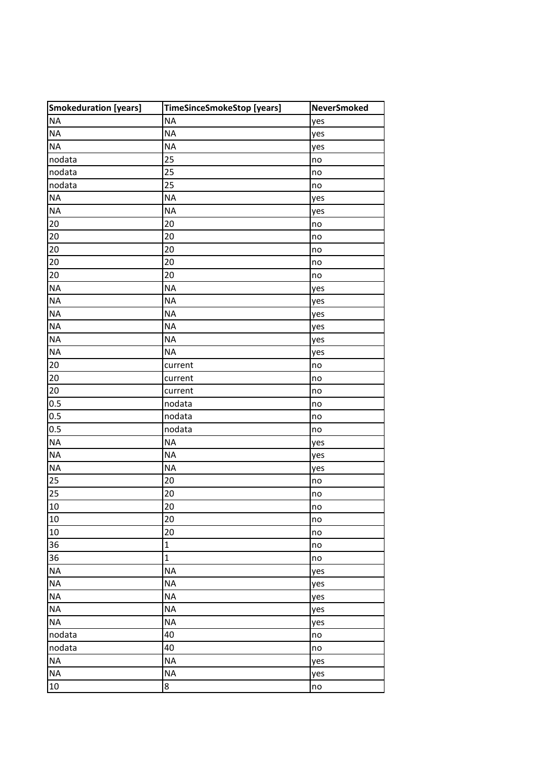| Smokeduration [years] | TimeSinceSmokeStop [years] | <b>NeverSmoked</b> |
|-----------------------|----------------------------|--------------------|
| <b>NA</b>             | <b>NA</b>                  | yes                |
| <b>NA</b>             | <b>NA</b>                  | yes                |
| <b>NA</b>             | <b>NA</b>                  | yes                |
| nodata                | 25                         | no                 |
| nodata                | 25                         | no                 |
| nodata                | 25                         | no                 |
| <b>NA</b>             | <b>NA</b>                  | yes                |
| <b>NA</b>             | <b>NA</b>                  | yes                |
| 20                    | 20                         | no                 |
| 20                    | 20                         | no                 |
| 20                    | 20                         | no                 |
| 20                    | 20                         | no                 |
| 20                    | 20                         | no                 |
| <b>NA</b>             | <b>NA</b>                  | yes                |
| <b>NA</b>             | <b>NA</b>                  | yes                |
| <b>NA</b>             | <b>NA</b>                  | yes                |
| <b>NA</b>             | <b>NA</b>                  | yes                |
| <b>NA</b>             | <b>NA</b>                  | yes                |
| <b>NA</b>             | <b>NA</b>                  | yes                |
| 20                    | current                    | no                 |
| 20                    | current                    | no                 |
| 20                    | current                    | no                 |
| 0.5                   | nodata                     | no                 |
| 0.5                   | nodata                     | no                 |
| 0.5                   | nodata                     | no                 |
| <b>NA</b>             | <b>NA</b>                  | yes                |
| <b>NA</b>             | <b>NA</b>                  | yes                |
| <b>NA</b>             | <b>NA</b>                  | yes                |
| 25                    | 20                         | no                 |
| 25                    | 20                         | no                 |
| 10                    | 20                         | no                 |
| 10                    | $\overline{20}$            | no                 |
| 10                    | 20                         | no                 |
| 36                    | $\mathbf 1$                | no                 |
| 36                    | $\mathbf 1$                | no                 |
| <b>NA</b>             | <b>NA</b>                  | yes                |
| <b>NA</b>             | <b>NA</b>                  | yes                |
| <b>NA</b>             | <b>NA</b>                  | yes                |
| <b>NA</b>             | <b>NA</b>                  | yes                |
| <b>NA</b>             | <b>NA</b>                  | yes                |
| nodata                | 40                         | no                 |
| nodata                | 40                         | no                 |
| <b>NA</b>             | <b>NA</b>                  | yes                |
| <b>NA</b>             | <b>NA</b>                  | yes                |
| $10\,$                | 8                          | no                 |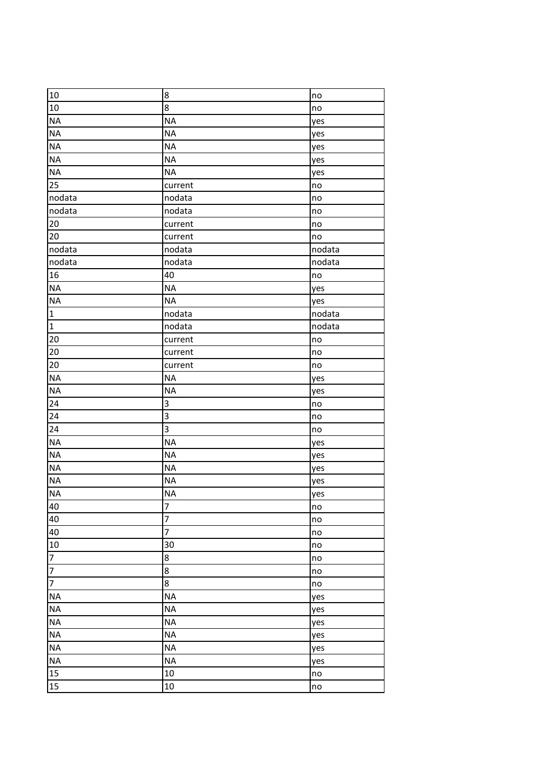| 10                       | $\bf8$         | no     |
|--------------------------|----------------|--------|
| $10\,$                   | $\bf 8$        | no     |
| <b>NA</b>                | <b>NA</b>      | yes    |
| <b>NA</b>                | <b>NA</b>      | yes    |
| <b>NA</b>                | <b>NA</b>      | yes    |
| <b>NA</b>                | <b>NA</b>      | yes    |
| <b>NA</b>                | <b>NA</b>      | yes    |
| 25                       | current        | no     |
| nodata                   | nodata         | no     |
| nodata                   | nodata         | no     |
| 20                       | current        | no     |
| $20\,$                   | current        | no     |
| nodata                   | nodata         | nodata |
| nodata                   | nodata         | nodata |
| 16                       | 40             | no     |
| <b>NA</b>                | <b>NA</b>      | yes    |
| <b>NA</b>                | <b>NA</b>      | yes    |
| $\mathbf 1$              | nodata         | nodata |
| $\mathbf 1$              | nodata         | nodata |
| 20                       | current        | no     |
| 20                       | current        | no     |
| $20\,$                   | current        | no     |
| <b>NA</b>                | <b>NA</b>      | yes    |
| <b>NA</b>                | <b>NA</b>      | yes    |
| 24                       | 3              | no     |
| 24                       | 3              | no     |
| 24                       | 3              | no     |
| <b>NA</b>                | <b>NA</b>      | yes    |
| <b>NA</b>                | <b>NA</b>      | yes    |
| <b>NA</b>                | <b>NA</b>      | yes    |
| <b>NA</b>                | <b>NA</b>      | yes    |
| <b>NA</b>                | <b>NA</b>      | yes    |
| 40                       | 7              | no     |
| 40                       | $\overline{7}$ | no     |
| 40                       | $\overline{7}$ | no     |
| $10\,$                   | 30             | no     |
| $\overline{\mathcal{I}}$ | 8              | no     |
| $\overline{7}$           | 8              | no     |
| $\overline{7}$           | 8              | no     |
| <b>NA</b>                | <b>NA</b>      | yes    |
| <b>NA</b>                | <b>NA</b>      | yes    |
| <b>NA</b>                | <b>NA</b>      | yes    |
| <b>NA</b>                | <b>NA</b>      | yes    |
| <b>NA</b>                | <b>NA</b>      | yes    |
| <b>NA</b>                | <b>NA</b>      | yes    |
| 15                       | 10             | no     |
| 15                       | 10             | no     |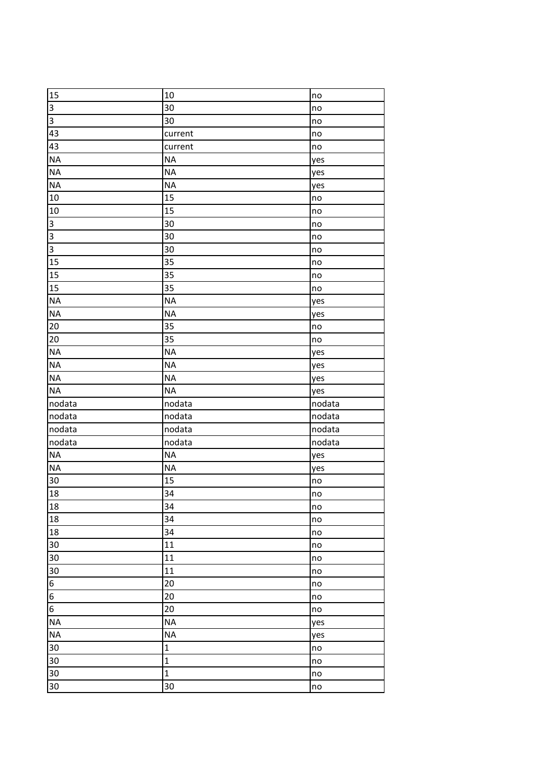| 10<br>no<br>30<br>no<br>$\overline{a}$<br>30<br>no<br>current<br>no<br>no<br>current<br><b>NA</b><br>yes<br><b>NA</b><br>yes<br><b>NA</b><br>yes<br>15<br>no<br>15<br>no<br>30<br>no<br>30<br>no<br>30<br>no<br>35<br>no<br>35<br>no<br>35<br>no<br><b>NA</b><br>yes<br><b>NA</b><br>yes<br>20<br>35<br>no<br>35<br>no<br><b>NA</b><br>yes<br><b>NA</b><br>yes<br><b>NA</b><br>yes<br><b>NA</b><br>yes<br>nodata<br>nodata<br>nodata<br>nodata<br>nodata<br>nodata<br>nodata<br>nodata<br>nodata<br>nodata<br>nodata<br><b>NA</b><br>yes<br><b>NA</b><br>yes<br>15<br>30<br>no<br>34<br>18<br>no<br>18<br>34<br>no<br>34<br>no<br>18<br>34<br>no<br>11<br>no<br>30<br>11<br>no<br>11<br>no<br>$\frac{6}{6}$<br>20<br>no<br>20<br>no<br>20<br>no<br><b>NA</b><br>yes<br><b>NA</b><br>yes<br>$\mathbf 1$<br>no<br>30<br>$\mathbf{1}$<br>no<br>30<br>$\mathbf{1}$<br>no<br>30<br>30<br>no |                |  |
|----------------------------------------------------------------------------------------------------------------------------------------------------------------------------------------------------------------------------------------------------------------------------------------------------------------------------------------------------------------------------------------------------------------------------------------------------------------------------------------------------------------------------------------------------------------------------------------------------------------------------------------------------------------------------------------------------------------------------------------------------------------------------------------------------------------------------------------------------------------------------------------|----------------|--|
|                                                                                                                                                                                                                                                                                                                                                                                                                                                                                                                                                                                                                                                                                                                                                                                                                                                                                        | 15             |  |
|                                                                                                                                                                                                                                                                                                                                                                                                                                                                                                                                                                                                                                                                                                                                                                                                                                                                                        | $\mathbf{s}$   |  |
|                                                                                                                                                                                                                                                                                                                                                                                                                                                                                                                                                                                                                                                                                                                                                                                                                                                                                        |                |  |
|                                                                                                                                                                                                                                                                                                                                                                                                                                                                                                                                                                                                                                                                                                                                                                                                                                                                                        | 43             |  |
|                                                                                                                                                                                                                                                                                                                                                                                                                                                                                                                                                                                                                                                                                                                                                                                                                                                                                        | 43             |  |
|                                                                                                                                                                                                                                                                                                                                                                                                                                                                                                                                                                                                                                                                                                                                                                                                                                                                                        | <b>NA</b>      |  |
|                                                                                                                                                                                                                                                                                                                                                                                                                                                                                                                                                                                                                                                                                                                                                                                                                                                                                        | <b>NA</b>      |  |
|                                                                                                                                                                                                                                                                                                                                                                                                                                                                                                                                                                                                                                                                                                                                                                                                                                                                                        | <b>NA</b>      |  |
|                                                                                                                                                                                                                                                                                                                                                                                                                                                                                                                                                                                                                                                                                                                                                                                                                                                                                        | 10             |  |
|                                                                                                                                                                                                                                                                                                                                                                                                                                                                                                                                                                                                                                                                                                                                                                                                                                                                                        | 10             |  |
|                                                                                                                                                                                                                                                                                                                                                                                                                                                                                                                                                                                                                                                                                                                                                                                                                                                                                        | $\overline{3}$ |  |
|                                                                                                                                                                                                                                                                                                                                                                                                                                                                                                                                                                                                                                                                                                                                                                                                                                                                                        | $\overline{3}$ |  |
|                                                                                                                                                                                                                                                                                                                                                                                                                                                                                                                                                                                                                                                                                                                                                                                                                                                                                        | $\overline{3}$ |  |
|                                                                                                                                                                                                                                                                                                                                                                                                                                                                                                                                                                                                                                                                                                                                                                                                                                                                                        | 15             |  |
|                                                                                                                                                                                                                                                                                                                                                                                                                                                                                                                                                                                                                                                                                                                                                                                                                                                                                        | 15             |  |
|                                                                                                                                                                                                                                                                                                                                                                                                                                                                                                                                                                                                                                                                                                                                                                                                                                                                                        | 15             |  |
|                                                                                                                                                                                                                                                                                                                                                                                                                                                                                                                                                                                                                                                                                                                                                                                                                                                                                        | <b>NA</b>      |  |
|                                                                                                                                                                                                                                                                                                                                                                                                                                                                                                                                                                                                                                                                                                                                                                                                                                                                                        | <b>NA</b>      |  |
|                                                                                                                                                                                                                                                                                                                                                                                                                                                                                                                                                                                                                                                                                                                                                                                                                                                                                        |                |  |
|                                                                                                                                                                                                                                                                                                                                                                                                                                                                                                                                                                                                                                                                                                                                                                                                                                                                                        | 20             |  |
|                                                                                                                                                                                                                                                                                                                                                                                                                                                                                                                                                                                                                                                                                                                                                                                                                                                                                        | <b>NA</b>      |  |
|                                                                                                                                                                                                                                                                                                                                                                                                                                                                                                                                                                                                                                                                                                                                                                                                                                                                                        | <b>NA</b>      |  |
|                                                                                                                                                                                                                                                                                                                                                                                                                                                                                                                                                                                                                                                                                                                                                                                                                                                                                        | <b>NA</b>      |  |
|                                                                                                                                                                                                                                                                                                                                                                                                                                                                                                                                                                                                                                                                                                                                                                                                                                                                                        | <b>NA</b>      |  |
|                                                                                                                                                                                                                                                                                                                                                                                                                                                                                                                                                                                                                                                                                                                                                                                                                                                                                        |                |  |
|                                                                                                                                                                                                                                                                                                                                                                                                                                                                                                                                                                                                                                                                                                                                                                                                                                                                                        | nodata         |  |
|                                                                                                                                                                                                                                                                                                                                                                                                                                                                                                                                                                                                                                                                                                                                                                                                                                                                                        |                |  |
|                                                                                                                                                                                                                                                                                                                                                                                                                                                                                                                                                                                                                                                                                                                                                                                                                                                                                        |                |  |
|                                                                                                                                                                                                                                                                                                                                                                                                                                                                                                                                                                                                                                                                                                                                                                                                                                                                                        | <b>NA</b>      |  |
|                                                                                                                                                                                                                                                                                                                                                                                                                                                                                                                                                                                                                                                                                                                                                                                                                                                                                        | <b>NA</b>      |  |
|                                                                                                                                                                                                                                                                                                                                                                                                                                                                                                                                                                                                                                                                                                                                                                                                                                                                                        |                |  |
|                                                                                                                                                                                                                                                                                                                                                                                                                                                                                                                                                                                                                                                                                                                                                                                                                                                                                        |                |  |
|                                                                                                                                                                                                                                                                                                                                                                                                                                                                                                                                                                                                                                                                                                                                                                                                                                                                                        |                |  |
|                                                                                                                                                                                                                                                                                                                                                                                                                                                                                                                                                                                                                                                                                                                                                                                                                                                                                        | 18             |  |
|                                                                                                                                                                                                                                                                                                                                                                                                                                                                                                                                                                                                                                                                                                                                                                                                                                                                                        |                |  |
|                                                                                                                                                                                                                                                                                                                                                                                                                                                                                                                                                                                                                                                                                                                                                                                                                                                                                        | 30             |  |
|                                                                                                                                                                                                                                                                                                                                                                                                                                                                                                                                                                                                                                                                                                                                                                                                                                                                                        |                |  |
|                                                                                                                                                                                                                                                                                                                                                                                                                                                                                                                                                                                                                                                                                                                                                                                                                                                                                        | 30             |  |
|                                                                                                                                                                                                                                                                                                                                                                                                                                                                                                                                                                                                                                                                                                                                                                                                                                                                                        |                |  |
|                                                                                                                                                                                                                                                                                                                                                                                                                                                                                                                                                                                                                                                                                                                                                                                                                                                                                        |                |  |
|                                                                                                                                                                                                                                                                                                                                                                                                                                                                                                                                                                                                                                                                                                                                                                                                                                                                                        | $\overline{6}$ |  |
|                                                                                                                                                                                                                                                                                                                                                                                                                                                                                                                                                                                                                                                                                                                                                                                                                                                                                        | <b>NA</b>      |  |
|                                                                                                                                                                                                                                                                                                                                                                                                                                                                                                                                                                                                                                                                                                                                                                                                                                                                                        | <b>NA</b>      |  |
|                                                                                                                                                                                                                                                                                                                                                                                                                                                                                                                                                                                                                                                                                                                                                                                                                                                                                        | 30             |  |
|                                                                                                                                                                                                                                                                                                                                                                                                                                                                                                                                                                                                                                                                                                                                                                                                                                                                                        |                |  |
|                                                                                                                                                                                                                                                                                                                                                                                                                                                                                                                                                                                                                                                                                                                                                                                                                                                                                        |                |  |
|                                                                                                                                                                                                                                                                                                                                                                                                                                                                                                                                                                                                                                                                                                                                                                                                                                                                                        |                |  |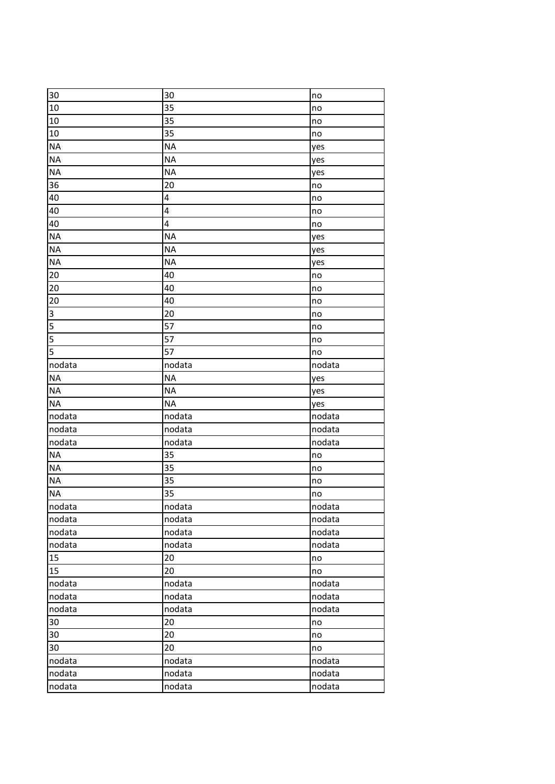| 30                      | 30        | no     |
|-------------------------|-----------|--------|
| 10                      | 35        | no     |
| 10                      | 35        | no     |
| 10                      | 35        | no     |
| <b>NA</b>               | <b>NA</b> | yes    |
| <b>NA</b>               | <b>NA</b> | yes    |
| <b>NA</b>               | <b>NA</b> | yes    |
| 36                      | 20        | no     |
| 40                      | 4         | no     |
| 40                      | 4         | no     |
| 40                      | 4         | no     |
| <b>NA</b>               | <b>NA</b> | yes    |
| <b>NA</b>               | <b>NA</b> | yes    |
| <b>NA</b>               | <b>NA</b> | yes    |
| 20                      | 40        | no     |
| 20                      | 40        | no     |
| 20                      | 40        | no     |
| $\overline{\mathbf{3}}$ | 20        | no     |
| 5                       | 57        | no     |
| $\overline{5}$          | 57        | no     |
| $\overline{5}$          | 57        | no     |
| nodata                  | nodata    | nodata |
| <b>NA</b>               | <b>NA</b> | yes    |
| <b>NA</b>               | <b>NA</b> | yes    |
| <b>NA</b>               | <b>NA</b> | yes    |
| nodata                  | nodata    | nodata |
| nodata                  | nodata    | nodata |
| nodata                  | nodata    | nodata |
| <b>NA</b>               | 35        | no     |
| <b>NA</b>               | 35        | no     |
| <b>NA</b>               | 35        | no     |
| <b>NA</b>               | 35        | no     |
| nodata                  | nodata    | nodata |
| nodata                  | nodata    | nodata |
| nodata                  | nodata    | nodata |
| nodata                  | nodata    | nodata |
| 15                      | 20        | no     |
| 15                      | 20        | no     |
| nodata                  | nodata    | nodata |
| nodata                  | nodata    | nodata |
| nodata                  | nodata    | nodata |
| 30                      | 20        | no     |
| 30                      | 20        | no     |
| 30                      | 20        | no     |
| nodata                  | nodata    | nodata |
| nodata                  | nodata    | nodata |
| nodata                  | nodata    | nodata |
|                         |           |        |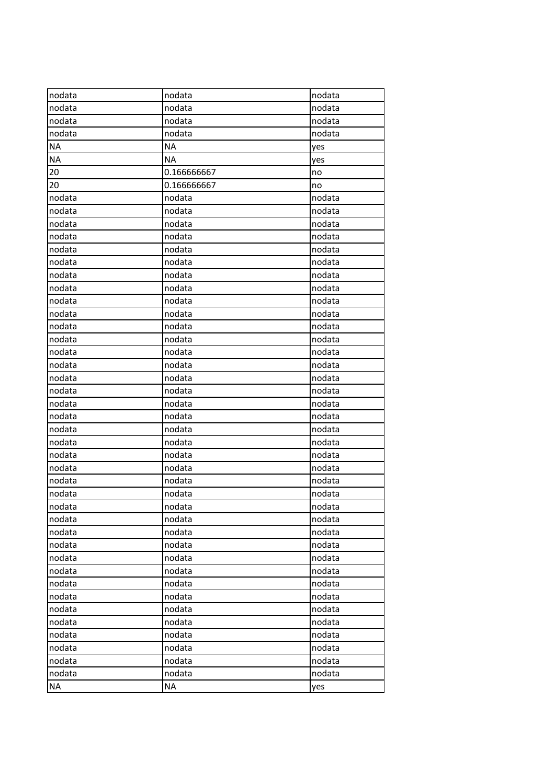| nodata    | nodata      | nodata |
|-----------|-------------|--------|
| nodata    | nodata      | nodata |
| nodata    | nodata      | nodata |
| nodata    | nodata      | nodata |
| <b>NA</b> | <b>NA</b>   | yes    |
| <b>NA</b> | <b>NA</b>   | yes    |
| 20        | 0.166666667 | no     |
| 20        | 0.166666667 | no     |
| nodata    | nodata      | nodata |
| nodata    | nodata      | nodata |
| nodata    | nodata      | nodata |
| nodata    | nodata      | nodata |
| nodata    | nodata      | nodata |
| nodata    | nodata      | nodata |
| nodata    | nodata      | nodata |
| nodata    | nodata      | nodata |
| nodata    | nodata      | nodata |
| nodata    | nodata      | nodata |
| nodata    | nodata      | nodata |
| nodata    | nodata      | nodata |
| nodata    | nodata      | nodata |
| nodata    | nodata      | nodata |
| nodata    | nodata      | nodata |
| nodata    | nodata      | nodata |
| nodata    | nodata      | nodata |
| nodata    | nodata      | nodata |
| nodata    | nodata      | nodata |
| nodata    | nodata      | nodata |
| nodata    | nodata      | nodata |
| nodata    | nodata      | nodata |
| nodata    | nodata      | nodata |
| nodata    | nodata      | nodata |
| nodata    | nodata      | nodata |
| nodata    | nodata      | nodata |
| nodata    | nodata      | nodata |
| nodata    | nodata      | nodata |
| nodata    | nodata      | nodata |
| nodata    | nodata      | nodata |
| nodata    | nodata      | nodata |
| nodata    | nodata      | nodata |
| nodata    | nodata      | nodata |
| nodata    | nodata      | nodata |
| nodata    | nodata      | nodata |
| nodata    | nodata      | nodata |
| nodata    | nodata      | nodata |
| nodata    | nodata      | nodata |
| <b>NA</b> | <b>NA</b>   | yes    |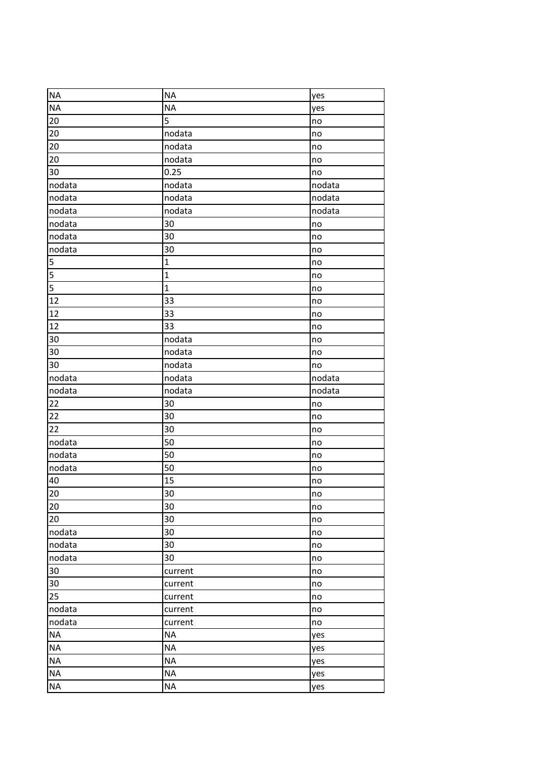| <b>NA</b>       | <b>NA</b>    | yes    |
|-----------------|--------------|--------|
| <b>NA</b>       | <b>NA</b>    | yes    |
| 20              | 5            | no     |
| 20              | nodata       | no     |
| 20              | nodata       | no     |
| 20              | nodata       | no     |
| 30              | 0.25         | no     |
| nodata          | nodata       | nodata |
| nodata          | nodata       | nodata |
| nodata          | nodata       | nodata |
| nodata          | 30           | no     |
| nodata          | 30           | no     |
| nodata          | 30           | no     |
| 5               | $\mathbf{1}$ | no     |
| $\overline{5}$  | $\mathbf 1$  | no     |
| $\overline{5}$  | $\mathbf{1}$ | no     |
| $\overline{12}$ | 33           | no     |
| 12              | 33           | no     |
| 12              | 33           | no     |
| 30              | nodata       | no     |
| 30              | nodata       | no     |
| 30              | nodata       | no     |
| nodata          | nodata       | nodata |
| nodata          | nodata       | nodata |
| 22              | 30           | no     |
| 22              | 30           | no     |
| 22              | 30           | no     |
| nodata          | 50           | no     |
| nodata          | 50           | no     |
| nodata          | 50           | no     |
| 40              | 15           | no     |
| 20              | 30           | no     |
| 20              | 30           | no     |
| 20              | 30           | no     |
| nodata          | 30           | no     |
| nodata          | 30           | no     |
| nodata          | 30           | no     |
| $30\,$          | current      | no     |
| 30              | current      | no     |
| 25              | current      | no     |
|                 | current      |        |
| nodata          |              | no     |
| nodata          | current      | no     |
| <b>NA</b>       | <b>NA</b>    | yes    |
| <b>NA</b>       | <b>NA</b>    | yes    |
| <b>NA</b>       | <b>NA</b>    | yes    |
| <b>NA</b>       | <b>NA</b>    | yes    |
| <b>NA</b>       | <b>NA</b>    | yes    |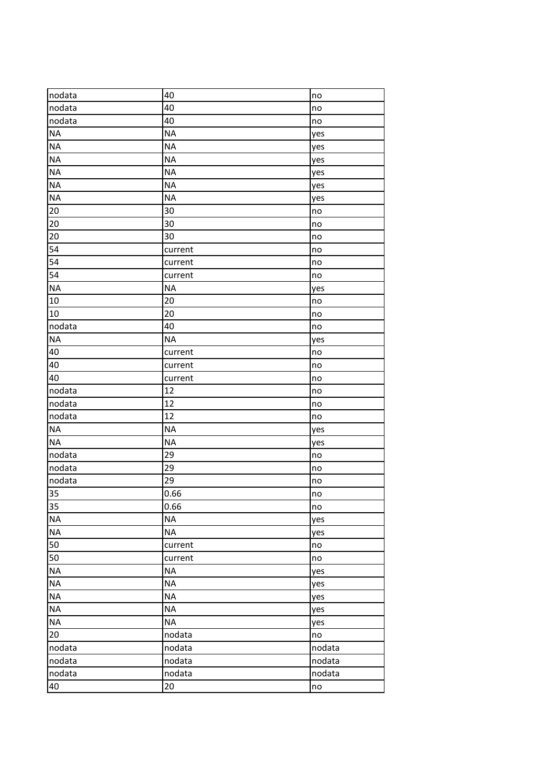| nodata    | 40        | no     |
|-----------|-----------|--------|
| nodata    | 40        | no     |
| nodata    | 40        | no     |
| <b>NA</b> | <b>NA</b> | yes    |
| <b>NA</b> | <b>NA</b> | yes    |
| <b>NA</b> | <b>NA</b> | yes    |
| <b>NA</b> | <b>NA</b> | yes    |
| <b>NA</b> | <b>NA</b> | yes    |
| <b>NA</b> | <b>NA</b> | yes    |
| 20        | 30        | no     |
| 20        | 30        | no     |
| 20        | 30        | no     |
| 54        | current   | no     |
| 54        | current   | no     |
| 54        | current   | no     |
| <b>NA</b> | <b>NA</b> | yes    |
| 10        | 20        | no     |
| 10        | 20        | no     |
| nodata    | 40        | no     |
| <b>NA</b> | <b>NA</b> | yes    |
| 40        | current   | no     |
| 40        | current   | no     |
| 40        | current   | no     |
| nodata    | 12        | no     |
| nodata    | 12        | no     |
| nodata    | 12        | no     |
| <b>NA</b> | <b>NA</b> | yes    |
| <b>NA</b> | <b>NA</b> | yes    |
| nodata    | 29        | no     |
| nodata    | 29        | no     |
| nodata    | 29        | no     |
| 35        | 0.66      | no     |
| 35        | 0.66      | no     |
| <b>NA</b> | <b>NA</b> | yes    |
| <b>NA</b> | <b>NA</b> | yes    |
| 50        | current   | no     |
| 50        | current   | no     |
| <b>NA</b> | <b>NA</b> | yes    |
| <b>NA</b> | <b>NA</b> | yes    |
| <b>NA</b> | <b>NA</b> | yes    |
| <b>NA</b> | <b>NA</b> | yes    |
| <b>NA</b> | <b>NA</b> | yes    |
| 20        | nodata    | no     |
| nodata    | nodata    | nodata |
| nodata    | nodata    | nodata |
| nodata    | nodata    | nodata |
| 40        | 20        | no     |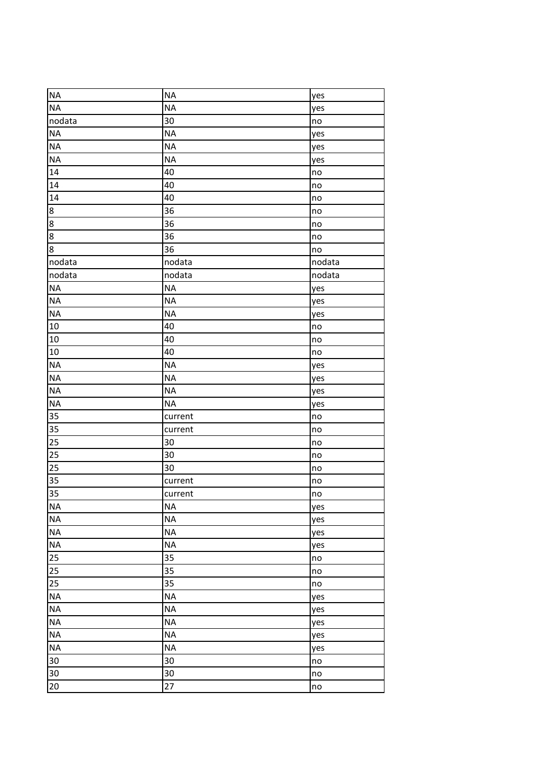| <b>NA</b>      | <b>NA</b> | yes           |
|----------------|-----------|---------------|
| <b>NA</b>      | <b>NA</b> | yes           |
| nodata         | 30        | $\mathsf{no}$ |
| <b>NA</b>      | <b>NA</b> | yes           |
| <b>NA</b>      | <b>NA</b> | yes           |
| <b>NA</b>      | <b>NA</b> | yes           |
| 14             | 40        | no            |
| 14             | 40        | no            |
| 14             | 40        | no            |
| $\bf 8$        | 36        | no            |
| $\overline{8}$ | 36        | no            |
| $\bf 8$        | 36        | no            |
| 8              | 36        | no            |
| nodata         | nodata    | nodata        |
| nodata         | nodata    | nodata        |
| <b>NA</b>      | <b>NA</b> | yes           |
| <b>NA</b>      | <b>NA</b> | yes           |
| <b>NA</b>      | <b>NA</b> | yes           |
| 10             | 40        | no            |
| 10             | 40        | no            |
| 10             | 40        | no            |
| <b>NA</b>      | <b>NA</b> | yes           |
| <b>NA</b>      | <b>NA</b> | yes           |
| <b>NA</b>      | <b>NA</b> | yes           |
| <b>NA</b>      | <b>NA</b> | yes           |
| 35             | current   | no            |
| 35             | current   | no            |
| 25             | 30        | no            |
| 25             | 30        | no            |
| 25             | 30        | no            |
| 35             | current   | no            |
| 35             | current   | no            |
| <b>NA</b>      | ΝA        | yes           |
| <b>NA</b>      | <b>NA</b> | yes           |
| <b>NA</b>      | <b>NA</b> | yes           |
| <b>NA</b>      | <b>NA</b> | yes           |
| 25             | 35        | no            |
| 25             | 35        | no            |
| 25             | 35        | no            |
| <b>NA</b>      | <b>NA</b> | yes           |
| <b>NA</b>      | <b>NA</b> | yes           |
| <b>NA</b>      | <b>NA</b> | yes           |
| <b>NA</b>      | <b>NA</b> | yes           |
| <b>NA</b>      | <b>NA</b> | yes           |
| 30             | 30        | no            |
| 30             | 30        | no            |
| 20             | 27        | no            |
|                |           |               |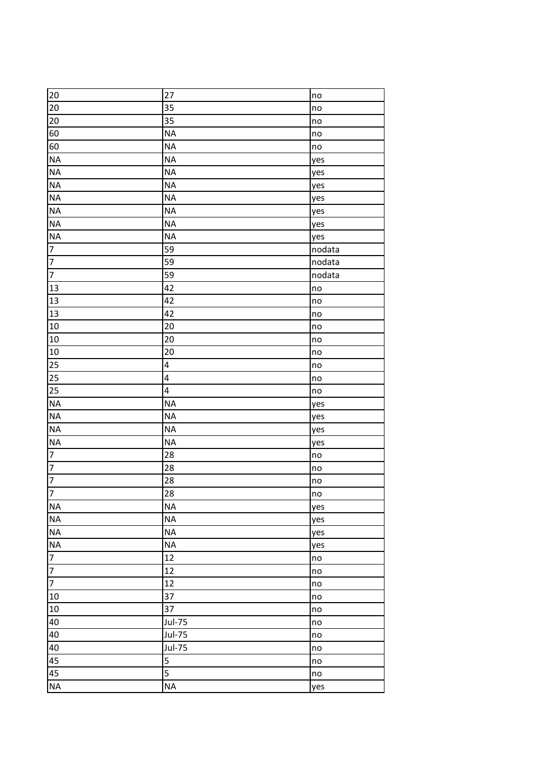| 20                       | 27             | no     |
|--------------------------|----------------|--------|
| 20                       | 35             | no     |
| 20                       | 35             | no     |
| 60                       | <b>NA</b>      | no     |
| 60                       | <b>NA</b>      | no     |
| <b>NA</b>                | <b>NA</b>      | yes    |
| <b>NA</b>                | <b>NA</b>      | yes    |
| <b>NA</b>                | <b>NA</b>      | yes    |
| <b>NA</b>                | <b>NA</b>      | yes    |
| <b>NA</b>                | <b>NA</b>      | yes    |
| <b>NA</b>                | <b>NA</b>      | yes    |
| <b>NA</b>                | <b>NA</b>      | yes    |
| $\overline{\phantom{a}}$ | 59             | nodata |
| $\overline{7}$           | 59             | nodata |
| $\overline{7}$           | 59             | nodata |
| 13                       | 42             | no     |
| 13                       | 42             | no     |
| 13                       | 42             | no     |
| 10                       | 20             | no     |
| 10                       | 20             | no     |
| 10                       | 20             | no     |
| 25                       | 4              | no     |
| 25                       | 4              | no     |
| 25                       | 4              | no     |
| <b>NA</b>                | <b>NA</b>      | yes    |
| <b>NA</b>                | <b>NA</b>      | yes    |
| <b>NA</b>                | <b>NA</b>      | yes    |
| <b>NA</b>                | <b>NA</b>      | yes    |
| $\overline{\mathbf{7}}$  | 28             | no     |
| $\overline{7}$           | 28             | no     |
| $\overline{7}$           | 28             | no     |
| $\overline{7}$           | 28             | no     |
| <b>NA</b>                | ΝA             | yes    |
| <b>NA</b>                | <b>NA</b>      | yes    |
| <b>NA</b>                | <b>NA</b>      | yes    |
| <b>NA</b>                | <b>NA</b>      | yes    |
| $\overline{7}$           | 12             | no     |
| $\overline{7}$           | 12             | no     |
| $\overline{7}$           | 12             | no     |
| 10                       | 37             | no     |
| 10                       | 37             | no     |
| 40                       | <b>Jul-75</b>  | no     |
| 40                       | <b>Jul-75</b>  | no     |
| 40                       | <b>Jul-75</b>  | no     |
| 45                       | 5              | no     |
| 45                       | $\overline{5}$ | no     |
| <b>NA</b>                | <b>NA</b>      | yes    |
|                          |                |        |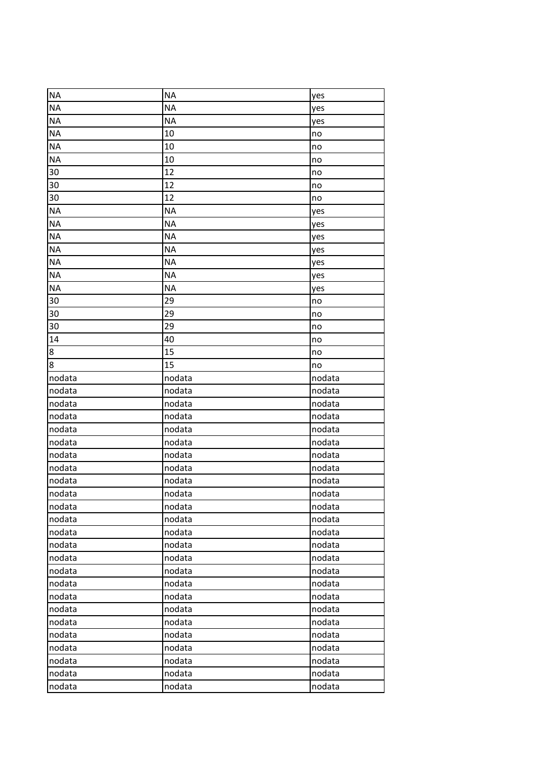| <b>NA</b><br><b>NA</b><br>yes<br><b>NA</b><br><b>NA</b><br>yes<br><b>NA</b><br><b>NA</b><br>yes<br><b>NA</b><br>10<br>no<br>10<br><b>NA</b><br>no<br><b>NA</b><br>10<br>no<br>30<br>12<br>no<br>12<br>30<br>no<br>12<br>30<br>no<br><b>NA</b><br><b>NA</b><br>yes<br><b>NA</b><br><b>NA</b><br>yes<br><b>NA</b><br><b>NA</b><br>yes<br><b>NA</b><br><b>NA</b><br>yes<br><b>NA</b><br><b>NA</b><br>yes<br><b>NA</b><br><b>NA</b><br>yes<br><b>NA</b><br><b>NA</b><br>yes<br>29<br>30<br>no<br>29<br>30<br>no<br>29<br>30<br>no<br>14<br>40<br>no<br>15<br>8<br>no<br>15<br>8<br>no<br>nodata<br>nodata<br>nodata<br>nodata<br>nodata<br>nodata<br>nodata<br>nodata<br>nodata<br>nodata<br>nodata<br>nodata<br>nodata<br>nodata<br>nodata<br>nodata<br>nodata<br>nodata<br>nodata<br>nodata<br>nodata<br>nodata<br>nodata<br>nodata<br>nodata<br>nodata<br>nodata<br>nodata<br>nodata<br>nodata<br>nodata<br>nodata<br>nodata<br>nodata<br>nodata<br>nodata<br>nodata<br>nodata<br>nodata<br>nodata<br>nodata<br>nodata<br>nodata<br>nodata<br>nodata<br>nodata<br>nodata<br>nodata<br>nodata<br>nodata<br>nodata<br>nodata<br>nodata<br>nodata<br>nodata<br>nodata<br>nodata<br>nodata<br>nodata<br>nodata<br>nodata<br>nodata<br>nodata<br>nodata<br>nodata<br>nodata<br>nodata<br>nodata<br>nodata<br>nodata<br>nodata<br>nodata<br>nodata<br>nodata<br>nodata |  |  |
|-----------------------------------------------------------------------------------------------------------------------------------------------------------------------------------------------------------------------------------------------------------------------------------------------------------------------------------------------------------------------------------------------------------------------------------------------------------------------------------------------------------------------------------------------------------------------------------------------------------------------------------------------------------------------------------------------------------------------------------------------------------------------------------------------------------------------------------------------------------------------------------------------------------------------------------------------------------------------------------------------------------------------------------------------------------------------------------------------------------------------------------------------------------------------------------------------------------------------------------------------------------------------------------------------------------------------------------------------------------------|--|--|
|                                                                                                                                                                                                                                                                                                                                                                                                                                                                                                                                                                                                                                                                                                                                                                                                                                                                                                                                                                                                                                                                                                                                                                                                                                                                                                                                                                 |  |  |
|                                                                                                                                                                                                                                                                                                                                                                                                                                                                                                                                                                                                                                                                                                                                                                                                                                                                                                                                                                                                                                                                                                                                                                                                                                                                                                                                                                 |  |  |
|                                                                                                                                                                                                                                                                                                                                                                                                                                                                                                                                                                                                                                                                                                                                                                                                                                                                                                                                                                                                                                                                                                                                                                                                                                                                                                                                                                 |  |  |
|                                                                                                                                                                                                                                                                                                                                                                                                                                                                                                                                                                                                                                                                                                                                                                                                                                                                                                                                                                                                                                                                                                                                                                                                                                                                                                                                                                 |  |  |
|                                                                                                                                                                                                                                                                                                                                                                                                                                                                                                                                                                                                                                                                                                                                                                                                                                                                                                                                                                                                                                                                                                                                                                                                                                                                                                                                                                 |  |  |
|                                                                                                                                                                                                                                                                                                                                                                                                                                                                                                                                                                                                                                                                                                                                                                                                                                                                                                                                                                                                                                                                                                                                                                                                                                                                                                                                                                 |  |  |
|                                                                                                                                                                                                                                                                                                                                                                                                                                                                                                                                                                                                                                                                                                                                                                                                                                                                                                                                                                                                                                                                                                                                                                                                                                                                                                                                                                 |  |  |
|                                                                                                                                                                                                                                                                                                                                                                                                                                                                                                                                                                                                                                                                                                                                                                                                                                                                                                                                                                                                                                                                                                                                                                                                                                                                                                                                                                 |  |  |
|                                                                                                                                                                                                                                                                                                                                                                                                                                                                                                                                                                                                                                                                                                                                                                                                                                                                                                                                                                                                                                                                                                                                                                                                                                                                                                                                                                 |  |  |
|                                                                                                                                                                                                                                                                                                                                                                                                                                                                                                                                                                                                                                                                                                                                                                                                                                                                                                                                                                                                                                                                                                                                                                                                                                                                                                                                                                 |  |  |
|                                                                                                                                                                                                                                                                                                                                                                                                                                                                                                                                                                                                                                                                                                                                                                                                                                                                                                                                                                                                                                                                                                                                                                                                                                                                                                                                                                 |  |  |
|                                                                                                                                                                                                                                                                                                                                                                                                                                                                                                                                                                                                                                                                                                                                                                                                                                                                                                                                                                                                                                                                                                                                                                                                                                                                                                                                                                 |  |  |
|                                                                                                                                                                                                                                                                                                                                                                                                                                                                                                                                                                                                                                                                                                                                                                                                                                                                                                                                                                                                                                                                                                                                                                                                                                                                                                                                                                 |  |  |
|                                                                                                                                                                                                                                                                                                                                                                                                                                                                                                                                                                                                                                                                                                                                                                                                                                                                                                                                                                                                                                                                                                                                                                                                                                                                                                                                                                 |  |  |
|                                                                                                                                                                                                                                                                                                                                                                                                                                                                                                                                                                                                                                                                                                                                                                                                                                                                                                                                                                                                                                                                                                                                                                                                                                                                                                                                                                 |  |  |
|                                                                                                                                                                                                                                                                                                                                                                                                                                                                                                                                                                                                                                                                                                                                                                                                                                                                                                                                                                                                                                                                                                                                                                                                                                                                                                                                                                 |  |  |
|                                                                                                                                                                                                                                                                                                                                                                                                                                                                                                                                                                                                                                                                                                                                                                                                                                                                                                                                                                                                                                                                                                                                                                                                                                                                                                                                                                 |  |  |
|                                                                                                                                                                                                                                                                                                                                                                                                                                                                                                                                                                                                                                                                                                                                                                                                                                                                                                                                                                                                                                                                                                                                                                                                                                                                                                                                                                 |  |  |
|                                                                                                                                                                                                                                                                                                                                                                                                                                                                                                                                                                                                                                                                                                                                                                                                                                                                                                                                                                                                                                                                                                                                                                                                                                                                                                                                                                 |  |  |
|                                                                                                                                                                                                                                                                                                                                                                                                                                                                                                                                                                                                                                                                                                                                                                                                                                                                                                                                                                                                                                                                                                                                                                                                                                                                                                                                                                 |  |  |
|                                                                                                                                                                                                                                                                                                                                                                                                                                                                                                                                                                                                                                                                                                                                                                                                                                                                                                                                                                                                                                                                                                                                                                                                                                                                                                                                                                 |  |  |
|                                                                                                                                                                                                                                                                                                                                                                                                                                                                                                                                                                                                                                                                                                                                                                                                                                                                                                                                                                                                                                                                                                                                                                                                                                                                                                                                                                 |  |  |
|                                                                                                                                                                                                                                                                                                                                                                                                                                                                                                                                                                                                                                                                                                                                                                                                                                                                                                                                                                                                                                                                                                                                                                                                                                                                                                                                                                 |  |  |
|                                                                                                                                                                                                                                                                                                                                                                                                                                                                                                                                                                                                                                                                                                                                                                                                                                                                                                                                                                                                                                                                                                                                                                                                                                                                                                                                                                 |  |  |
|                                                                                                                                                                                                                                                                                                                                                                                                                                                                                                                                                                                                                                                                                                                                                                                                                                                                                                                                                                                                                                                                                                                                                                                                                                                                                                                                                                 |  |  |
|                                                                                                                                                                                                                                                                                                                                                                                                                                                                                                                                                                                                                                                                                                                                                                                                                                                                                                                                                                                                                                                                                                                                                                                                                                                                                                                                                                 |  |  |
|                                                                                                                                                                                                                                                                                                                                                                                                                                                                                                                                                                                                                                                                                                                                                                                                                                                                                                                                                                                                                                                                                                                                                                                                                                                                                                                                                                 |  |  |
|                                                                                                                                                                                                                                                                                                                                                                                                                                                                                                                                                                                                                                                                                                                                                                                                                                                                                                                                                                                                                                                                                                                                                                                                                                                                                                                                                                 |  |  |
|                                                                                                                                                                                                                                                                                                                                                                                                                                                                                                                                                                                                                                                                                                                                                                                                                                                                                                                                                                                                                                                                                                                                                                                                                                                                                                                                                                 |  |  |
|                                                                                                                                                                                                                                                                                                                                                                                                                                                                                                                                                                                                                                                                                                                                                                                                                                                                                                                                                                                                                                                                                                                                                                                                                                                                                                                                                                 |  |  |
|                                                                                                                                                                                                                                                                                                                                                                                                                                                                                                                                                                                                                                                                                                                                                                                                                                                                                                                                                                                                                                                                                                                                                                                                                                                                                                                                                                 |  |  |
|                                                                                                                                                                                                                                                                                                                                                                                                                                                                                                                                                                                                                                                                                                                                                                                                                                                                                                                                                                                                                                                                                                                                                                                                                                                                                                                                                                 |  |  |
|                                                                                                                                                                                                                                                                                                                                                                                                                                                                                                                                                                                                                                                                                                                                                                                                                                                                                                                                                                                                                                                                                                                                                                                                                                                                                                                                                                 |  |  |
|                                                                                                                                                                                                                                                                                                                                                                                                                                                                                                                                                                                                                                                                                                                                                                                                                                                                                                                                                                                                                                                                                                                                                                                                                                                                                                                                                                 |  |  |
|                                                                                                                                                                                                                                                                                                                                                                                                                                                                                                                                                                                                                                                                                                                                                                                                                                                                                                                                                                                                                                                                                                                                                                                                                                                                                                                                                                 |  |  |
|                                                                                                                                                                                                                                                                                                                                                                                                                                                                                                                                                                                                                                                                                                                                                                                                                                                                                                                                                                                                                                                                                                                                                                                                                                                                                                                                                                 |  |  |
|                                                                                                                                                                                                                                                                                                                                                                                                                                                                                                                                                                                                                                                                                                                                                                                                                                                                                                                                                                                                                                                                                                                                                                                                                                                                                                                                                                 |  |  |
|                                                                                                                                                                                                                                                                                                                                                                                                                                                                                                                                                                                                                                                                                                                                                                                                                                                                                                                                                                                                                                                                                                                                                                                                                                                                                                                                                                 |  |  |
|                                                                                                                                                                                                                                                                                                                                                                                                                                                                                                                                                                                                                                                                                                                                                                                                                                                                                                                                                                                                                                                                                                                                                                                                                                                                                                                                                                 |  |  |
|                                                                                                                                                                                                                                                                                                                                                                                                                                                                                                                                                                                                                                                                                                                                                                                                                                                                                                                                                                                                                                                                                                                                                                                                                                                                                                                                                                 |  |  |
|                                                                                                                                                                                                                                                                                                                                                                                                                                                                                                                                                                                                                                                                                                                                                                                                                                                                                                                                                                                                                                                                                                                                                                                                                                                                                                                                                                 |  |  |
|                                                                                                                                                                                                                                                                                                                                                                                                                                                                                                                                                                                                                                                                                                                                                                                                                                                                                                                                                                                                                                                                                                                                                                                                                                                                                                                                                                 |  |  |
|                                                                                                                                                                                                                                                                                                                                                                                                                                                                                                                                                                                                                                                                                                                                                                                                                                                                                                                                                                                                                                                                                                                                                                                                                                                                                                                                                                 |  |  |
|                                                                                                                                                                                                                                                                                                                                                                                                                                                                                                                                                                                                                                                                                                                                                                                                                                                                                                                                                                                                                                                                                                                                                                                                                                                                                                                                                                 |  |  |
|                                                                                                                                                                                                                                                                                                                                                                                                                                                                                                                                                                                                                                                                                                                                                                                                                                                                                                                                                                                                                                                                                                                                                                                                                                                                                                                                                                 |  |  |
|                                                                                                                                                                                                                                                                                                                                                                                                                                                                                                                                                                                                                                                                                                                                                                                                                                                                                                                                                                                                                                                                                                                                                                                                                                                                                                                                                                 |  |  |
|                                                                                                                                                                                                                                                                                                                                                                                                                                                                                                                                                                                                                                                                                                                                                                                                                                                                                                                                                                                                                                                                                                                                                                                                                                                                                                                                                                 |  |  |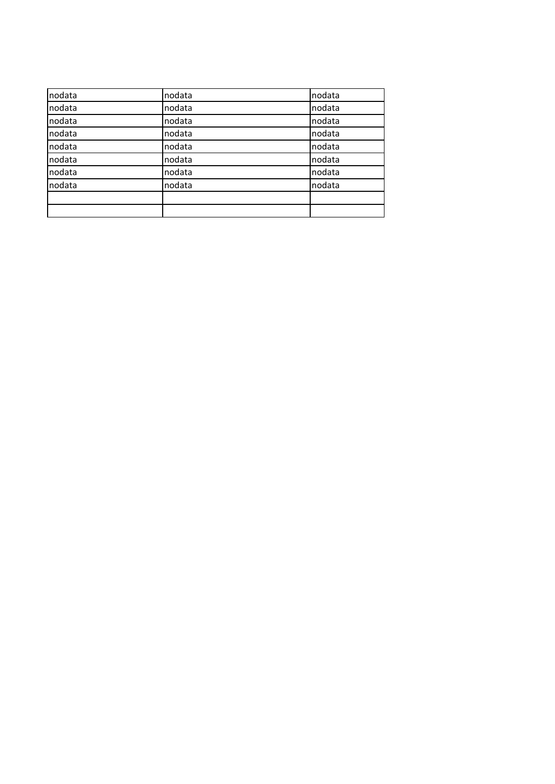| nodata | nodata | nodata |
|--------|--------|--------|
| nodata | nodata | nodata |
| nodata | nodata | nodata |
| nodata | nodata | nodata |
| nodata | nodata | nodata |
| nodata | nodata | nodata |
| nodata | nodata | nodata |
| nodata | nodata | nodata |
|        |        |        |
|        |        |        |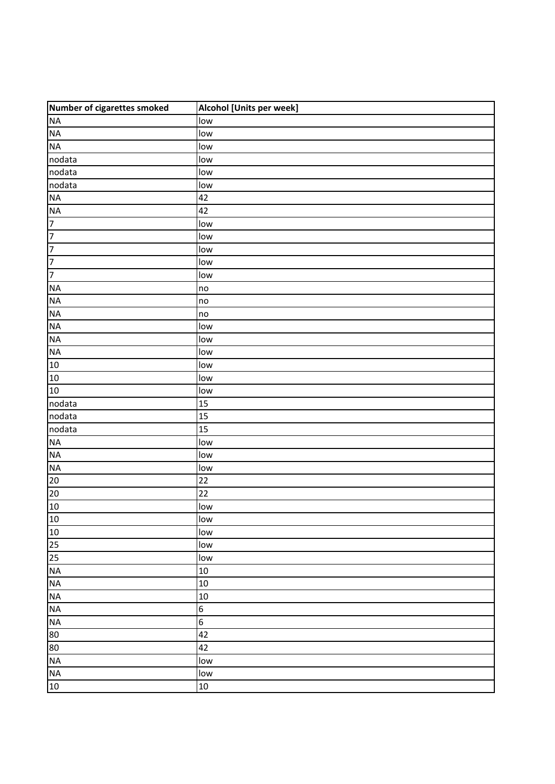| Number of cigarettes smoked | Alcohol [Units per week] |
|-----------------------------|--------------------------|
| $\sf NA$                    | low                      |
| $\sf NA$                    | low                      |
| <b>NA</b>                   | low                      |
| nodata                      | low                      |
| nodata                      | low                      |
| nodata                      | low                      |
| <b>NA</b>                   | 42                       |
| <b>NA</b>                   | 42                       |
| $\overline{7}$              | low                      |
| $\overline{7}$              | low                      |
| 7                           | low                      |
| 7                           | low                      |
| $\overline{7}$              | low                      |
| <b>NA</b>                   | no                       |
| <b>NA</b>                   | no                       |
| <b>NA</b>                   | no                       |
| <b>NA</b>                   | low                      |
| <b>NA</b>                   | low                      |
| NA                          | low                      |
| 10                          | low                      |
| 10                          | low                      |
| 10                          | low                      |
| nodata                      | 15                       |
| nodata                      | 15                       |
| nodata                      | 15                       |
| <b>NA</b>                   | low                      |
| <b>NA</b>                   | low                      |
| NA                          | low                      |
| $20\overline{)}$            | 22                       |
| 20                          | 22                       |
| 10                          | low                      |
| 10                          | low                      |
| 10                          | low                      |
| 25                          | low                      |
| 25                          | low                      |
| <b>NA</b>                   | 10                       |
| <b>NA</b>                   | 10                       |
| NA                          | 10                       |
| <b>NA</b>                   | $\boldsymbol{6}$         |
| <b>NA</b>                   | $6\,$                    |
| 80                          | 42                       |
| 80                          | 42                       |
| NA                          | low                      |
| <b>NA</b>                   | low                      |
| 10                          | $10\,$                   |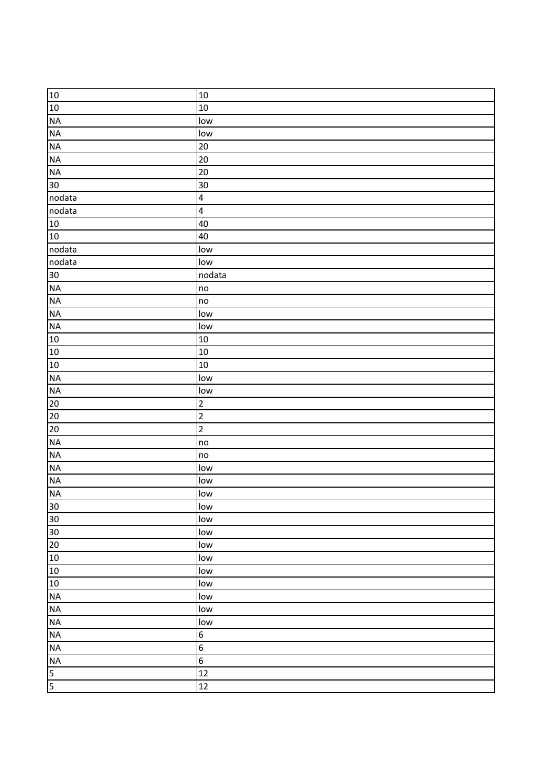| 10              | 10                      |
|-----------------|-------------------------|
| $10$            | 10                      |
| NA              | low                     |
| <b>NA</b>       | low                     |
| <b>NA</b>       | 20                      |
| NA              | 20                      |
| <b>NA</b>       | 20                      |
| 30 <sup>°</sup> | 30                      |
| nodata          | $\overline{\mathbf{4}}$ |
| nodata          | $\overline{\mathbf{4}}$ |
| 10              | 40                      |
| 10              | 40                      |
| nodata          | low                     |
| nodata          | low                     |
| 30              | nodata                  |
| <b>NA</b>       | no                      |
| NA              | no                      |
| NA              | low                     |
| <b>NA</b>       | low                     |
| 10              | 10                      |
| 10              | 10                      |
| 10              | 10                      |
| NA              | low                     |
| <b>NA</b>       | low                     |
| 20              | $\overline{2}$          |
| 20              | $\overline{2}$          |
| 20              | $\overline{2}$          |
| <b>NA</b>       | no                      |
| NA              | no                      |
| NA              | low                     |
| <b>NA</b>       | low                     |
| NA              | low                     |
| 30              | low                     |
| 30              | low                     |
| 30              | low                     |
| 20              | low                     |
| 10              | low                     |
| 10              | low                     |
| 10              | low                     |
| <b>NA</b>       | low                     |
| <b>NA</b>       | low                     |
| NA              | low                     |
| <b>NA</b>       | $\boldsymbol{6}$        |
| <b>NA</b>       | $\boldsymbol{6}$        |
| <b>NA</b>       | $\boldsymbol{6}$        |
| 5               | 12                      |
| 5               | 12                      |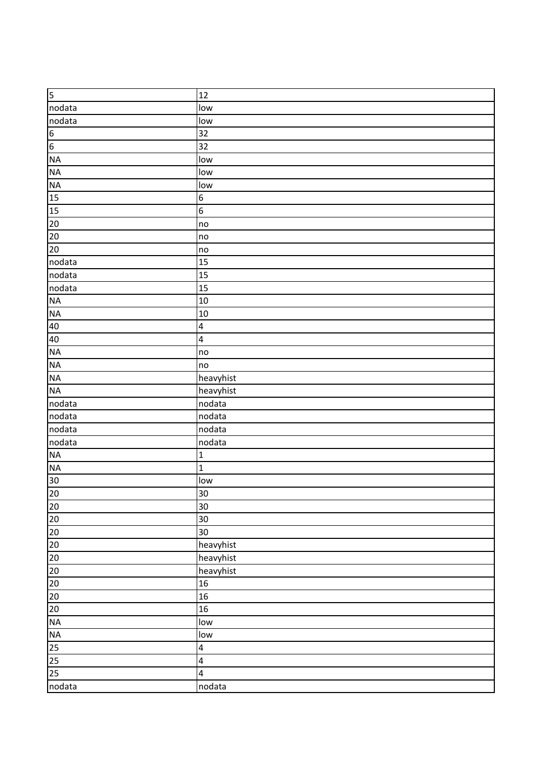| 5                               | 12                      |
|---------------------------------|-------------------------|
| nodata                          | low                     |
| nodata                          | low                     |
| $\frac{1}{\sigma}$              | 32                      |
|                                 | 32                      |
| NA                              | low                     |
| NA                              | low                     |
| <b>NA</b>                       | low                     |
| 15                              | $\boldsymbol{6}$        |
| 15                              | $\boldsymbol{6}$        |
| 20                              | no                      |
| 20                              | no                      |
| 20                              | no                      |
| nodata                          | 15                      |
| nodata                          | 15                      |
| nodata                          | 15                      |
| NA                              | 10                      |
| NA                              | 10                      |
| 40                              | $\overline{\mathbf{4}}$ |
| 40                              | $\overline{\mathbf{4}}$ |
| <b>NA</b>                       | no                      |
| NA                              | no                      |
| <b>NA</b>                       | heavyhist               |
| <b>NA</b>                       | heavyhist               |
| nodata                          | nodata                  |
| nodata                          | nodata                  |
| nodata                          | nodata                  |
| nodata                          | nodata                  |
| <b>NA</b>                       | $\mathbf{1}$            |
| NA                              | $\mathbf{1}$            |
| 30                              | low                     |
| 20                              | 30                      |
| $\frac{10}{20}$ $\frac{10}{20}$ | 30                      |
|                                 | 30                      |
| $20\overline{)}$                | 30                      |
| $20\,$                          | heavyhist               |
| $20\,$                          | heavyhist               |
| 20                              | heavyhist               |
| $20\,$                          | 16                      |
| $20\,$                          | 16                      |
| $20\,$                          | 16                      |
| NA                              | low                     |
| NA                              | low                     |
| 25                              | $\overline{\mathbf{4}}$ |
| $25\overline{)}$                | $\overline{\mathbf{4}}$ |
| 25                              | $\overline{\mathbf{4}}$ |
| nodata                          | nodata                  |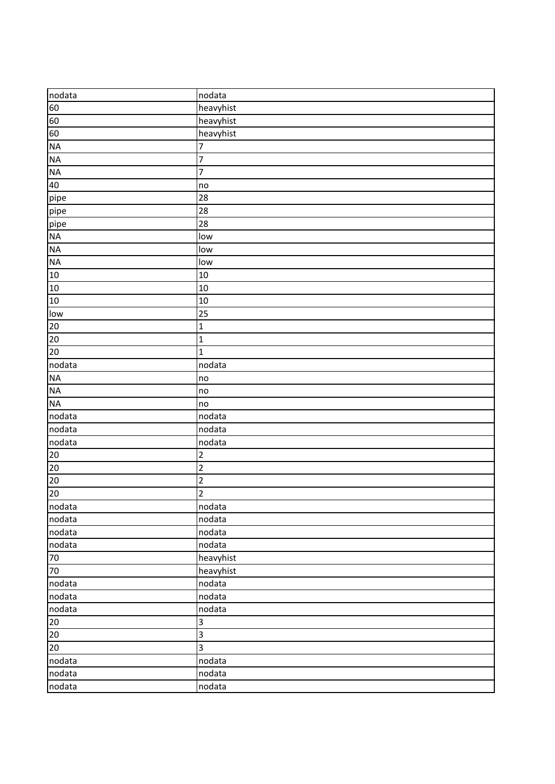| nodata          | nodata                   |
|-----------------|--------------------------|
| 60              | heavyhist                |
| 60              | heavyhist                |
| 60              | heavyhist                |
| <b>NA</b>       | $\overline{7}$           |
| <b>NA</b>       | $\overline{7}$           |
| NA              | $\overline{\mathcal{I}}$ |
| 40              | no                       |
| pipe            | 28                       |
| pipe            | 28                       |
| pipe            | 28                       |
| <b>NA</b>       | low                      |
| NA              | low                      |
| NA              | low                      |
| 10              | 10                       |
| 10              | 10                       |
| $10$            | 10                       |
| low             | 25                       |
| 20              | $\mathbf 1$              |
| $20\,$          | $\mathbf 1$              |
| 20              | $\mathbf{1}$             |
| nodata          | nodata                   |
| NA              | no                       |
| NA              | no                       |
| <b>NA</b>       | no                       |
| nodata          | nodata                   |
| nodata          | nodata                   |
| nodata          | nodata                   |
| 20              | $\overline{c}$           |
| $\overline{20}$ | $\overline{2}$           |
| 20              | $\overline{2}$           |
| 20              | $\overline{2}$           |
| nodata          | nodata                   |
| nodata          | nodata                   |
| nodata          | nodata                   |
| nodata          | nodata                   |
| $70\,$          | heavyhist                |
| 70              | heavyhist                |
| nodata          | nodata                   |
| nodata          | nodata                   |
| nodata          | nodata                   |
| 20              | 3                        |
| 20              | $\overline{\mathbf{3}}$  |
| $20\degree$     | 3                        |
| nodata          | nodata                   |
| nodata          | nodata                   |
| nodata          | nodata                   |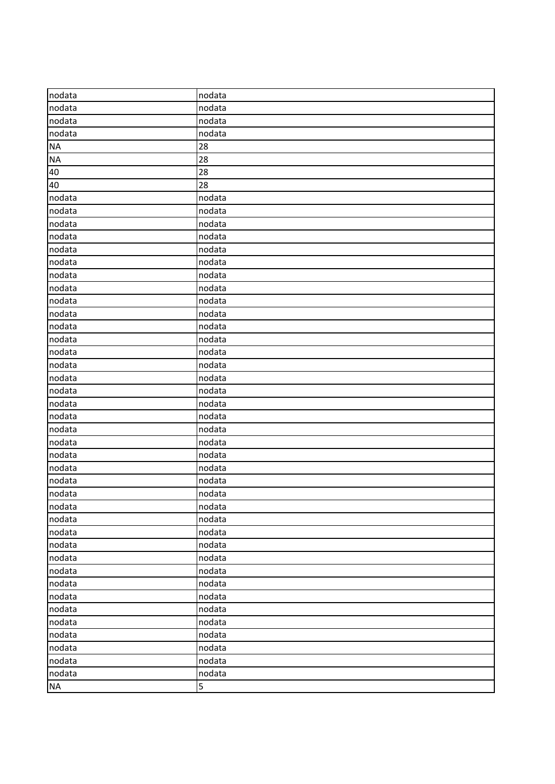| nodata    | nodata |
|-----------|--------|
| nodata    | nodata |
| nodata    | nodata |
| nodata    | nodata |
| <b>NA</b> | 28     |
| <b>NA</b> | 28     |
| 40        | 28     |
| 40        | 28     |
| nodata    | nodata |
| nodata    | nodata |
| nodata    | nodata |
| nodata    | nodata |
| nodata    | nodata |
| nodata    | nodata |
| nodata    | nodata |
| nodata    | nodata |
| nodata    | nodata |
| nodata    | nodata |
| nodata    | nodata |
| nodata    | nodata |
| nodata    | nodata |
| nodata    | nodata |
| nodata    | nodata |
| nodata    | nodata |
| nodata    | nodata |
| nodata    | nodata |
| nodata    | nodata |
| nodata    | nodata |
| nodata    | nodata |
| nodata    | nodata |
| nodata    | nodata |
| nodata    | nodata |
| nodata    | nodata |
| nodata    | nodata |
| nodata    | nodata |
| nodata    | nodata |
| nodata    | nodata |
| nodata    | nodata |
| nodata    | nodata |
| nodata    | nodata |
| nodata    | nodata |
| nodata    | nodata |
| nodata    | nodata |
| nodata    | nodata |
| nodata    | nodata |
| nodata    | nodata |
| <b>NA</b> | 5      |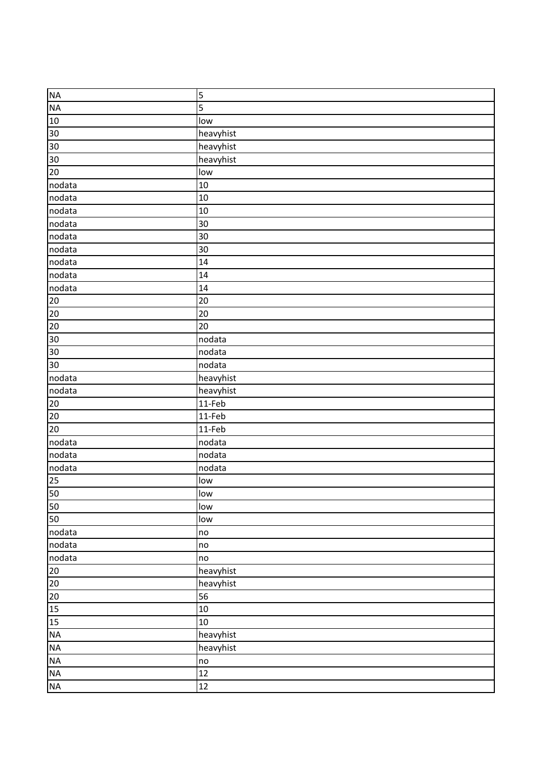| <b>NA</b>                | 5             |
|--------------------------|---------------|
| <b>NA</b>                | 5             |
| 10                       | low           |
| 30                       | heavyhist     |
| 30                       | heavyhist     |
| 30                       | heavyhist     |
| 20                       | low           |
| nodata                   | 10            |
| nodata                   | 10            |
| nodata                   | 10            |
| nodata                   | 30            |
| nodata                   | 30            |
| nodata                   | 30            |
| nodata                   | 14            |
| nodata                   | 14            |
| nodata                   | 14            |
| 20                       | 20            |
| 20                       | 20            |
| $\overline{20}$          | 20            |
| 30 <sub>o</sub>          | nodata        |
| 30 <sub>o</sub>          | nodata        |
| 30                       | nodata        |
| nodata                   | heavyhist     |
| nodata                   | heavyhist     |
| 20                       | 11-Feb        |
| $20\overline{)}$         | 11-Feb        |
| 20                       | 11-Feb        |
| nodata                   | nodata        |
| nodata                   | nodata        |
| nodata                   | nodata        |
| 25                       | low           |
| 50                       | low           |
| 50                       | low           |
| 50                       | low           |
| nodata                   | no            |
| nodata                   | $\mathsf{no}$ |
| nodata                   | no            |
| $20\overline{)}$         | heavyhist     |
| $20\,$                   | heavyhist     |
| $20\overline{)}$         | 56            |
| 15                       | 10            |
| 15                       | 10            |
| $\sf NA$                 | heavyhist     |
| NA                       | heavyhist     |
| NA                       | no            |
| $\overline{\mathsf{NA}}$ | 12            |
| $\sf NA$                 | 12            |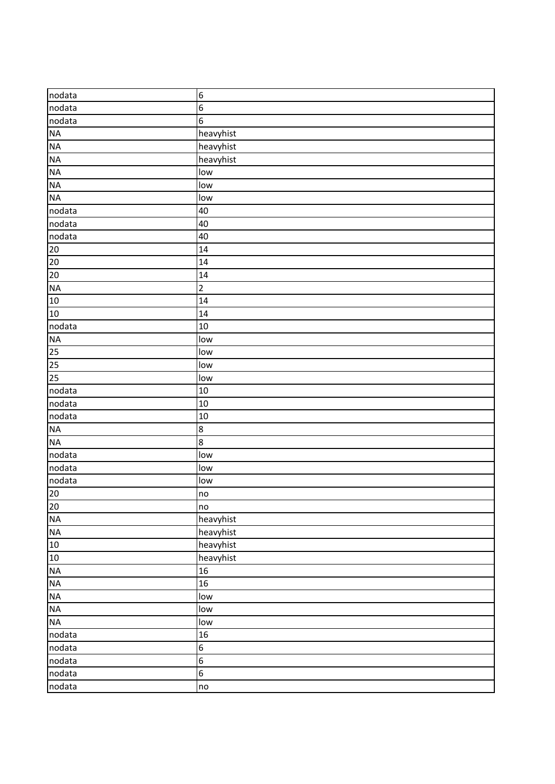| nodata          | $6\phantom{.}6$  |
|-----------------|------------------|
| nodata          | $\boldsymbol{6}$ |
| nodata          | $\boldsymbol{6}$ |
| NA              | heavyhist        |
| <b>NA</b>       | heavyhist        |
| NA              | heavyhist        |
| NA              | low              |
| NA              | low              |
| <b>NA</b>       | low              |
| nodata          | 40               |
| nodata          | 40               |
| nodata          | 40               |
| $\boxed{20}$    | 14               |
| $20\,$          | 14               |
| 20              | 14               |
| NA              | $\overline{2}$   |
| 10              | 14               |
| 10              | 14               |
| nodata          | 10               |
| NA              | low              |
| 25              | low              |
| 25              | low              |
| 25              | low              |
| nodata          | 10               |
| nodata          | 10               |
| nodata          | 10               |
| <b>NA</b>       | $\bf{8}$         |
| <b>NA</b>       | $\overline{8}$   |
| nodata          | low              |
| nodata          | low              |
| nodata          | low              |
| 20              | no               |
| $\overline{20}$ | no               |
| NA              | heavyhist        |
| NA              | heavyhist        |
| 10              | heavyhist        |
| $10\,$          | heavyhist        |
| <b>NA</b>       | 16               |
| NA              | 16               |
| $\sf NA$        | low              |
| <b>NA</b>       | low              |
| <b>NA</b>       | low              |
| nodata          | 16               |
| nodata          | $\boldsymbol{6}$ |
| nodata          | $\overline{6}$   |
| nodata          | $\overline{6}$   |
| nodata          | no               |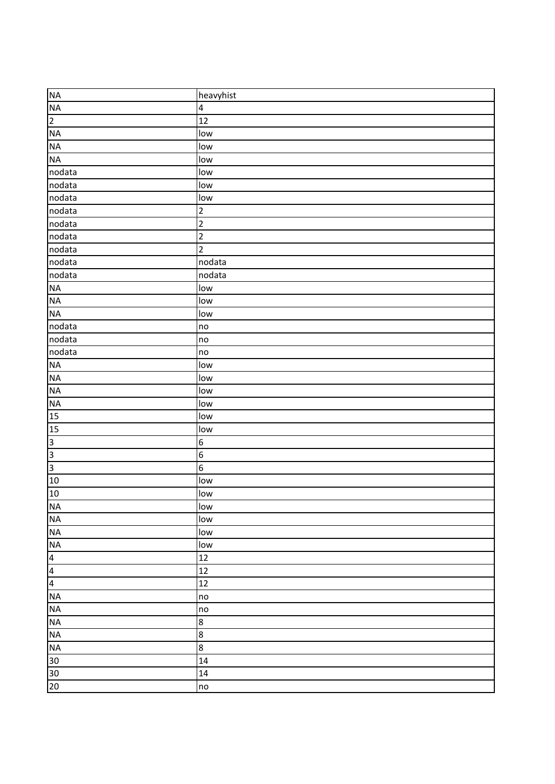| <b>NA</b>               | heavyhist               |
|-------------------------|-------------------------|
| <b>NA</b>               | $\overline{\mathbf{4}}$ |
| $\overline{2}$          | 12                      |
| <b>NA</b>               | low                     |
| <b>NA</b>               | low                     |
| <b>NA</b>               | low                     |
| nodata                  | low                     |
| nodata                  | low                     |
| nodata                  | low                     |
| nodata                  | $\overline{\mathbf{c}}$ |
| nodata                  | $\overline{2}$          |
| nodata                  | $\overline{2}$          |
| nodata                  | $\overline{2}$          |
| nodata                  | nodata                  |
| nodata                  | nodata                  |
| NA                      | low                     |
| <b>NA</b>               | low                     |
| <b>NA</b>               | low                     |
| nodata                  | no                      |
| nodata                  | no                      |
| nodata                  | no                      |
| <b>NA</b>               | low                     |
| NA                      | low                     |
| <b>NA</b>               | low                     |
| <b>NA</b>               | low                     |
| 15                      | low                     |
| 15                      | low                     |
| $\overline{3}$          | $\boldsymbol{6}$        |
| $\overline{3}$          | $\overline{6}$          |
| $\overline{3}$          | $\boldsymbol{6}$        |
| 10                      | low                     |
| 10                      | low                     |
| <b>NA</b>               | low                     |
| <b>NA</b>               | low                     |
| <b>NA</b>               | low                     |
| <b>NA</b>               | low                     |
| $\overline{\mathbf{r}}$ | 12                      |
| $\overline{4}$          | 12                      |
| $\overline{4}$          | $\overline{12}$         |
| <b>NA</b>               | no                      |
| <b>NA</b>               | no                      |
| NA                      | 8                       |
| NA                      | $\bf 8$                 |
| <b>NA</b>               | $\bf 8$                 |
| 30                      | 14                      |
| 30                      | 14                      |
| 20                      | no                      |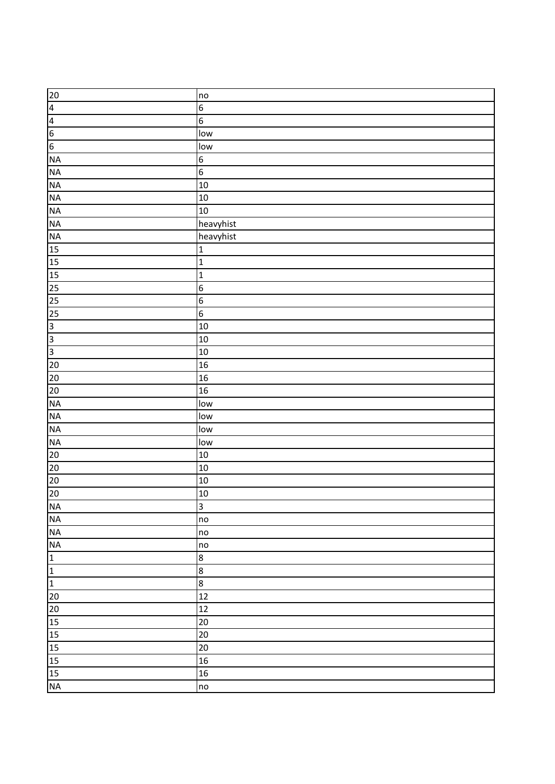| 20                      | no               |
|-------------------------|------------------|
| $\overline{\mathbf{r}}$ | $\boldsymbol{6}$ |
| $\overline{4}$          | $\boldsymbol{6}$ |
| $6\overline{6}$         | low              |
| $\overline{6}$          | low              |
| <b>NA</b>               | $\overline{6}$   |
| <b>NA</b>               | $\boldsymbol{6}$ |
| NA                      | 10               |
| NA                      | 10               |
| <b>NA</b>               | 10               |
| <b>NA</b>               | heavyhist        |
| <b>NA</b>               | heavyhist        |
| 15                      | $\mathbf 1$      |
| 15                      | $\mathbf{1}$     |
| 15                      | $\mathbf{1}$     |
| $\overline{25}$         | $\boldsymbol{6}$ |
| 25                      | $\boldsymbol{6}$ |
| 25                      | $\overline{6}$   |
| $\overline{3}$          | 10               |
| $\overline{3}$          | 10               |
| $\overline{3}$          | 10               |
| 20                      | 16               |
| $20\,$                  | 16               |
| 20                      | 16               |
| <b>NA</b>               | low              |
| <b>NA</b>               | low              |
| NA                      | low              |
| NA                      | low              |
| 20                      | 10               |
| 20                      | 10               |
| 20                      | 10               |
| 20                      | 10               |
| <b>NA</b>               | $\overline{3}$   |
| <b>NA</b>               | no               |
| NA                      | no               |
| NA                      | no               |
| $\mathbf{1}$            | $\bf 8$          |
| $\overline{1}$          | $\bf 8$          |
| $\overline{1}$          | 8                |
| 20                      | 12               |
| 20                      | 12               |
| 15                      | 20               |
| 15                      | 20               |
| 15                      | 20               |
| 15                      | 16               |
| 15                      | 16               |
| $\sf NA$                | no               |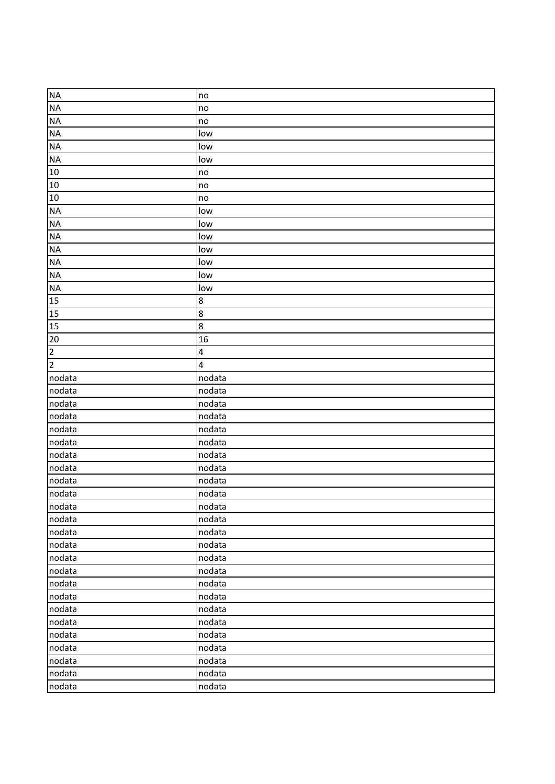| <b>NA</b>      | no                      |
|----------------|-------------------------|
| <b>NA</b>      | no                      |
| <b>NA</b>      | no                      |
| <b>NA</b>      | low                     |
| <b>NA</b>      | low                     |
| <b>NA</b>      | low                     |
| 10             | no                      |
| 10             | no                      |
| 10             | no                      |
| <b>NA</b>      | low                     |
| <b>NA</b>      | low                     |
| <b>NA</b>      | low                     |
| <b>NA</b>      | low                     |
| NA             | low                     |
| <b>NA</b>      | low                     |
| <b>NA</b>      | low                     |
| 15             | 8                       |
| 15             | $\overline{8}$          |
| 15             | $\overline{8}$          |
| 20             | 16                      |
| $\overline{2}$ | $\overline{\mathbf{4}}$ |
| $\overline{2}$ | $\overline{a}$          |
| nodata         | nodata                  |
| nodata         | nodata                  |
| nodata         | nodata                  |
| nodata         | nodata                  |
| nodata         | nodata                  |
| nodata         | nodata                  |
| nodata         | nodata                  |
| nodata         | nodata                  |
| nodata         | nodata                  |
| nodata         | nodata                  |
| nodata         | nodata                  |
| nodata         | nodata                  |
| nodata         | nodata                  |
| nodata         | nodata                  |
| nodata         | nodata                  |
| nodata         | nodata                  |
| nodata         | nodata                  |
| nodata         | nodata                  |
| nodata         | nodata                  |
| nodata         | nodata                  |
| nodata         | nodata                  |
| nodata         | nodata                  |
| nodata         | nodata                  |
| nodata         | nodata                  |
| nodata         | nodata                  |